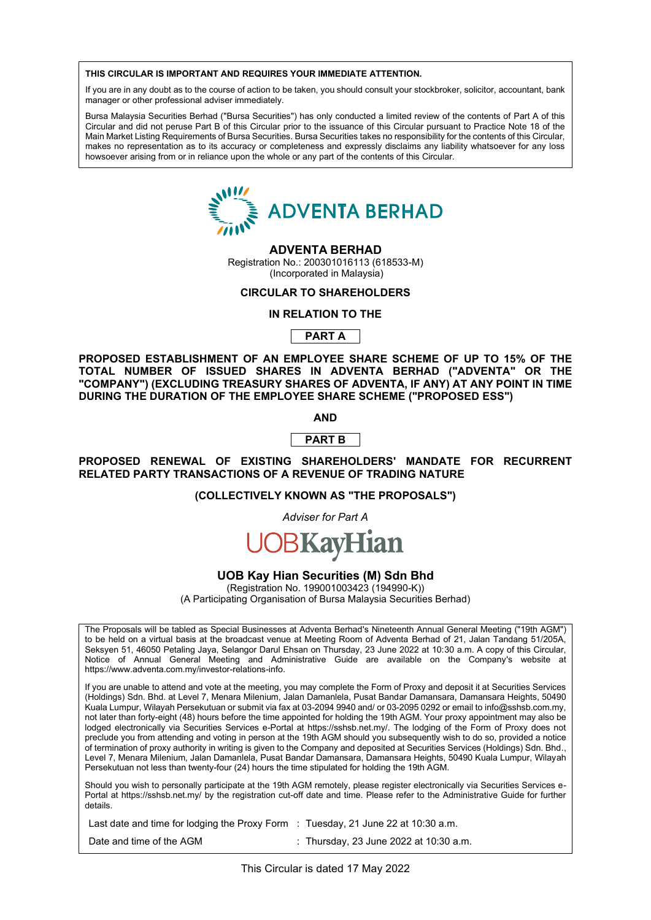#### **THIS CIRCULAR IS IMPORTANT AND REQUIRES YOUR IMMEDIATE ATTENTION. THIS CIRCULAR IS IMPORTANT AND REQUIRES YOUR IMMEDIATE ATTENTION.**

If you are in any doubt as to the course of action to be taken, you should consult your stockbroker, solicitor, accountant, bank manager or other professional adviser immediately. manager or other professional adviser immediately. manager or other professional adviser immediately.<br> **THIS CIRCULAR IS IMPORTANT AND READ RELAR IS INTERFERENT AND RELAR IS IN AND RELAR IS IN AND RELAR IN AND RELA** 

Bursa Malaysia Securities Berhad ("Bursa Securities") has only conducted a limited review of the contents of Part A of this Bursa Malaysia Securities Berhad ("Bursa Securities") has only conducted a limited review of the contents of Part A of this<br>Circular and did not peruse Part B of this Circular prior to the issuance of this Circular pursuan Main Market Listing Requirements of Bursa Securities. Bursa Securities takes no responsibility for the contents of this Circular, makes no representation as to its accuracy or completeness and expressly disclaims any liability whatsoever for any loss<br>howsoever arising from or in reliance upon the whole or any part of the contents of this Circular. howsoever arising from or in reliance upon the whole or any part of the contents of this Circular. makes no representation as to its complete or complete the completence or complete the expression of any loss



# **ADVENTA BERHAD ADVENTA BERHAD**

Registration No.: 200301016113 (618533-M) Registration No.: 200301016113 (618533-M) din No.: 200001010110 (0 Registration No.: 200301016113 (618533-M) (incorporated in Malaysia)

# **CIRCULAR TO SHAREHOLDERS**

#### **IN RELATION TO THE IN RELATION TO THE CIRCULAR TO SHAREHOLDERS CIRCULAR TO SHAREHOLDERS**

**PART A IN RELATION TO THE PROPERTY OF STATE** 

**PROPOSED ESTABLISHMENT OF AN EMPLOYEE SHARE SCHEME OF UP TO 15% OF THE PROPOSED ESTABLISHMENT OF AN EMPLOYEE SHARE SCHEME OF UP TO 15% OF THE PART A TOTAL NUMBER OF ISSUED SHARES IN ADVENTA BERHAD ("ADVENTA" OR THE TOTAL NUMBER OF ISSUED SHARES IN ADVENTA BERHAD ("ADVENTA" OR THE** "COMPANY") (EXCLUDING TREASURY SHARES OF ADVENTA, IF ANY) AT ANY POINT IN TIME DURING THE DURATION OF THE EMPLOYEE SHARE SCHEME ("PROPOSED ESS") **DURING THE DURATION OF THE EMPLOTEE SHARE SUMEME ("PROPOSED ESS") PROPOSED ESTABLISHMENT OF AN EMPLOYEE SHARE SCHEME OF UP TO 15% OF THE** 

**AND AND**  $\mathbf{AND}$  $\blacksquare$   $\blacksquare$   $\blacksquare$   $\blacksquare$   $\blacksquare$   $\blacksquare$   $\blacksquare$   $\blacksquare$   $\blacksquare$   $\blacksquare$   $\blacksquare$   $\blacksquare$   $\blacksquare$   $\blacksquare$   $\blacksquare$   $\blacksquare$   $\blacksquare$   $\blacksquare$   $\blacksquare$   $\blacksquare$   $\blacksquare$   $\blacksquare$   $\blacksquare$   $\blacksquare$   $\blacksquare$   $\blacksquare$   $\blacksquare$   $\blacksquare$   $\blacksquare$   $\blacksquare$   $\blacksquare$   $\blacksquare$ **DURING THE DURATION OF THE EMPLOYEE SHARE SCHEME ("PROPOSED ESS")**

#### **PART B PART B AND AND**

**PROPOSED RENEWAL OF EXISTING SHAREHOLDERS' MANDATE FOR RECURRENT PROPOSED RENEWAL OF EXISTING SHAREHOLDERS' MANDATE FOR RECURRENT PART B RELATED PARTY TRANSACTIONS OF A REVENUE OF TRADING NATURE RELATED PARTY TRANSACTIONS OF A REVENUE OF TRADING NATURE PROPOSED RENEWAL OF EXISTING SHAREHOLDERS' MANDATE FOR RECURRENT**  PART BEEF<br>BREAD LET

(COLLECTIVELY KNOWN AS "THE PROPOSALS") **RELATED PARTY TRANSPORTATIONS OF A REVENUE OF A REVENUE OF A REVENUE OF TRADING NATUREAL** 

> Adviser for Part A **(COLLECTIVELY KNOWN AS "THE PROPOSALS")**

#### **UOB Kay Hian Securities (M) Sdn Bhd UOB Kay Hian Securities (M) Sdn Bhd** *Adviser for Part A Adviser for Part A*

**OB Kay Hian Securities (M) Sdn Bh** (A Participating Organisation of Bursa Malaysia Securities Berhad) **UOB Kay Hian Securities (M) Sdn Bhd**

**UOB TRS, Malaysia Securities (M) Son Brita**<br>(Registration No. 199001003423 (194990-K)) (A Participating Organisation of Bursa Malaysia Securities Berhad)

The Disposale will be taking as Onesial Ducinesses at Advante Derhadle Nineteauth Annual Concret Meeting (1140th ACMII) notice riversal will be tabled as operal busitesses at Annual Berling and Administrative Guide and State and Administrative Guide and Administrative Company's Website at 2000 and the Company of Company's Website at the Com to be held on a virtual basis at the broadcast venue at Meeting Room of Adventa Berhad of 21, Jalan Tandang 51/205A,<br>Seksyen 51, 46050 Petaling Jaya, Selangar Darul Ehsan on Thursday, 23 June 2022 at 10:30 a.m. A copy of t Notice of Annual General Meeting and Administrative Guide are available on the Company's website at https://www.adventa.com.my/investor-relations-info. The Proposals will be tabled as Special Businesses at Adventa Berhad's Nineteenth Annual General Meeting ("19th AGM") The Proposals will be tabled as Special Businesses at Adventa Berhad's Nineteenth Annual General Meeting ("19th AGM") The Proposals will be tabled as Special Businesses at Adventa Berhad's Nineteenth Annual General Meeting ("19th AGM") Seksyen 51, 46050 Petaling Jaya, Selangor Darul Ehsan on Thursday, 23 June 2022 at 10:30 a.m. A copy of this Circular, to be held on a virtual basis at the broadcast venue at Meeting Room of Adventa Berhad of 21, Jalan Tandang 51/205A,<br>Seksyen 51, 46050 Petaling Jaya, Selangor Darul Ehsan on Thursday, 23 June 2022 at 10:30 a.m. A copy of t

.<br>Kuni se mahli ti iltim tan turti ittle matemani municipaliti the Fermi it Penci and dana 2004 at Quandha Quadra not are unable to attend and your at the meeting, you may complete the Forty-eight (48) and deposit it at Section CMAG. The time is the 19th AGM. You are the 19th AGM. You also be 19th AGM. You also be 19th AGM. You also b (Holdings) Sdn. Bhd. at Level 7, Menara Milenium, Jalan Damanlela, Pusat Bandar Damansara, Damansara Heights, 50490<br>Kush Lumann Wilayah Damakutang membunitnin fan at 88.0004.0040 and/an 00.0005.0000 anamail ta infa©ashah s Ruala Lumpur, Wilayah Persekutuan or submit via lax at 03-2094 9940 and/ or 03-2099 0292 or emain to mo@sshsb.com.my,<br>not later than forty-eight (48) hours before the time appointed for holding the 19th AGM. Your proxy app lot later than long-eight (40) hours before the time appointed for holding the 19th AGM. Tour proxy appointment hay also be<br>lodged electronically via Securities Services e-Portal at https://sshsb.net.my/. The lodging of th preclude you from attending and voting in person at the 19th AGM should you subsequently wish to do so, provided a notice preclude you from attending and voting in person at the 19th AGM should you subsequently wish to do precidue you from alteriumy and voting in person at the 19th AGM should you subsequently wish to do so, provided a holice<br>of termination of proxy authority in writing is given to the Company and deposited at Securities Ser Level 7, Menara Milenium, Jalan Damanlela, Pusat Bandar Damansara, Damansara Heights, 50490 Kuala Lumpur, Wilayah Persekutuan not less than twenty-four (24) hours the time stipulated for holding the 19th AGM. If you are unable to attend and vote at the meeting, you may complete the Form of Proxy and deposit it at Securities Services Kuala Lumpur, Wilayah Persekutuan or submit via fax at 03-2094 9940 and/ or 03-2095 0292 or email to info@sshsb.com.my, If you are unable to attend and vote at the meeting, you may complete the Form of Proxy and deposit it at Securities Services If you are unable to attend and vote at the meeting, you may complete the Form of Proxy and deposit it at Securities Services (Holdings) Sdn. Bhd. at Level 7, Menara Milenium, Jalan Damanlela, Pusat Bandar Damansara, Damansara Heights, 50490<br>Kuala Lumpur, Wilayah Persekutuan or submit via fax at 03-2094 9940 and/ or 03-2095 0292 or email to info@

details. details. Should you wish to personally participate at the 19th AGM remotely, please register electronically via Securities Services e-Portal at https://sshsb.net.my/ by the registration cut-off date and time. Please refer to the Administrative Guide for further  $\mathcal{L}$  and time of the AGM  $:$ Should you wish to personally participate at the 19th AGM remotely, please register electronically via Securities Services edetails.

Date and time of the AGM : Thursday, 23 June 2022 at 10:30 a.m. Date and time of the AGM  $\qquad \qquad$ : Thursday, 23 June 2022 at 10:30 a.m. Last date and time for lodging the Proxy Form  $\; : \;$  Tuesday, 21 June 22 at 10:30 a.m.  $\;$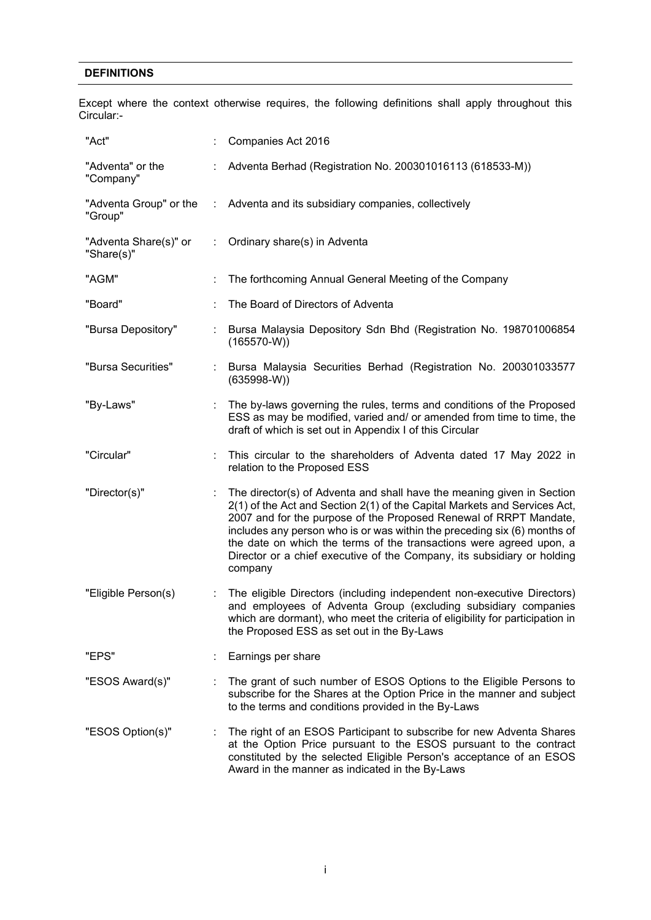# **DEFINITIONS**

Except where the context otherwise requires, the following definitions shall apply throughout this Circular:-

| "Act"                               |   | Companies Act 2016                                                                                                                                                                                                                                                                                                                                                                                                                                                |
|-------------------------------------|---|-------------------------------------------------------------------------------------------------------------------------------------------------------------------------------------------------------------------------------------------------------------------------------------------------------------------------------------------------------------------------------------------------------------------------------------------------------------------|
| "Adventa" or the<br>"Company"       |   | Adventa Berhad (Registration No. 200301016113 (618533-M))                                                                                                                                                                                                                                                                                                                                                                                                         |
| "Adventa Group" or the<br>"Group"   | ÷ | Adventa and its subsidiary companies, collectively                                                                                                                                                                                                                                                                                                                                                                                                                |
| "Adventa Share(s)" or<br>"Share(s)" | ÷ | Ordinary share(s) in Adventa                                                                                                                                                                                                                                                                                                                                                                                                                                      |
| "AGM"                               |   | The forthcoming Annual General Meeting of the Company                                                                                                                                                                                                                                                                                                                                                                                                             |
| "Board"                             |   | The Board of Directors of Adventa                                                                                                                                                                                                                                                                                                                                                                                                                                 |
| "Bursa Depository"                  |   | Bursa Malaysia Depository Sdn Bhd (Registration No. 198701006854<br>$(165570-W))$                                                                                                                                                                                                                                                                                                                                                                                 |
| "Bursa Securities"                  |   | Bursa Malaysia Securities Berhad (Registration No. 200301033577<br>$(635998-W)$                                                                                                                                                                                                                                                                                                                                                                                   |
| "By-Laws"                           |   | The by-laws governing the rules, terms and conditions of the Proposed<br>ESS as may be modified, varied and/ or amended from time to time, the<br>draft of which is set out in Appendix I of this Circular                                                                                                                                                                                                                                                        |
| "Circular"                          |   | This circular to the shareholders of Adventa dated 17 May 2022 in<br>relation to the Proposed ESS                                                                                                                                                                                                                                                                                                                                                                 |
| "Director(s)"                       |   | The director(s) of Adventa and shall have the meaning given in Section<br>2(1) of the Act and Section 2(1) of the Capital Markets and Services Act,<br>2007 and for the purpose of the Proposed Renewal of RRPT Mandate,<br>includes any person who is or was within the preceding six (6) months of<br>the date on which the terms of the transactions were agreed upon, a<br>Director or a chief executive of the Company, its subsidiary or holding<br>company |
| "Eligible Person(s)                 |   | The eligible Directors (including independent non-executive Directors)<br>and employees of Adventa Group (excluding subsidiary companies<br>which are dormant), who meet the criteria of eligibility for participation in<br>the Proposed ESS as set out in the By-Laws                                                                                                                                                                                           |
| "EPS"                               |   | Earnings per share                                                                                                                                                                                                                                                                                                                                                                                                                                                |
| "ESOS Award(s)"                     |   | The grant of such number of ESOS Options to the Eligible Persons to<br>subscribe for the Shares at the Option Price in the manner and subject<br>to the terms and conditions provided in the By-Laws                                                                                                                                                                                                                                                              |
| "ESOS Option(s)"                    |   | The right of an ESOS Participant to subscribe for new Adventa Shares<br>at the Option Price pursuant to the ESOS pursuant to the contract<br>constituted by the selected Eligible Person's acceptance of an ESOS<br>Award in the manner as indicated in the By-Laws                                                                                                                                                                                               |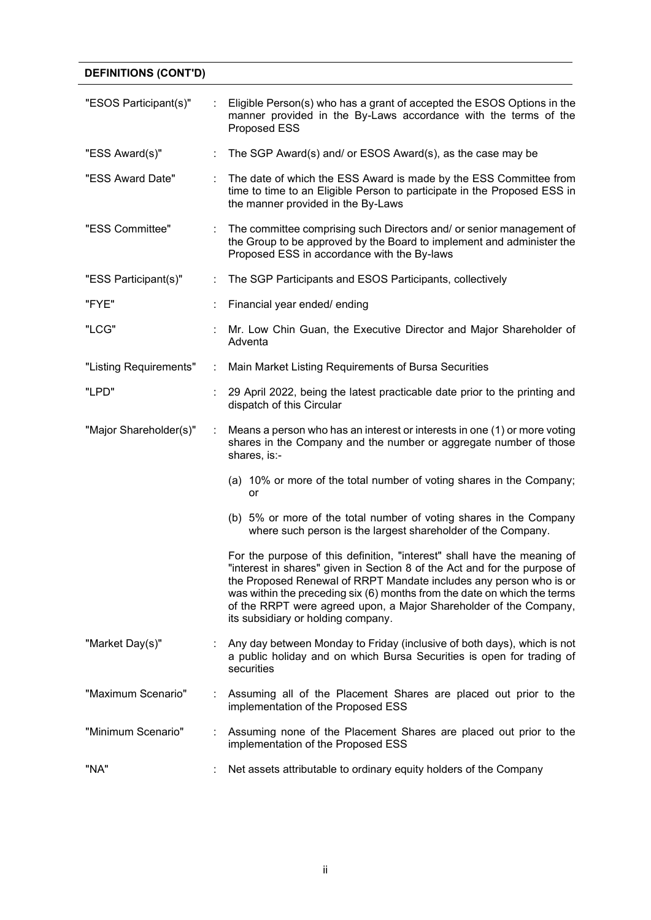# **DEFINITIONS (CONT'D)**

| "ESOS Participant(s)"  |   | Eligible Person(s) who has a grant of accepted the ESOS Options in the<br>manner provided in the By-Laws accordance with the terms of the<br>Proposed ESS                                                                                                                                                                                                                                                          |
|------------------------|---|--------------------------------------------------------------------------------------------------------------------------------------------------------------------------------------------------------------------------------------------------------------------------------------------------------------------------------------------------------------------------------------------------------------------|
| "ESS Award(s)"         |   | The SGP Award(s) and/ or ESOS Award(s), as the case may be                                                                                                                                                                                                                                                                                                                                                         |
| "ESS Award Date"       |   | The date of which the ESS Award is made by the ESS Committee from<br>time to time to an Eligible Person to participate in the Proposed ESS in<br>the manner provided in the By-Laws                                                                                                                                                                                                                                |
| "ESS Committee"        |   | The committee comprising such Directors and/ or senior management of<br>the Group to be approved by the Board to implement and administer the<br>Proposed ESS in accordance with the By-laws                                                                                                                                                                                                                       |
| "ESS Participant(s)"   | ÷ | The SGP Participants and ESOS Participants, collectively                                                                                                                                                                                                                                                                                                                                                           |
| "FYE"                  |   | Financial year ended/ ending                                                                                                                                                                                                                                                                                                                                                                                       |
| "LCG"                  |   | Mr. Low Chin Guan, the Executive Director and Major Shareholder of<br>Adventa                                                                                                                                                                                                                                                                                                                                      |
| "Listing Requirements" | ÷ | Main Market Listing Requirements of Bursa Securities                                                                                                                                                                                                                                                                                                                                                               |
| "LPD"                  |   | 29 April 2022, being the latest practicable date prior to the printing and<br>dispatch of this Circular                                                                                                                                                                                                                                                                                                            |
| "Major Shareholder(s)" | ÷ | Means a person who has an interest or interests in one (1) or more voting<br>shares in the Company and the number or aggregate number of those<br>shares, is:-                                                                                                                                                                                                                                                     |
|                        |   | (a) 10% or more of the total number of voting shares in the Company;<br>or                                                                                                                                                                                                                                                                                                                                         |
|                        |   | (b) 5% or more of the total number of voting shares in the Company<br>where such person is the largest shareholder of the Company.                                                                                                                                                                                                                                                                                 |
|                        |   | For the purpose of this definition, "interest" shall have the meaning of<br>"interest in shares" given in Section 8 of the Act and for the purpose of<br>the Proposed Renewal of RRPT Mandate includes any person who is or<br>was within the preceding six (6) months from the date on which the terms<br>of the RRPT were agreed upon, a Major Shareholder of the Company,<br>its subsidiary or holding company. |
| "Market Day(s)"        |   | Any day between Monday to Friday (inclusive of both days), which is not<br>a public holiday and on which Bursa Securities is open for trading of<br>securities                                                                                                                                                                                                                                                     |
| "Maximum Scenario"     |   | Assuming all of the Placement Shares are placed out prior to the<br>implementation of the Proposed ESS                                                                                                                                                                                                                                                                                                             |
| "Minimum Scenario"     |   | Assuming none of the Placement Shares are placed out prior to the<br>implementation of the Proposed ESS                                                                                                                                                                                                                                                                                                            |
| "NA"                   |   | Net assets attributable to ordinary equity holders of the Company                                                                                                                                                                                                                                                                                                                                                  |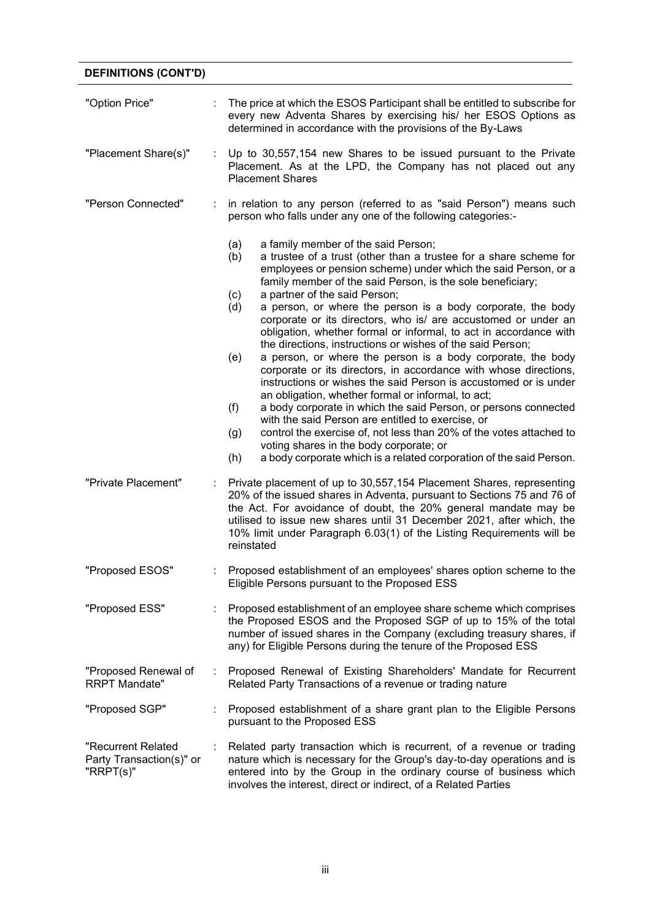# **DEFINITIONS (CONT'D)**

| "Option Price"                                              | The price at which the ESOS Participant shall be entitled to subscribe for<br>every new Adventa Shares by exercising his/ her ESOS Options as<br>determined in accordance with the provisions of the By-Laws                                                                                                                                                                                                                                                                                                                                                                                                                                                                                                                                                                                                                                                                                                                                                                                                                                                                                                                                                                        |
|-------------------------------------------------------------|-------------------------------------------------------------------------------------------------------------------------------------------------------------------------------------------------------------------------------------------------------------------------------------------------------------------------------------------------------------------------------------------------------------------------------------------------------------------------------------------------------------------------------------------------------------------------------------------------------------------------------------------------------------------------------------------------------------------------------------------------------------------------------------------------------------------------------------------------------------------------------------------------------------------------------------------------------------------------------------------------------------------------------------------------------------------------------------------------------------------------------------------------------------------------------------|
| "Placement Share(s)"                                        | Up to 30,557,154 new Shares to be issued pursuant to the Private<br>Placement. As at the LPD, the Company has not placed out any<br><b>Placement Shares</b>                                                                                                                                                                                                                                                                                                                                                                                                                                                                                                                                                                                                                                                                                                                                                                                                                                                                                                                                                                                                                         |
| "Person Connected"                                          | in relation to any person (referred to as "said Person") means such<br>person who falls under any one of the following categories:-                                                                                                                                                                                                                                                                                                                                                                                                                                                                                                                                                                                                                                                                                                                                                                                                                                                                                                                                                                                                                                                 |
|                                                             | (a)<br>a family member of the said Person;<br>a trustee of a trust (other than a trustee for a share scheme for<br>(b)<br>employees or pension scheme) under which the said Person, or a<br>family member of the said Person, is the sole beneficiary;<br>a partner of the said Person;<br>(c)<br>a person, or where the person is a body corporate, the body<br>(d)<br>corporate or its directors, who is/ are accustomed or under an<br>obligation, whether formal or informal, to act in accordance with<br>the directions, instructions or wishes of the said Person;<br>(e)<br>a person, or where the person is a body corporate, the body<br>corporate or its directors, in accordance with whose directions,<br>instructions or wishes the said Person is accustomed or is under<br>an obligation, whether formal or informal, to act;<br>(f)<br>a body corporate in which the said Person, or persons connected<br>with the said Person are entitled to exercise, or<br>control the exercise of, not less than 20% of the votes attached to<br>(g)<br>voting shares in the body corporate; or<br>a body corporate which is a related corporation of the said Person.<br>(h) |
| "Private Placement"                                         | Private placement of up to 30,557,154 Placement Shares, representing<br>20% of the issued shares in Adventa, pursuant to Sections 75 and 76 of<br>the Act. For avoidance of doubt, the 20% general mandate may be<br>utilised to issue new shares until 31 December 2021, after which, the<br>10% limit under Paragraph 6.03(1) of the Listing Requirements will be<br>reinstated                                                                                                                                                                                                                                                                                                                                                                                                                                                                                                                                                                                                                                                                                                                                                                                                   |
| "Proposed ESOS"                                             | Proposed establishment of an employees' shares option scheme to the<br>Eligible Persons pursuant to the Proposed ESS                                                                                                                                                                                                                                                                                                                                                                                                                                                                                                                                                                                                                                                                                                                                                                                                                                                                                                                                                                                                                                                                |
| "Proposed ESS"                                              | Proposed establishment of an employee share scheme which comprises<br>the Proposed ESOS and the Proposed SGP of up to 15% of the total<br>number of issued shares in the Company (excluding treasury shares, if<br>any) for Eligible Persons during the tenure of the Proposed ESS                                                                                                                                                                                                                                                                                                                                                                                                                                                                                                                                                                                                                                                                                                                                                                                                                                                                                                  |
| "Proposed Renewal of<br><b>RRPT Mandate"</b>                | Proposed Renewal of Existing Shareholders' Mandate for Recurrent<br>Related Party Transactions of a revenue or trading nature                                                                                                                                                                                                                                                                                                                                                                                                                                                                                                                                                                                                                                                                                                                                                                                                                                                                                                                                                                                                                                                       |
| "Proposed SGP"                                              | Proposed establishment of a share grant plan to the Eligible Persons<br>pursuant to the Proposed ESS                                                                                                                                                                                                                                                                                                                                                                                                                                                                                                                                                                                                                                                                                                                                                                                                                                                                                                                                                                                                                                                                                |
| "Recurrent Related<br>Party Transaction(s)" or<br>"RRPT(s)" | Related party transaction which is recurrent, of a revenue or trading<br>nature which is necessary for the Group's day-to-day operations and is<br>entered into by the Group in the ordinary course of business which<br>involves the interest, direct or indirect, of a Related Parties                                                                                                                                                                                                                                                                                                                                                                                                                                                                                                                                                                                                                                                                                                                                                                                                                                                                                            |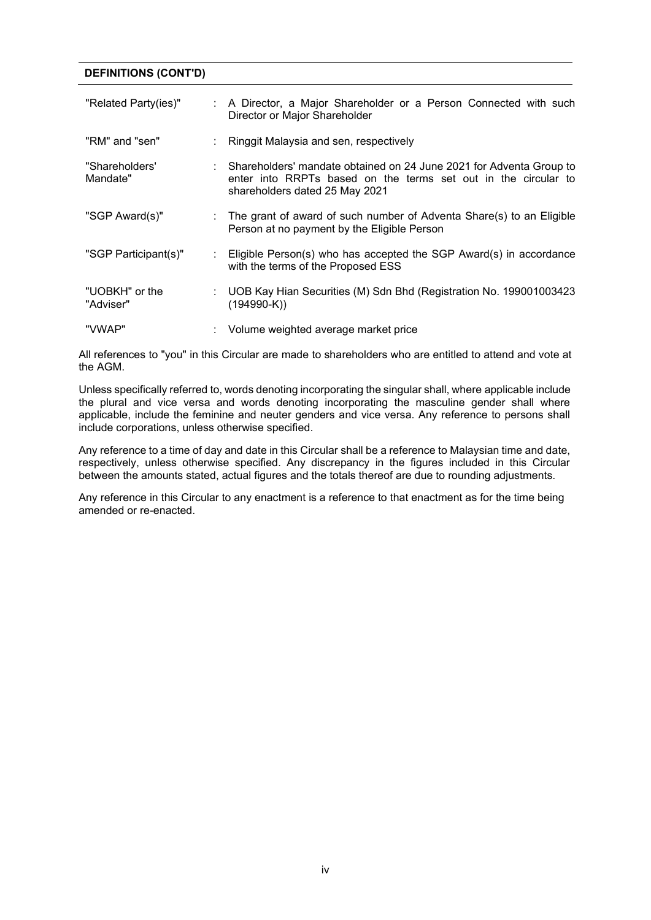#### **DEFINITIONS (CONT'D)**

| "Related Party(ies)"        | ÷. | A Director, a Major Shareholder or a Person Connected with such<br>Director or Major Shareholder                                                                          |
|-----------------------------|----|---------------------------------------------------------------------------------------------------------------------------------------------------------------------------|
| "RM" and "sen"              |    | Ringgit Malaysia and sen, respectively                                                                                                                                    |
| "Shareholders'<br>Mandate"  |    | : Shareholders' mandate obtained on 24 June 2021 for Adventa Group to<br>enter into RRPTs based on the terms set out in the circular to<br>shareholders dated 25 May 2021 |
| "SGP Award(s)"              |    | The grant of award of such number of Adventa Share(s) to an Eligible<br>Person at no payment by the Eligible Person                                                       |
| "SGP Participant(s)"        | ÷. | Eligible Person(s) who has accepted the SGP Award(s) in accordance<br>with the terms of the Proposed ESS                                                                  |
| "UOBKH" or the<br>"Adviser" |    | : UOB Kay Hian Securities (M) Sdn Bhd (Registration No. 199001003423<br>$(194990-K)$                                                                                      |
| "VWAP"                      |    | Volume weighted average market price                                                                                                                                      |

All references to "you" in this Circular are made to shareholders who are entitled to attend and vote at the AGM.

Unless specifically referred to, words denoting incorporating the singular shall, where applicable include the plural and vice versa and words denoting incorporating the masculine gender shall where applicable, include the feminine and neuter genders and vice versa. Any reference to persons shall include corporations, unless otherwise specified.

Any reference to a time of day and date in this Circular shall be a reference to Malaysian time and date, respectively, unless otherwise specified. Any discrepancy in the figures included in this Circular between the amounts stated, actual figures and the totals thereof are due to rounding adjustments.

Any reference in this Circular to any enactment is a reference to that enactment as for the time being amended or re-enacted.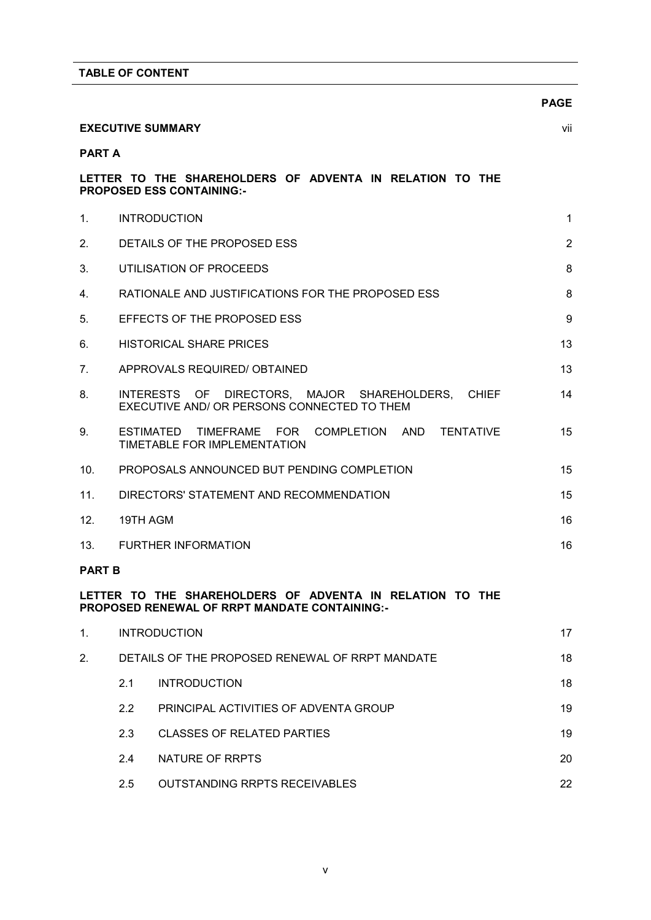|                 |          |                                                                                                                  | <b>PAGE</b>    |
|-----------------|----------|------------------------------------------------------------------------------------------------------------------|----------------|
|                 |          | <b>EXECUTIVE SUMMARY</b>                                                                                         | vii            |
| <b>PART A</b>   |          |                                                                                                                  |                |
|                 |          | LETTER TO THE SHAREHOLDERS OF ADVENTA IN RELATION TO THE<br><b>PROPOSED ESS CONTAINING:-</b>                     |                |
| $1_{-}$         |          | <b>INTRODUCTION</b>                                                                                              | $\mathbf{1}$   |
| 2.              |          | DETAILS OF THE PROPOSED ESS                                                                                      | $\overline{2}$ |
| 3.              |          | UTILISATION OF PROCEEDS                                                                                          | 8              |
| 4.              |          | RATIONALE AND JUSTIFICATIONS FOR THE PROPOSED ESS                                                                | 8              |
| 5.              |          | EFFECTS OF THE PROPOSED ESS                                                                                      | 9              |
| 6.              |          | <b>HISTORICAL SHARE PRICES</b>                                                                                   | 13             |
| 7.              |          | APPROVALS REQUIRED/ OBTAINED                                                                                     | 13             |
| 8.              |          | INTERESTS OF DIRECTORS, MAJOR SHAREHOLDERS, CHIEF<br>EXECUTIVE AND/ OR PERSONS CONNECTED TO THEM                 | 14             |
| 9.              |          | ESTIMATED<br>TIMEFRAME FOR<br>COMPLETION AND TENTATIVE<br>TIMETABLE FOR IMPLEMENTATION                           | 15             |
| 10 <sub>1</sub> |          | PROPOSALS ANNOUNCED BUT PENDING COMPLETION                                                                       | 15             |
| 11.             |          | DIRECTORS' STATEMENT AND RECOMMENDATION                                                                          | 15             |
| 12.             | 19TH AGM |                                                                                                                  | 16             |
| 13.             |          | <b>FURTHER INFORMATION</b>                                                                                       | 16             |
| <b>PART B</b>   |          |                                                                                                                  |                |
|                 |          | LETTER TO THE SHAREHOLDERS OF ADVENTA IN RELATION TO THE<br><b>PROPOSED RENEWAL OF RRPT MANDATE CONTAINING:-</b> |                |
| 1.              |          | <b>INTRODUCTION</b>                                                                                              | 17             |
| 2.              |          | DETAILS OF THE PROPOSED RENEWAL OF RRPT MANDATE                                                                  | 18             |
|                 | 2.1      | <b>INTRODUCTION</b>                                                                                              | 18             |
|                 | 2.2      | PRINCIPAL ACTIVITIES OF ADVENTA GROUP                                                                            | 19             |
|                 | 2.3      | <b>CLASSES OF RELATED PARTIES</b>                                                                                | 19             |
|                 | 2.4      | NATURE OF RRPTS                                                                                                  | 20             |

2.5 OUTSTANDING RRPTS RECEIVABLES 22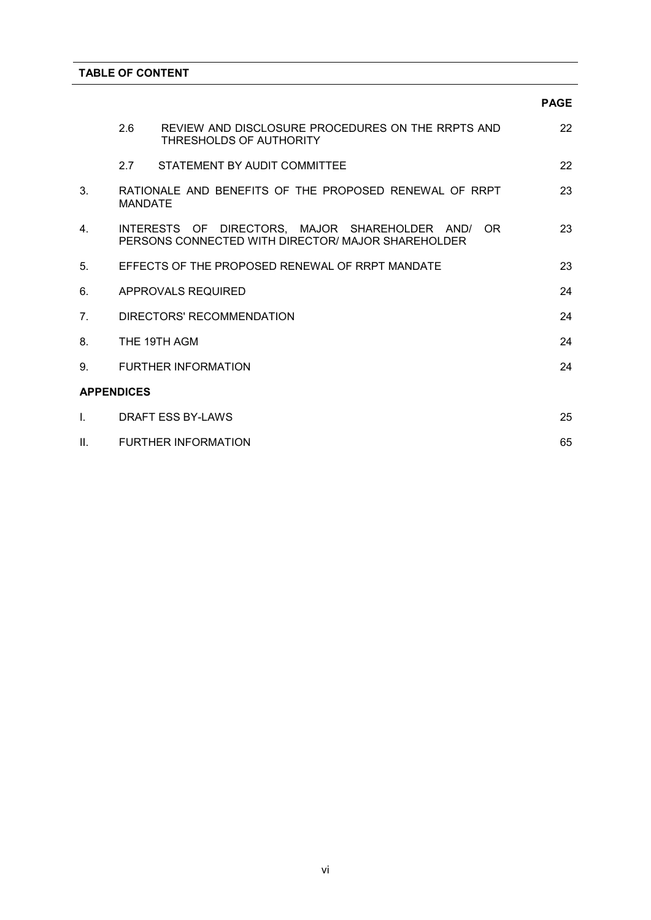|                |                   |                                                                                                             | <b>PAGE</b> |
|----------------|-------------------|-------------------------------------------------------------------------------------------------------------|-------------|
|                | 2.6               | REVIEW AND DISCLOSURE PROCEDURES ON THE RRPTS AND<br>THRESHOLDS OF AUTHORITY                                | 22          |
|                | 2.7               | STATEMENT BY AUDIT COMMITTEE                                                                                | 22          |
| 3 <sub>1</sub> | <b>MANDATE</b>    | RATIONALE AND BENEFITS OF THE PROPOSED RENEWAL OF RRPT                                                      | 23          |
| 4.             |                   | INTERESTS OF DIRECTORS. MAJOR SHAREHOLDER AND/<br>OR.<br>PERSONS CONNECTED WITH DIRECTOR/ MAJOR SHAREHOLDER | 23          |
| 5.             |                   | EFFECTS OF THE PROPOSED RENEWAL OF RRPT MANDATE                                                             | 23          |
| 6.             |                   | APPROVALS REQUIRED                                                                                          | 24          |
| 7 <sub>1</sub> |                   | DIRECTORS' RECOMMENDATION                                                                                   | 24          |
| 8.             |                   | THE 19TH AGM                                                                                                | 24          |
| 9.             |                   | <b>FURTHER INFORMATION</b>                                                                                  | 24          |
|                | <b>APPENDICES</b> |                                                                                                             |             |
| I.             |                   | DRAFT ESS BY-LAWS                                                                                           | 25          |
| Ш.             |                   | <b>FURTHER INFORMATION</b>                                                                                  | 65          |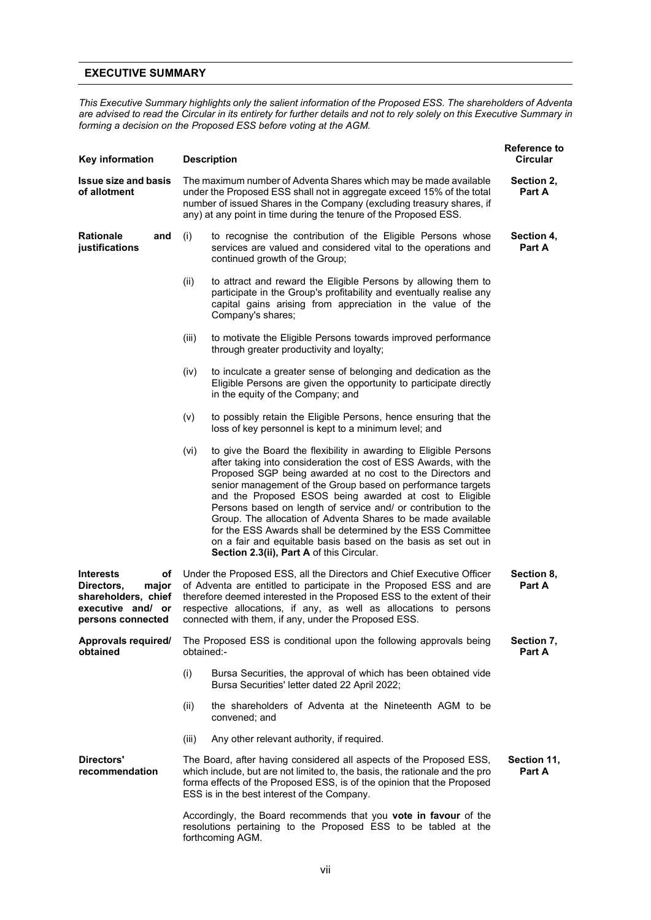#### **EXECUTIVE SUMMARY**

*This Executive Summary highlights only the salient information of the Proposed ESS. The shareholders of Adventa are advised to read the Circular in its entirety for further details and not to rely solely on this Executive Summary in forming a decision on the Proposed ESS before voting at the AGM.*

| Key information                                                                                                |            | <b>Description</b>                                                                                                                                                                                                                                                                                                                                                                                                                                                                                                                                                                                                                            | <b>Reference to</b><br><b>Circular</b> |
|----------------------------------------------------------------------------------------------------------------|------------|-----------------------------------------------------------------------------------------------------------------------------------------------------------------------------------------------------------------------------------------------------------------------------------------------------------------------------------------------------------------------------------------------------------------------------------------------------------------------------------------------------------------------------------------------------------------------------------------------------------------------------------------------|----------------------------------------|
| <b>Issue size and basis</b><br>of allotment                                                                    |            | The maximum number of Adventa Shares which may be made available<br>under the Proposed ESS shall not in aggregate exceed 15% of the total<br>number of issued Shares in the Company (excluding treasury shares, if<br>any) at any point in time during the tenure of the Proposed ESS.                                                                                                                                                                                                                                                                                                                                                        | Section 2,<br>Part A                   |
| <b>Rationale</b><br>and<br>justifications                                                                      | (i)        | to recognise the contribution of the Eligible Persons whose<br>services are valued and considered vital to the operations and<br>continued growth of the Group;                                                                                                                                                                                                                                                                                                                                                                                                                                                                               | Section 4,<br>Part A                   |
|                                                                                                                | (ii)       | to attract and reward the Eligible Persons by allowing them to<br>participate in the Group's profitability and eventually realise any<br>capital gains arising from appreciation in the value of the<br>Company's shares;                                                                                                                                                                                                                                                                                                                                                                                                                     |                                        |
|                                                                                                                | (iii)      | to motivate the Eligible Persons towards improved performance<br>through greater productivity and loyalty;                                                                                                                                                                                                                                                                                                                                                                                                                                                                                                                                    |                                        |
|                                                                                                                | (iv)       | to inculcate a greater sense of belonging and dedication as the<br>Eligible Persons are given the opportunity to participate directly<br>in the equity of the Company; and                                                                                                                                                                                                                                                                                                                                                                                                                                                                    |                                        |
|                                                                                                                | (v)        | to possibly retain the Eligible Persons, hence ensuring that the<br>loss of key personnel is kept to a minimum level; and                                                                                                                                                                                                                                                                                                                                                                                                                                                                                                                     |                                        |
|                                                                                                                | (vi)       | to give the Board the flexibility in awarding to Eligible Persons<br>after taking into consideration the cost of ESS Awards, with the<br>Proposed SGP being awarded at no cost to the Directors and<br>senior management of the Group based on performance targets<br>and the Proposed ESOS being awarded at cost to Eligible<br>Persons based on length of service and/ or contribution to the<br>Group. The allocation of Adventa Shares to be made available<br>for the ESS Awards shall be determined by the ESS Committee<br>on a fair and equitable basis based on the basis as set out in<br>Section 2.3(ii), Part A of this Circular. |                                        |
| <b>Interests</b><br>of<br>Directors,<br>major<br>shareholders, chief<br>executive and/ or<br>persons connected |            | Under the Proposed ESS, all the Directors and Chief Executive Officer<br>of Adventa are entitled to participate in the Proposed ESS and are<br>therefore deemed interested in the Proposed ESS to the extent of their<br>respective allocations, if any, as well as allocations to persons<br>connected with them, if any, under the Proposed ESS.                                                                                                                                                                                                                                                                                            | Section 8,<br>Part A                   |
| Approvals required/<br>obtained                                                                                | obtained:- | The Proposed ESS is conditional upon the following approvals being                                                                                                                                                                                                                                                                                                                                                                                                                                                                                                                                                                            | Section 7,<br>Part A                   |
|                                                                                                                | (i)        | Bursa Securities, the approval of which has been obtained vide<br>Bursa Securities' letter dated 22 April 2022;                                                                                                                                                                                                                                                                                                                                                                                                                                                                                                                               |                                        |
|                                                                                                                | (ii)       | the shareholders of Adventa at the Nineteenth AGM to be<br>convened; and                                                                                                                                                                                                                                                                                                                                                                                                                                                                                                                                                                      |                                        |
|                                                                                                                | (iii)      | Any other relevant authority, if required.                                                                                                                                                                                                                                                                                                                                                                                                                                                                                                                                                                                                    |                                        |
| Directors'<br>recommendation                                                                                   |            | The Board, after having considered all aspects of the Proposed ESS,<br>which include, but are not limited to, the basis, the rationale and the pro<br>forma effects of the Proposed ESS, is of the opinion that the Proposed<br>ESS is in the best interest of the Company.                                                                                                                                                                                                                                                                                                                                                                   | Section 11,<br><b>Part A</b>           |
|                                                                                                                |            | Accordingly, the Board recommends that you <b>vote in favour</b> of the<br>resolutions pertaining to the Proposed ESS to be tabled at the<br>forthcoming AGM.                                                                                                                                                                                                                                                                                                                                                                                                                                                                                 |                                        |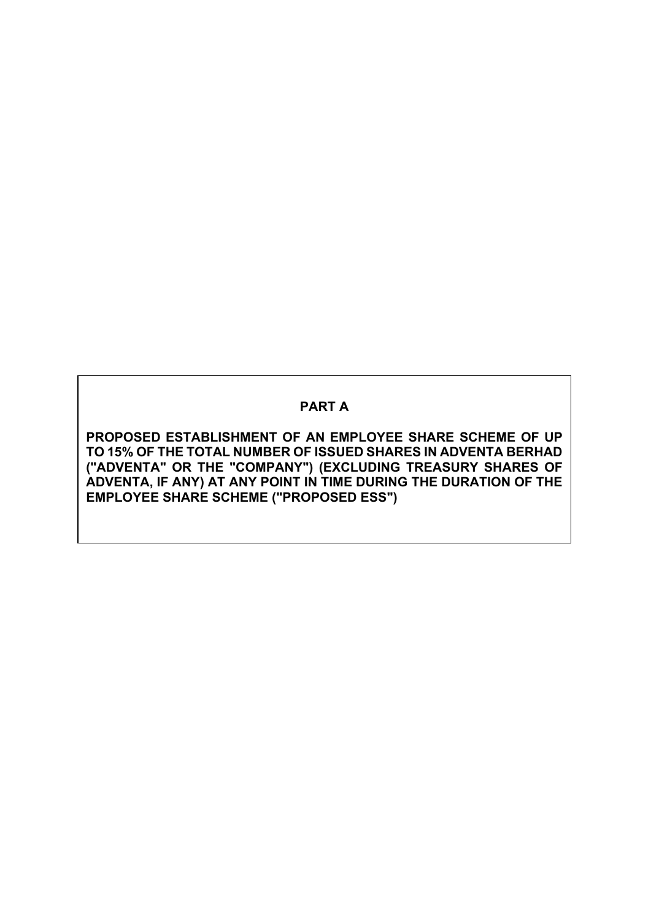# **PART A**

**PROPOSED ESTABLISHMENT OF AN EMPLOYEE SHARE SCHEME OF UP TO 15% OF THE TOTAL NUMBER OF ISSUED SHARES IN ADVENTA BERHAD ("ADVENTA" OR THE "COMPANY") (EXCLUDING TREASURY SHARES OF ADVENTA, IF ANY) AT ANY POINT IN TIME DURING THE DURATION OF THE EMPLOYEE SHARE SCHEME ("PROPOSED ESS")**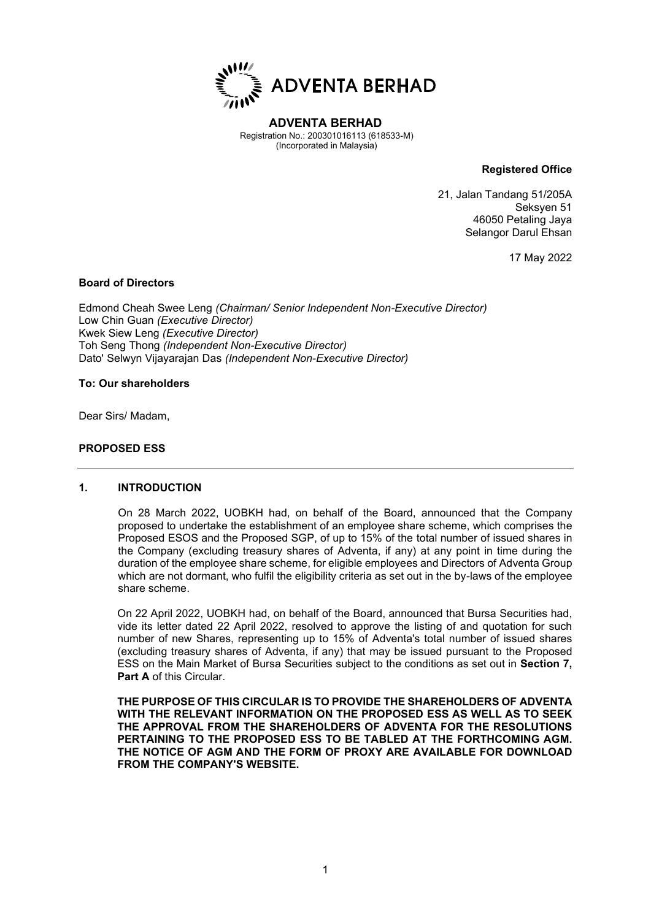

**ADVENTA BERHAD** Registration No.: 200301016113 (618533-M) (Incorporated in Malaysia)

**Registered Office**

21, Jalan Tandang 51/205A Seksyen 51 46050 Petaling Jaya Selangor Darul Ehsan

17 May 2022

#### **Board of Directors**

Edmond Cheah Swee Leng *(Chairman/ Senior Independent Non-Executive Director)* Low Chin Guan *(Executive Director)* Kwek Siew Leng *(Executive Director)* Toh Seng Thong *(Independent Non-Executive Director)* Dato' Selwyn Vijayarajan Das *(Independent Non-Executive Director)*

#### **To: Our shareholders**

Dear Sirs/ Madam,

#### **PROPOSED ESS**

#### **1. INTRODUCTION**

On 28 March 2022, UOBKH had, on behalf of the Board, announced that the Company proposed to undertake the establishment of an employee share scheme, which comprises the Proposed ESOS and the Proposed SGP, of up to 15% of the total number of issued shares in the Company (excluding treasury shares of Adventa, if any) at any point in time during the duration of the employee share scheme, for eligible employees and Directors of Adventa Group which are not dormant, who fulfil the eligibility criteria as set out in the by-laws of the employee share scheme.

On 22 April 2022, UOBKH had, on behalf of the Board, announced that Bursa Securities had, vide its letter dated 22 April 2022, resolved to approve the listing of and quotation for such number of new Shares, representing up to 15% of Adventa's total number of issued shares (excluding treasury shares of Adventa, if any) that may be issued pursuant to the Proposed ESS on the Main Market of Bursa Securities subject to the conditions as set out in **Section 7, Part A** of this Circular.

**THE PURPOSE OF THIS CIRCULAR IS TO PROVIDE THE SHAREHOLDERS OF ADVENTA WITH THE RELEVANT INFORMATION ON THE PROPOSED ESS AS WELL AS TO SEEK THE APPROVAL FROM THE SHAREHOLDERS OF ADVENTA FOR THE RESOLUTIONS PERTAINING TO THE PROPOSED ESS TO BE TABLED AT THE FORTHCOMING AGM. THE NOTICE OF AGM AND THE FORM OF PROXY ARE AVAILABLE FOR DOWNLOAD FROM THE COMPANY'S WEBSITE.**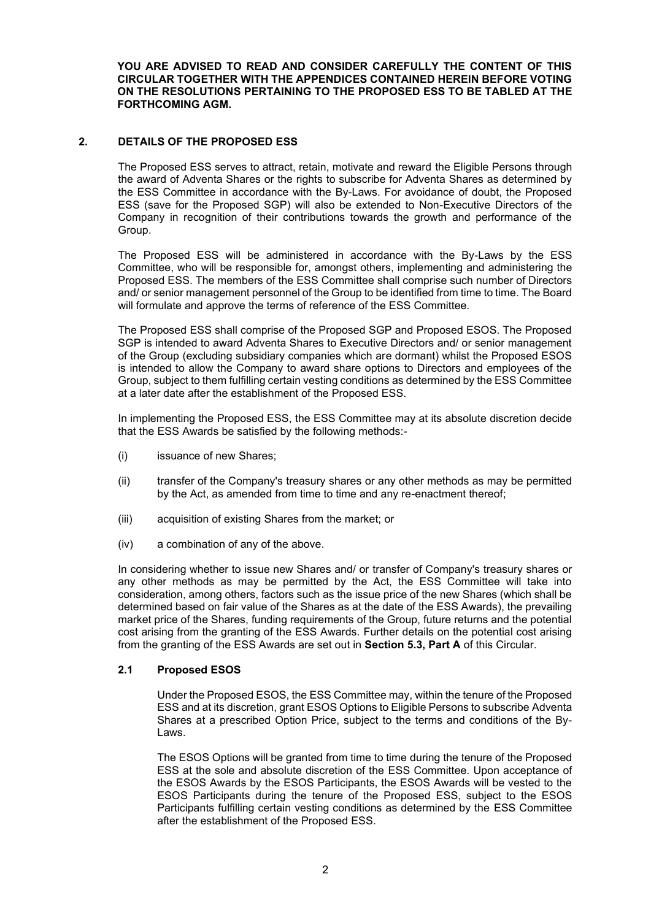**YOU ARE ADVISED TO READ AND CONSIDER CAREFULLY THE CONTENT OF THIS CIRCULAR TOGETHER WITH THE APPENDICES CONTAINED HEREIN BEFORE VOTING ON THE RESOLUTIONS PERTAINING TO THE PROPOSED ESS TO BE TABLED AT THE FORTHCOMING AGM.**

#### **2. DETAILS OF THE PROPOSED ESS**

The Proposed ESS serves to attract, retain, motivate and reward the Eligible Persons through the award of Adventa Shares or the rights to subscribe for Adventa Shares as determined by the ESS Committee in accordance with the By-Laws. For avoidance of doubt, the Proposed ESS (save for the Proposed SGP) will also be extended to Non-Executive Directors of the Company in recognition of their contributions towards the growth and performance of the Group.

The Proposed ESS will be administered in accordance with the By-Laws by the ESS Committee, who will be responsible for, amongst others, implementing and administering the Proposed ESS. The members of the ESS Committee shall comprise such number of Directors and/ or senior management personnel of the Group to be identified from time to time. The Board will formulate and approve the terms of reference of the ESS Committee.

The Proposed ESS shall comprise of the Proposed SGP and Proposed ESOS. The Proposed SGP is intended to award Adventa Shares to Executive Directors and/ or senior management of the Group (excluding subsidiary companies which are dormant) whilst the Proposed ESOS is intended to allow the Company to award share options to Directors and employees of the Group, subject to them fulfilling certain vesting conditions as determined by the ESS Committee at a later date after the establishment of the Proposed ESS.

In implementing the Proposed ESS, the ESS Committee may at its absolute discretion decide that the ESS Awards be satisfied by the following methods:-

- (i) issuance of new Shares;
- (ii) transfer of the Company's treasury shares or any other methods as may be permitted by the Act, as amended from time to time and any re-enactment thereof;
- (iii) acquisition of existing Shares from the market; or
- (iv) a combination of any of the above.

In considering whether to issue new Shares and/ or transfer of Company's treasury shares or any other methods as may be permitted by the Act, the ESS Committee will take into consideration, among others, factors such as the issue price of the new Shares (which shall be determined based on fair value of the Shares as at the date of the ESS Awards), the prevailing market price of the Shares, funding requirements of the Group, future returns and the potential cost arising from the granting of the ESS Awards. Further details on the potential cost arising from the granting of the ESS Awards are set out in **Section 5.3, Part A** of this Circular.

#### **2.1 Proposed ESOS**

Under the Proposed ESOS, the ESS Committee may, within the tenure of the Proposed ESS and at its discretion, grant ESOS Options to Eligible Persons to subscribe Adventa Shares at a prescribed Option Price, subject to the terms and conditions of the By-Laws.

The ESOS Options will be granted from time to time during the tenure of the Proposed ESS at the sole and absolute discretion of the ESS Committee. Upon acceptance of the ESOS Awards by the ESOS Participants, the ESOS Awards will be vested to the ESOS Participants during the tenure of the Proposed ESS, subject to the ESOS Participants fulfilling certain vesting conditions as determined by the ESS Committee after the establishment of the Proposed ESS.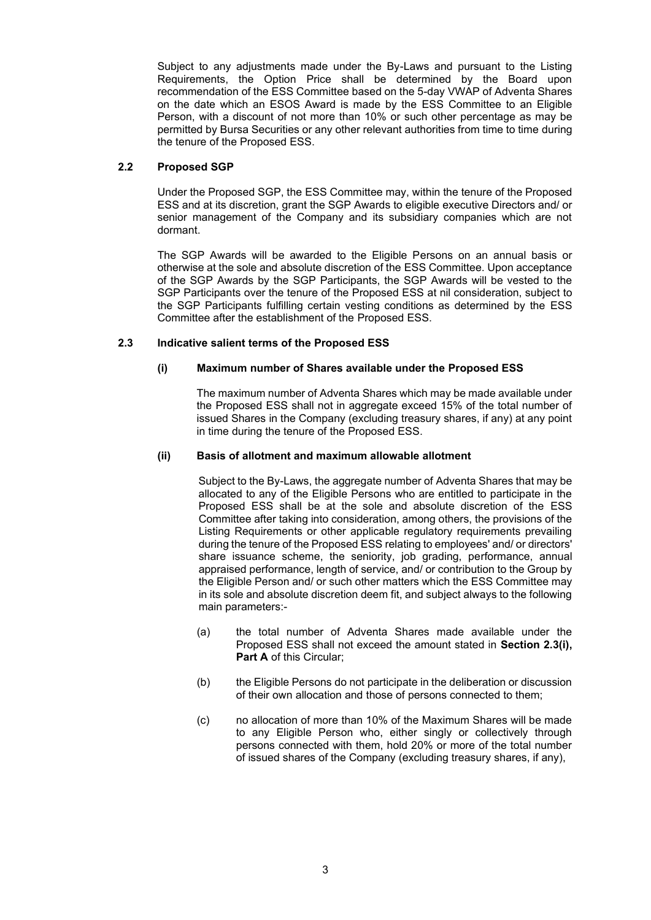Subject to any adjustments made under the By-Laws and pursuant to the Listing Requirements, the Option Price shall be determined by the Board upon recommendation of the ESS Committee based on the 5-day VWAP of Adventa Shares on the date which an ESOS Award is made by the ESS Committee to an Eligible Person, with a discount of not more than 10% or such other percentage as may be permitted by Bursa Securities or any other relevant authorities from time to time during the tenure of the Proposed ESS.

#### **2.2 Proposed SGP**

Under the Proposed SGP, the ESS Committee may, within the tenure of the Proposed ESS and at its discretion, grant the SGP Awards to eligible executive Directors and/ or senior management of the Company and its subsidiary companies which are not dormant.

The SGP Awards will be awarded to the Eligible Persons on an annual basis or otherwise at the sole and absolute discretion of the ESS Committee. Upon acceptance of the SGP Awards by the SGP Participants, the SGP Awards will be vested to the SGP Participants over the tenure of the Proposed ESS at nil consideration, subject to the SGP Participants fulfilling certain vesting conditions as determined by the ESS Committee after the establishment of the Proposed ESS.

#### **2.3 Indicative salient terms of the Proposed ESS**

#### **(i) Maximum number of Shares available under the Proposed ESS**

The maximum number of Adventa Shares which may be made available under the Proposed ESS shall not in aggregate exceed 15% of the total number of issued Shares in the Company (excluding treasury shares, if any) at any point in time during the tenure of the Proposed ESS.

#### **(ii) Basis of allotment and maximum allowable allotment**

Subject to the By-Laws, the aggregate number of Adventa Shares that may be allocated to any of the Eligible Persons who are entitled to participate in the Proposed ESS shall be at the sole and absolute discretion of the ESS Committee after taking into consideration, among others, the provisions of the Listing Requirements or other applicable regulatory requirements prevailing during the tenure of the Proposed ESS relating to employees' and/ or directors' share issuance scheme, the seniority, job grading, performance, annual appraised performance, length of service, and/ or contribution to the Group by the Eligible Person and/ or such other matters which the ESS Committee may in its sole and absolute discretion deem fit, and subject always to the following main parameters:-

- (a) the total number of Adventa Shares made available under the Proposed ESS shall not exceed the amount stated in **Section 2.3(i), Part A** of this Circular;
- (b) the Eligible Persons do not participate in the deliberation or discussion of their own allocation and those of persons connected to them;
- (c) no allocation of more than 10% of the Maximum Shares will be made to any Eligible Person who, either singly or collectively through persons connected with them, hold 20% or more of the total number of issued shares of the Company (excluding treasury shares, if any),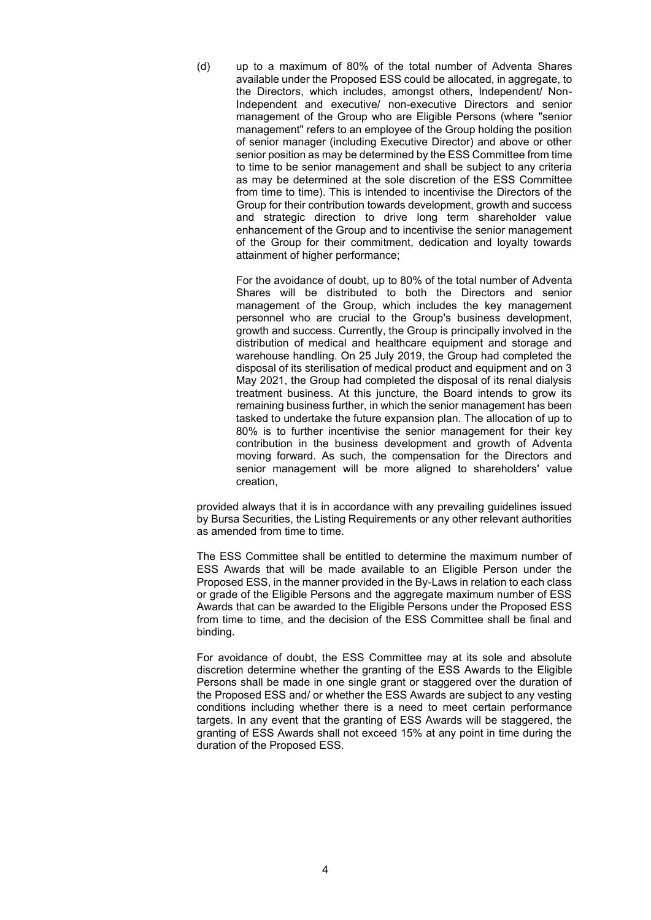(d) up to a maximum of 80% of the total number of Adventa Shares available under the Proposed ESS could be allocated, in aggregate, to the Directors, which includes, amongst others, Independent/ Non-Independent and executive/ non-executive Directors and senior management of the Group who are Eligible Persons (where "senior management" refers to an employee of the Group holding the position of senior manager (including Executive Director) and above or other senior position as may be determined by the ESS Committee from time to time to be senior management and shall be subject to any criteria as may be determined at the sole discretion of the ESS Committee from time to time). This is intended to incentivise the Directors of the Group for their contribution towards development, growth and success and strategic direction to drive long term shareholder value enhancement of the Group and to incentivise the senior management of the Group for their commitment, dedication and loyalty towards attainment of higher performance;

> For the avoidance of doubt, up to 80% of the total number of Adventa Shares will be distributed to both the Directors and senior management of the Group, which includes the key management personnel who are crucial to the Group's business development, growth and success. Currently, the Group is principally involved in the distribution of medical and healthcare equipment and storage and warehouse handling. On 25 July 2019, the Group had completed the disposal of its sterilisation of medical product and equipment and on 3 May 2021, the Group had completed the disposal of its renal dialysis treatment business. At this juncture, the Board intends to grow its remaining business further, in which the senior management has been tasked to undertake the future expansion plan. The allocation of up to 80% is to further incentivise the senior management for their key contribution in the business development and growth of Adventa moving forward. As such, the compensation for the Directors and senior management will be more aligned to shareholders' value creation,

provided always that it is in accordance with any prevailing guidelines issued by Bursa Securities, the Listing Requirements or any other relevant authorities as amended from time to time.

The ESS Committee shall be entitled to determine the maximum number of ESS Awards that will be made available to an Eligible Person under the Proposed ESS, in the manner provided in the By-Laws in relation to each class or grade of the Eligible Persons and the aggregate maximum number of ESS Awards that can be awarded to the Eligible Persons under the Proposed ESS from time to time, and the decision of the ESS Committee shall be final and binding.

For avoidance of doubt, the ESS Committee may at its sole and absolute discretion determine whether the granting of the ESS Awards to the Eligible Persons shall be made in one single grant or staggered over the duration of the Proposed ESS and/ or whether the ESS Awards are subject to any vesting conditions including whether there is a need to meet certain performance targets. In any event that the granting of ESS Awards will be staggered, the granting of ESS Awards shall not exceed 15% at any point in time during the duration of the Proposed ESS.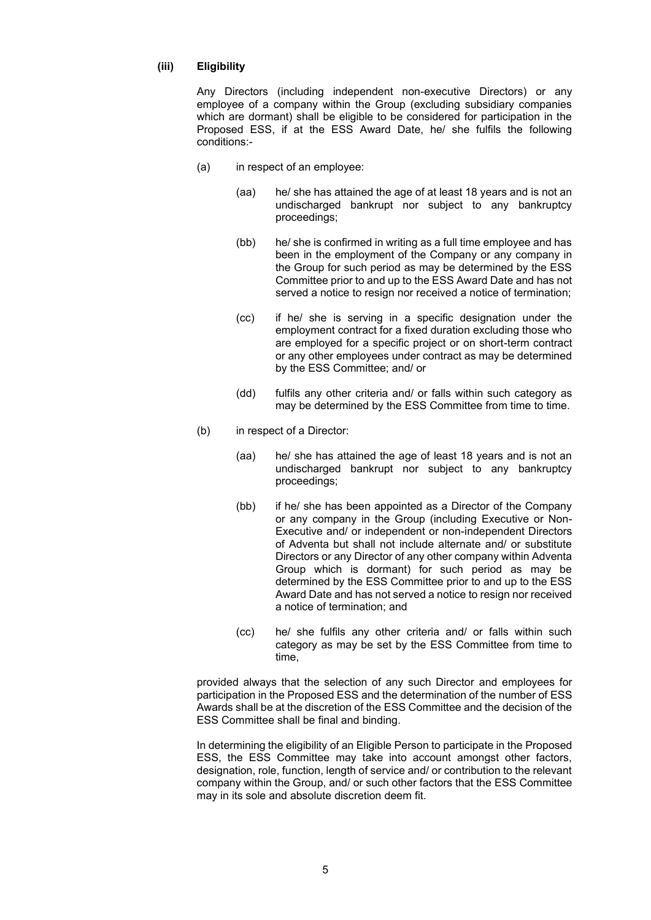#### **(iii) Eligibility**

Any Directors (including independent non-executive Directors) or any employee of a company within the Group (excluding subsidiary companies which are dormant) shall be eligible to be considered for participation in the Proposed ESS, if at the ESS Award Date, he/ she fulfils the following conditions:-

- (a) in respect of an employee:
	- (aa) he/ she has attained the age of at least 18 years and is not an undischarged bankrupt nor subject to any bankruptcy proceedings;
	- (bb) he/ she is confirmed in writing as a full time employee and has been in the employment of the Company or any company in the Group for such period as may be determined by the ESS Committee prior to and up to the ESS Award Date and has not served a notice to resign nor received a notice of termination;
	- (cc) if he/ she is serving in a specific designation under the employment contract for a fixed duration excluding those who are employed for a specific project or on short-term contract or any other employees under contract as may be determined by the ESS Committee; and/ or
	- (dd) fulfils any other criteria and/ or falls within such category as may be determined by the ESS Committee from time to time.
- (b) in respect of a Director:
	- (aa) he/ she has attained the age of least 18 years and is not an undischarged bankrupt nor subject to any bankruptcy proceedings;
	- (bb) if he/ she has been appointed as a Director of the Company or any company in the Group (including Executive or Non-Executive and/ or independent or non-independent Directors of Adventa but shall not include alternate and/ or substitute Directors or any Director of any other company within Adventa Group which is dormant) for such period as may be determined by the ESS Committee prior to and up to the ESS Award Date and has not served a notice to resign nor received a notice of termination; and
	- (cc) he/ she fulfils any other criteria and/ or falls within such category as may be set by the ESS Committee from time to time,

provided always that the selection of any such Director and employees for participation in the Proposed ESS and the determination of the number of ESS Awards shall be at the discretion of the ESS Committee and the decision of the ESS Committee shall be final and binding.

In determining the eligibility of an Eligible Person to participate in the Proposed ESS, the ESS Committee may take into account amongst other factors, designation, role, function, length of service and/ or contribution to the relevant company within the Group, and/ or such other factors that the ESS Committee may in its sole and absolute discretion deem fit.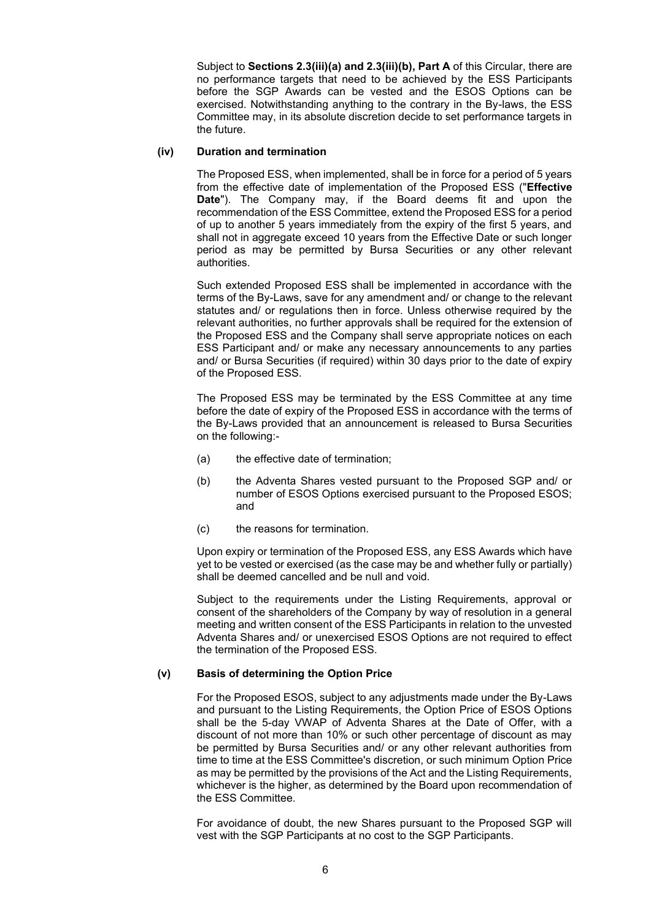Subject to **Sections 2.3(iii)(a) and 2.3(iii)(b), Part A** of this Circular, there are no performance targets that need to be achieved by the ESS Participants before the SGP Awards can be vested and the ESOS Options can be exercised. Notwithstanding anything to the contrary in the By-laws, the ESS Committee may, in its absolute discretion decide to set performance targets in the future.

#### **(iv) Duration and termination**

The Proposed ESS, when implemented, shall be in force for a period of 5 years from the effective date of implementation of the Proposed ESS ("**Effective Date**"). The Company may, if the Board deems fit and upon the recommendation of the ESS Committee, extend the Proposed ESS for a period of up to another 5 years immediately from the expiry of the first 5 years, and shall not in aggregate exceed 10 years from the Effective Date or such longer period as may be permitted by Bursa Securities or any other relevant authorities.

Such extended Proposed ESS shall be implemented in accordance with the terms of the By-Laws, save for any amendment and/ or change to the relevant statutes and/ or regulations then in force. Unless otherwise required by the relevant authorities, no further approvals shall be required for the extension of the Proposed ESS and the Company shall serve appropriate notices on each ESS Participant and/ or make any necessary announcements to any parties and/ or Bursa Securities (if required) within 30 days prior to the date of expiry of the Proposed ESS.

The Proposed ESS may be terminated by the ESS Committee at any time before the date of expiry of the Proposed ESS in accordance with the terms of the By-Laws provided that an announcement is released to Bursa Securities on the following:-

- (a) the effective date of termination;
- (b) the Adventa Shares vested pursuant to the Proposed SGP and/ or number of ESOS Options exercised pursuant to the Proposed ESOS; and
- (c) the reasons for termination.

Upon expiry or termination of the Proposed ESS, any ESS Awards which have yet to be vested or exercised (as the case may be and whether fully or partially) shall be deemed cancelled and be null and void.

Subject to the requirements under the Listing Requirements, approval or consent of the shareholders of the Company by way of resolution in a general meeting and written consent of the ESS Participants in relation to the unvested Adventa Shares and/ or unexercised ESOS Options are not required to effect the termination of the Proposed ESS.

#### **(v) Basis of determining the Option Price**

For the Proposed ESOS, subject to any adjustments made under the By-Laws and pursuant to the Listing Requirements, the Option Price of ESOS Options shall be the 5-day VWAP of Adventa Shares at the Date of Offer, with a discount of not more than 10% or such other percentage of discount as may be permitted by Bursa Securities and/ or any other relevant authorities from time to time at the ESS Committee's discretion, or such minimum Option Price as may be permitted by the provisions of the Act and the Listing Requirements, whichever is the higher, as determined by the Board upon recommendation of the ESS Committee.

For avoidance of doubt, the new Shares pursuant to the Proposed SGP will vest with the SGP Participants at no cost to the SGP Participants.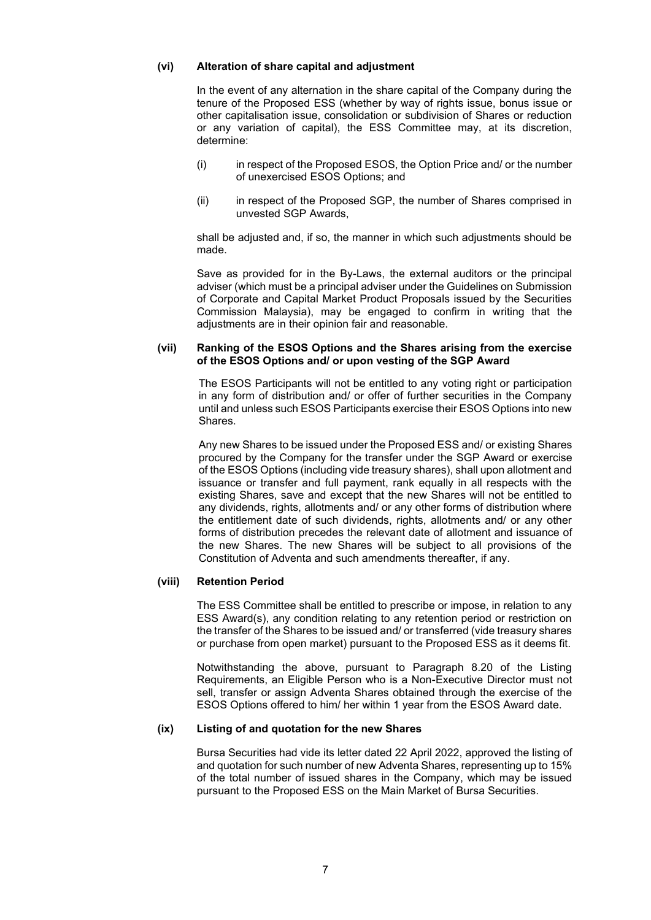#### **(vi) Alteration of share capital and adjustment**

In the event of any alternation in the share capital of the Company during the tenure of the Proposed ESS (whether by way of rights issue, bonus issue or other capitalisation issue, consolidation or subdivision of Shares or reduction or any variation of capital), the ESS Committee may, at its discretion, determine:

- (i) in respect of the Proposed ESOS, the Option Price and/ or the number of unexercised ESOS Options; and
- (ii) in respect of the Proposed SGP, the number of Shares comprised in unvested SGP Awards,

shall be adjusted and, if so, the manner in which such adjustments should be made.

Save as provided for in the By-Laws, the external auditors or the principal adviser (which must be a principal adviser under the Guidelines on Submission of Corporate and Capital Market Product Proposals issued by the Securities Commission Malaysia), may be engaged to confirm in writing that the adjustments are in their opinion fair and reasonable.

#### **(vii) Ranking of the ESOS Options and the Shares arising from the exercise of the ESOS Options and/ or upon vesting of the SGP Award**

The ESOS Participants will not be entitled to any voting right or participation in any form of distribution and/ or offer of further securities in the Company until and unless such ESOS Participants exercise their ESOS Options into new Shares.

Any new Shares to be issued under the Proposed ESS and/ or existing Shares procured by the Company for the transfer under the SGP Award or exercise of the ESOS Options (including vide treasury shares), shall upon allotment and issuance or transfer and full payment, rank equally in all respects with the existing Shares, save and except that the new Shares will not be entitled to any dividends, rights, allotments and/ or any other forms of distribution where the entitlement date of such dividends, rights, allotments and/ or any other forms of distribution precedes the relevant date of allotment and issuance of the new Shares. The new Shares will be subject to all provisions of the Constitution of Adventa and such amendments thereafter, if any.

#### **(viii) Retention Period**

The ESS Committee shall be entitled to prescribe or impose, in relation to any ESS Award(s), any condition relating to any retention period or restriction on the transfer of the Shares to be issued and/ or transferred (vide treasury shares or purchase from open market) pursuant to the Proposed ESS as it deems fit.

Notwithstanding the above, pursuant to Paragraph 8.20 of the Listing Requirements, an Eligible Person who is a Non-Executive Director must not sell, transfer or assign Adventa Shares obtained through the exercise of the ESOS Options offered to him/ her within 1 year from the ESOS Award date.

#### **(ix) Listing of and quotation for the new Shares**

Bursa Securities had vide its letter dated 22 April 2022, approved the listing of and quotation for such number of new Adventa Shares, representing up to 15% of the total number of issued shares in the Company, which may be issued pursuant to the Proposed ESS on the Main Market of Bursa Securities.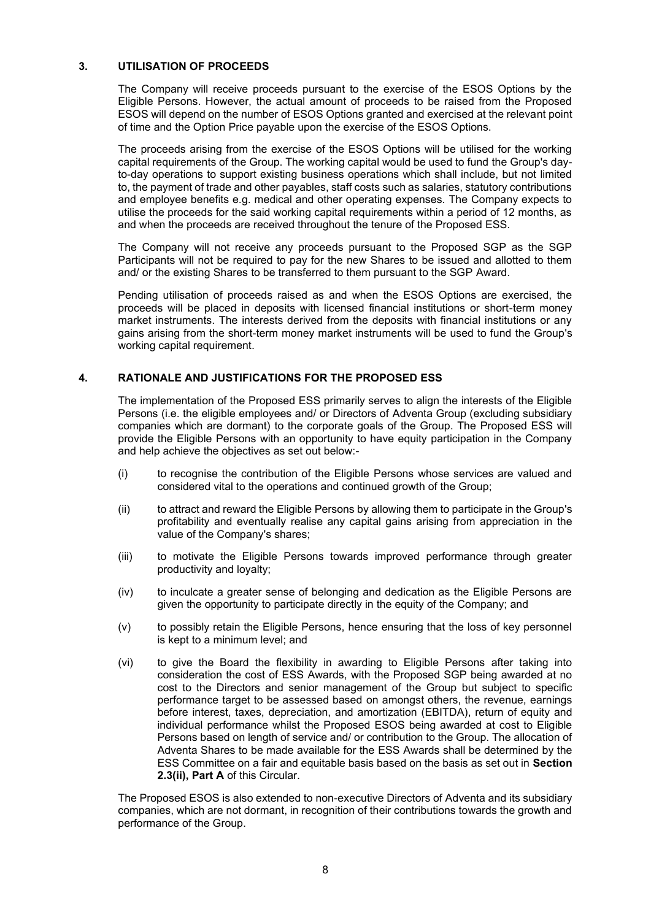#### **3. UTILISATION OF PROCEEDS**

The Company will receive proceeds pursuant to the exercise of the ESOS Options by the Eligible Persons. However, the actual amount of proceeds to be raised from the Proposed ESOS will depend on the number of ESOS Options granted and exercised at the relevant point of time and the Option Price payable upon the exercise of the ESOS Options.

The proceeds arising from the exercise of the ESOS Options will be utilised for the working capital requirements of the Group. The working capital would be used to fund the Group's dayto-day operations to support existing business operations which shall include, but not limited to, the payment of trade and other payables, staff costs such as salaries, statutory contributions and employee benefits e.g. medical and other operating expenses. The Company expects to utilise the proceeds for the said working capital requirements within a period of 12 months, as and when the proceeds are received throughout the tenure of the Proposed ESS.

The Company will not receive any proceeds pursuant to the Proposed SGP as the SGP Participants will not be required to pay for the new Shares to be issued and allotted to them and/ or the existing Shares to be transferred to them pursuant to the SGP Award.

Pending utilisation of proceeds raised as and when the ESOS Options are exercised, the proceeds will be placed in deposits with licensed financial institutions or short-term money market instruments. The interests derived from the deposits with financial institutions or any gains arising from the short-term money market instruments will be used to fund the Group's working capital requirement.

#### **4. RATIONALE AND JUSTIFICATIONS FOR THE PROPOSED ESS**

The implementation of the Proposed ESS primarily serves to align the interests of the Eligible Persons (i.e. the eligible employees and/ or Directors of Adventa Group (excluding subsidiary companies which are dormant) to the corporate goals of the Group. The Proposed ESS will provide the Eligible Persons with an opportunity to have equity participation in the Company and help achieve the objectives as set out below:-

- (i) to recognise the contribution of the Eligible Persons whose services are valued and considered vital to the operations and continued growth of the Group;
- (ii) to attract and reward the Eligible Persons by allowing them to participate in the Group's profitability and eventually realise any capital gains arising from appreciation in the value of the Company's shares;
- (iii) to motivate the Eligible Persons towards improved performance through greater productivity and loyalty;
- (iv) to inculcate a greater sense of belonging and dedication as the Eligible Persons are given the opportunity to participate directly in the equity of the Company; and
- (v) to possibly retain the Eligible Persons, hence ensuring that the loss of key personnel is kept to a minimum level; and
- (vi) to give the Board the flexibility in awarding to Eligible Persons after taking into consideration the cost of ESS Awards, with the Proposed SGP being awarded at no cost to the Directors and senior management of the Group but subject to specific performance target to be assessed based on amongst others, the revenue, earnings before interest, taxes, depreciation, and amortization (EBITDA), return of equity and individual performance whilst the Proposed ESOS being awarded at cost to Eligible Persons based on length of service and/ or contribution to the Group. The allocation of Adventa Shares to be made available for the ESS Awards shall be determined by the ESS Committee on a fair and equitable basis based on the basis as set out in **Section 2.3(ii), Part A** of this Circular.

The Proposed ESOS is also extended to non-executive Directors of Adventa and its subsidiary companies, which are not dormant, in recognition of their contributions towards the growth and performance of the Group.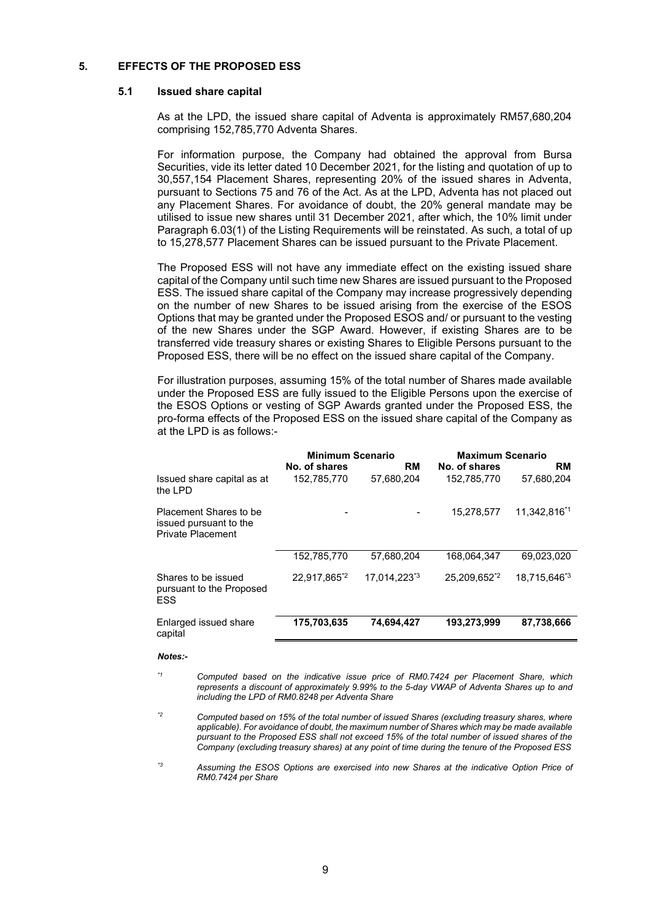#### **5. EFFECTS OF THE PROPOSED ESS**

#### **5.1 Issued share capital**

As at the LPD, the issued share capital of Adventa is approximately RM57,680,204 comprising 152,785,770 Adventa Shares.

For information purpose, the Company had obtained the approval from Bursa Securities, vide its letter dated 10 December 2021, for the listing and quotation of up to 30,557,154 Placement Shares, representing 20% of the issued shares in Adventa, pursuant to Sections 75 and 76 of the Act. As at the LPD, Adventa has not placed out any Placement Shares. For avoidance of doubt, the 20% general mandate may be utilised to issue new shares until 31 December 2021, after which, the 10% limit under Paragraph 6.03(1) of the Listing Requirements will be reinstated. As such, a total of up to 15,278,577 Placement Shares can be issued pursuant to the Private Placement.

The Proposed ESS will not have any immediate effect on the existing issued share capital of the Company until such time new Shares are issued pursuant to the Proposed ESS. The issued share capital of the Company may increase progressively depending on the number of new Shares to be issued arising from the exercise of the ESOS Options that may be granted under the Proposed ESOS and/ or pursuant to the vesting of the new Shares under the SGP Award. However, if existing Shares are to be transferred vide treasury shares or existing Shares to Eligible Persons pursuant to the Proposed ESS, there will be no effect on the issued share capital of the Company.

For illustration purposes, assuming 15% of the total number of Shares made available under the Proposed ESS are fully issued to the Eligible Persons upon the exercise of the ESOS Options or vesting of SGP Awards granted under the Proposed ESS, the pro-forma effects of the Proposed ESS on the issued share capital of the Company as at the LPD is as follows:-

|                                                                       | <b>Minimum Scenario</b><br>No. of shares | <b>RM</b>                | <b>Maximum Scenario</b><br>No. of shares | <b>RM</b>                |
|-----------------------------------------------------------------------|------------------------------------------|--------------------------|------------------------------------------|--------------------------|
| Issued share capital as at<br>the LPD                                 | 152,785,770                              | 57,680,204               | 152,785,770                              | 57,680,204               |
| Placement Shares to be<br>issued pursuant to the<br>Private Placement |                                          |                          | 15.278.577                               | 11.342.816*1             |
|                                                                       | 152,785,770                              | 57,680,204               | 168,064,347                              | 69.023.020               |
| Shares to be issued<br>pursuant to the Proposed<br><b>ESS</b>         | 22.917.865 <sup>*2</sup>                 | 17.014.223 <sup>*3</sup> | 25.209.652 <sup>*2</sup>                 | 18.715.646 <sup>*3</sup> |
| Enlarged issued share<br>capital                                      | 175,703,635                              | 74,694,427               | 193,273,999                              | 87,738,666               |

#### *Notes:-*

*\*1 Computed based on the indicative issue price of RM0.7424 per Placement Share, which represents a discount of approximately 9.99% to the 5-day VWAP of Adventa Shares up to and including the LPD of RM0.8248 per Adventa Share*

- *\*2 Computed based on 15% of the total number of issued Shares (excluding treasury shares, where applicable). For avoidance of doubt, the maximum number of Shares which may be made available pursuant to the Proposed ESS shall not exceed 15% of the total number of issued shares of the Company (excluding treasury shares) at any point of time during the tenure of the Proposed ESS*
- *\*3 Assuming the ESOS Options are exercised into new Shares at the indicative Option Price of RM0.7424 per Share*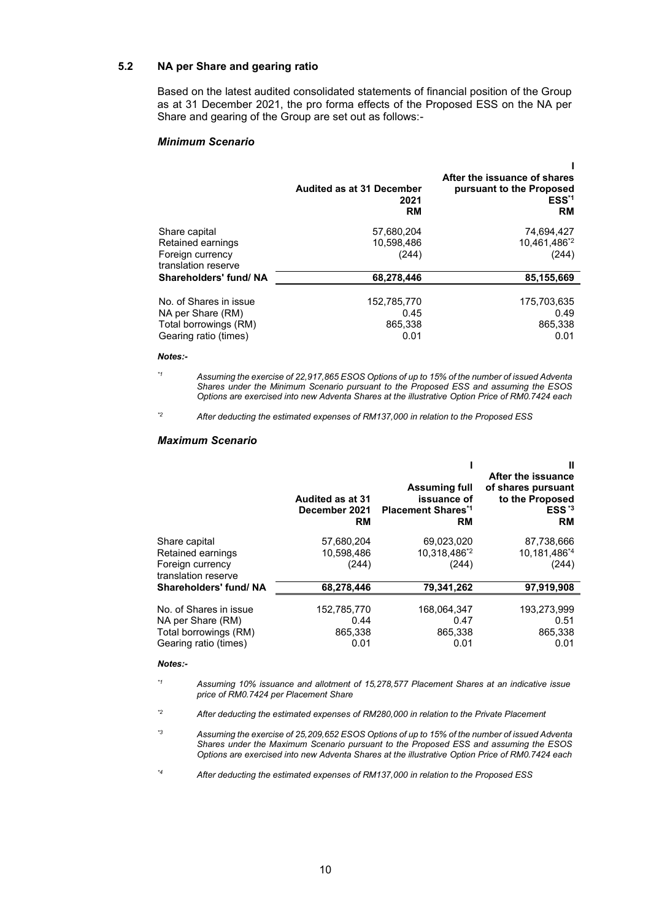### **5.2 NA per Share and gearing ratio**

Based on the latest audited consolidated statements of financial position of the Group as at 31 December 2021, the pro forma effects of the Proposed ESS on the NA per Share and gearing of the Group are set out as follows:-

#### *Minimum Scenario*

|                                                                                               | <b>Audited as at 31 December</b><br>2021<br>RM | After the issuance of shares<br>pursuant to the Proposed<br>ESS <sup>*1</sup><br><b>RM</b> |
|-----------------------------------------------------------------------------------------------|------------------------------------------------|--------------------------------------------------------------------------------------------|
| Share capital<br>Retained earnings<br>Foreign currency<br>translation reserve                 | 57,680,204<br>10.598.486<br>(244)              | 74,694,427<br>10.461.486 <sup>*2</sup><br>(244)                                            |
| Shareholders' fund/ NA                                                                        | 68,278,446                                     | 85,155,669                                                                                 |
| No. of Shares in issue<br>NA per Share (RM)<br>Total borrowings (RM)<br>Gearing ratio (times) | 152,785,770<br>0.45<br>865,338<br>0.01         | 175,703,635<br>0.49<br>865,338<br>0.01                                                     |

#### *Notes:-*

*\*1 Assuming the exercise of 22,917,865 ESOS Options of up to 15% of the number of issued Adventa Shares under the Minimum Scenario pursuant to the Proposed ESS and assuming the ESOS Options are exercised into new Adventa Shares at the illustrative Option Price of RM0.7424 each*

*\*2 After deducting the estimated expenses of RM137,000 in relation to the Proposed ESS*

#### *Maximum Scenario*

|                                                                                               | Audited as at 31<br>December 2021<br><b>RM</b> | <b>Assuming full</b><br>issuance of<br><b>Placement Shares*1</b><br><b>RM</b> | Ш<br>After the issuance<br>of shares pursuant<br>to the Proposed<br>$ESS^{\star 3}$<br><b>RM</b> |
|-----------------------------------------------------------------------------------------------|------------------------------------------------|-------------------------------------------------------------------------------|--------------------------------------------------------------------------------------------------|
| Share capital<br>Retained earnings<br>Foreign currency<br>translation reserve                 | 57,680,204<br>10.598.486<br>(244)              | 69,023,020<br>10.318,486*2<br>(244)                                           | 87,738,666<br>10,181,486 <sup>*4</sup><br>(244)                                                  |
| Shareholders' fund/ NA                                                                        | 68,278,446                                     | 79,341,262                                                                    | 97,919,908                                                                                       |
| No. of Shares in issue<br>NA per Share (RM)<br>Total borrowings (RM)<br>Gearing ratio (times) | 152.785.770<br>0.44<br>865,338<br>0.01         | 168.064.347<br>0.47<br>865,338<br>0.01                                        | 193.273.999<br>0.51<br>865,338<br>0.01                                                           |

#### *Notes:-*

*\*1 Assuming 10% issuance and allotment of 15,278,577 Placement Shares at an indicative issue price of RM0.7424 per Placement Share*

*\*2 After deducting the estimated expenses of RM280,000 in relation to the Private Placement*

*\*3 Assuming the exercise of 25,209,652 ESOS Options of up to 15% of the number of issued Adventa Shares under the Maximum Scenario pursuant to the Proposed ESS and assuming the ESOS Options are exercised into new Adventa Shares at the illustrative Option Price of RM0.7424 each*

*\*4 After deducting the estimated expenses of RM137,000 in relation to the Proposed ESS*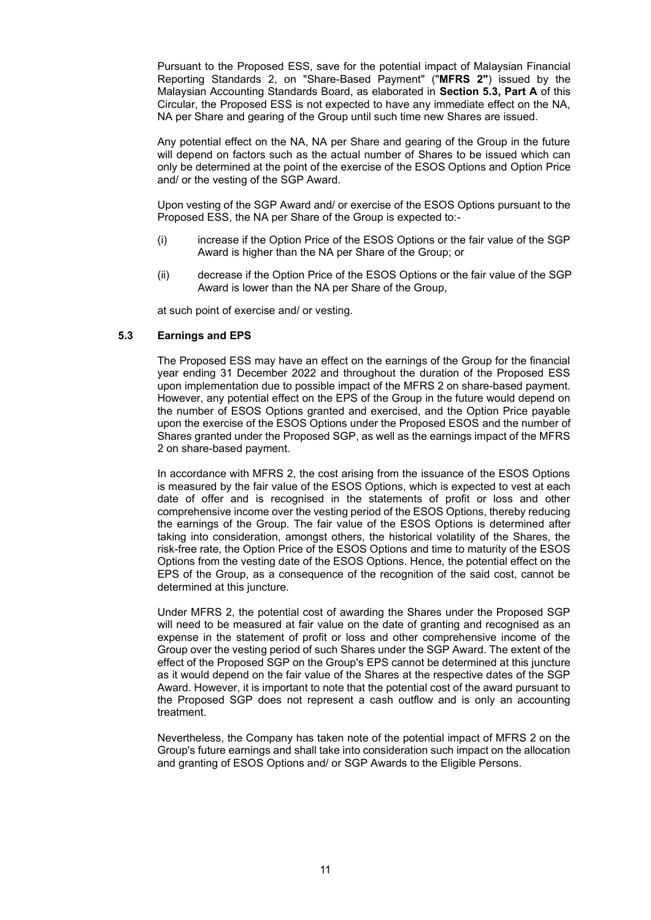Pursuant to the Proposed ESS, save for the potential impact of Malaysian Financial Reporting Standards 2, on "Share-Based Payment" ("**MFRS 2"**) issued by the Malaysian Accounting Standards Board, as elaborated in **Section 5.3, Part A** of this Circular, the Proposed ESS is not expected to have any immediate effect on the NA, NA per Share and gearing of the Group until such time new Shares are issued.

Any potential effect on the NA, NA per Share and gearing of the Group in the future will depend on factors such as the actual number of Shares to be issued which can only be determined at the point of the exercise of the ESOS Options and Option Price and/ or the vesting of the SGP Award.

Upon vesting of the SGP Award and/ or exercise of the ESOS Options pursuant to the Proposed ESS, the NA per Share of the Group is expected to:-

- (i) increase if the Option Price of the ESOS Options or the fair value of the SGP Award is higher than the NA per Share of the Group; or
- (ii) decrease if the Option Price of the ESOS Options or the fair value of the SGP Award is lower than the NA per Share of the Group,

at such point of exercise and/ or vesting.

#### **5.3 Earnings and EPS**

The Proposed ESS may have an effect on the earnings of the Group for the financial year ending 31 December 2022 and throughout the duration of the Proposed ESS upon implementation due to possible impact of the MFRS 2 on share-based payment. However, any potential effect on the EPS of the Group in the future would depend on the number of ESOS Options granted and exercised, and the Option Price payable upon the exercise of the ESOS Options under the Proposed ESOS and the number of Shares granted under the Proposed SGP, as well as the earnings impact of the MFRS 2 on share-based payment.

In accordance with MFRS 2, the cost arising from the issuance of the ESOS Options is measured by the fair value of the ESOS Options, which is expected to vest at each date of offer and is recognised in the statements of profit or loss and other comprehensive income over the vesting period of the ESOS Options, thereby reducing the earnings of the Group. The fair value of the ESOS Options is determined after taking into consideration, amongst others, the historical volatility of the Shares, the risk-free rate, the Option Price of the ESOS Options and time to maturity of the ESOS Options from the vesting date of the ESOS Options. Hence, the potential effect on the EPS of the Group, as a consequence of the recognition of the said cost, cannot be determined at this juncture.

Under MFRS 2, the potential cost of awarding the Shares under the Proposed SGP will need to be measured at fair value on the date of granting and recognised as an expense in the statement of profit or loss and other comprehensive income of the Group over the vesting period of such Shares under the SGP Award. The extent of the effect of the Proposed SGP on the Group's EPS cannot be determined at this juncture as it would depend on the fair value of the Shares at the respective dates of the SGP Award. However, it is important to note that the potential cost of the award pursuant to the Proposed SGP does not represent a cash outflow and is only an accounting treatment.

Nevertheless, the Company has taken note of the potential impact of MFRS 2 on the Group's future earnings and shall take into consideration such impact on the allocation and granting of ESOS Options and/ or SGP Awards to the Eligible Persons.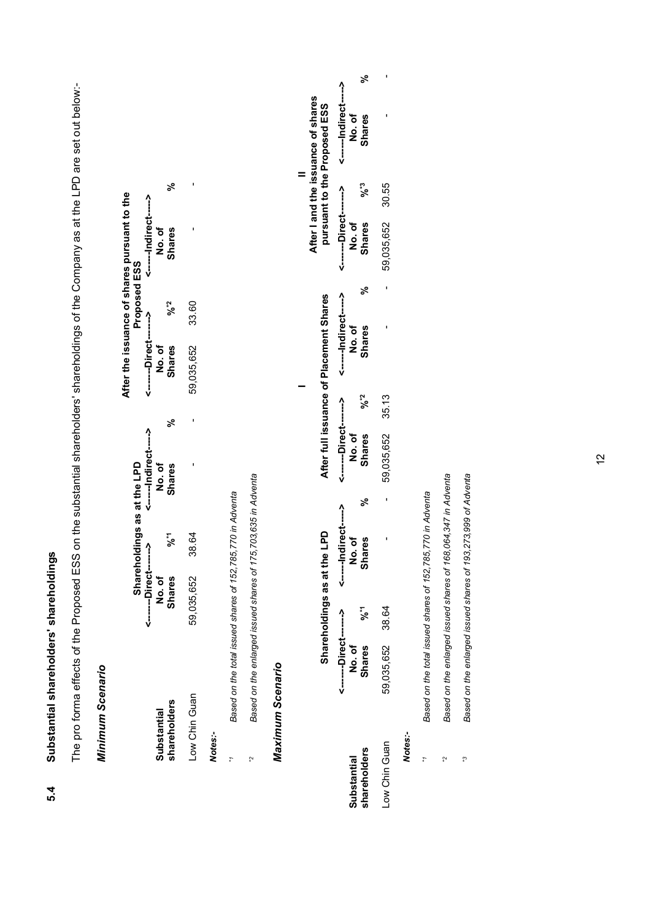| ۱           |  |
|-------------|--|
|             |  |
|             |  |
|             |  |
| d<br>N<br>ŭ |  |

The pro forma effects of the Proposed ESS on the substantial shareholders' shareholdings of the Company as at the LPD are set out below:-The pro forma effects of the Proposed ESS on the substantial shareholders' shareholdings of the Company as at the LPD are set out below:-

# Minimum Scenario *Minimum Scenario*

|               |                          |       |                             |    |                                  |              | After the issuance of shares pursuant to the |  |
|---------------|--------------------------|-------|-----------------------------|----|----------------------------------|--------------|----------------------------------------------|--|
|               |                          |       | Shareholdings as at the LPD |    |                                  | Proposed ESS |                                              |  |
|               | ---------Direct--------> |       | <------Indirect----->       |    | <-------Direct-------><br>No. of |              |                                              |  |
| iubstantial   | No.of                    |       | No.of                       |    |                                  |              | No.of                                        |  |
| thareholders  | <b>Shares</b>            | ៹៓    | <b>Shares</b>               | ಸಿ | <b>Shares</b>                    | %*2          | <b>Shares</b>                                |  |
| Low Chin Guan | 59,035,652               | 38.64 |                             |    | 59,035,652                       | 33.60        |                                              |  |
| Votes:-       |                          |       |                             |    |                                  |              |                                              |  |

Based on the total issued shares of 152,785,770 in Adventa *\*1 Based on the total issued shares of 152,785,770 in Adventa*

 $\mathbf{r}^*$ 

Based on the enlarged issued shares of 175,703,635 in Adventa *\*2 Based on the enlarged issued shares of 175,703,635 in Adventa*  $\tilde{\zeta}$ 

# Maximum Scenario *Maximum Scenario*

|               |                        |                     |               |   |                      |     |                                         |     |                        |           | After I and the issuance of shares |  |
|---------------|------------------------|---------------------|---------------|---|----------------------|-----|-----------------------------------------|-----|------------------------|-----------|------------------------------------|--|
|               |                        | Shareholdings as at | the LPD       |   |                      |     | After full issuance of Placement Shares |     |                        |           | pursuant to the Proposed ESS       |  |
|               | <-------Direct-------> |                     |               |   | <------Direct------> |     | <-------- Indirect----->                |     | <-------Direct-------> |           | <------Indirect----->              |  |
| iubstantial   | No.of                  |                     | No. of        |   | No.of                |     | No.of                                   |     | No.of                  |           | No.of                              |  |
| hareholders   | Shares % <sup>*1</sup> |                     | <b>Shares</b> | ಽ | <b>Shares</b>        | %°2 | <b>Shares</b>                           | ಸ್ಥ | <b>ihares</b>          | <b>%°</b> | <b>Shares</b>                      |  |
| Low Chin Guan | 59,035,652 38.64       |                     |               |   | 59,035,652 35.13     |     |                                         |     | 59,035,652 30.55       |           |                                    |  |
|               |                        |                     |               |   |                      |     |                                         |     |                        |           |                                    |  |

*Notes:-*

 $\mathbf{r}^*$ 

- Based on the total issued shares of 152,785,770 in Adventa *\*1 Based on the total issued shares of 152,785,770 in Adventa*
- Based on the enlarged issued shares of 168,064,347 in Adventa *\*2 Based on the enlarged issued shares of 168,064,347 in Adventa*  $\ddot{\mathcal{L}}$
- Based on the enlarged issued shares of 193,273,999 of Adventa *\*3 Based on the enlarged issued shares of 193,273,999 of Adventa*  $\mathfrak{e}_*$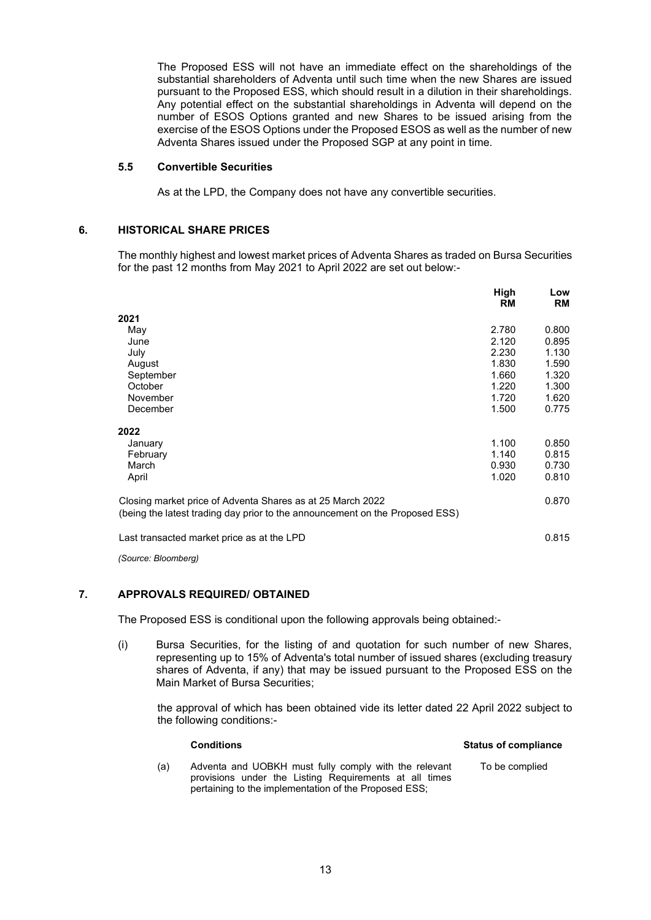The Proposed ESS will not have an immediate effect on the shareholdings of the substantial shareholders of Adventa until such time when the new Shares are issued pursuant to the Proposed ESS, which should result in a dilution in their shareholdings. Any potential effect on the substantial shareholdings in Adventa will depend on the number of ESOS Options granted and new Shares to be issued arising from the exercise of the ESOS Options under the Proposed ESOS as well as the number of new Adventa Shares issued under the Proposed SGP at any point in time.

#### **5.5 Convertible Securities**

As at the LPD, the Company does not have any convertible securities.

#### **6. HISTORICAL SHARE PRICES**

The monthly highest and lowest market prices of Adventa Shares as traded on Bursa Securities for the past 12 months from May 2021 to April 2022 are set out below:-

|                                                                                                                                            | High<br><b>RM</b> | Low<br><b>RM</b> |
|--------------------------------------------------------------------------------------------------------------------------------------------|-------------------|------------------|
| 2021                                                                                                                                       |                   |                  |
| May                                                                                                                                        | 2.780             | 0.800            |
| June                                                                                                                                       | 2.120             | 0.895            |
| July                                                                                                                                       | 2.230             | 1.130            |
| August                                                                                                                                     | 1.830             | 1.590            |
| September                                                                                                                                  | 1.660             | 1.320            |
| October                                                                                                                                    | 1.220             | 1.300            |
| November                                                                                                                                   | 1.720             | 1.620            |
| December                                                                                                                                   | 1.500             | 0.775            |
| 2022                                                                                                                                       |                   |                  |
| January                                                                                                                                    | 1.100             | 0.850            |
| February                                                                                                                                   | 1.140             | 0.815            |
| March                                                                                                                                      | 0.930             | 0.730            |
| April                                                                                                                                      | 1.020             | 0.810            |
| Closing market price of Adventa Shares as at 25 March 2022<br>(being the latest trading day prior to the announcement on the Proposed ESS) |                   | 0.870            |
| Last transacted market price as at the LPD                                                                                                 |                   | 0.815            |

*(Source: Bloomberg)*

#### **7. APPROVALS REQUIRED/ OBTAINED**

The Proposed ESS is conditional upon the following approvals being obtained:-

(i) Bursa Securities, for the listing of and quotation for such number of new Shares, representing up to 15% of Adventa's total number of issued shares (excluding treasury shares of Adventa, if any) that may be issued pursuant to the Proposed ESS on the Main Market of Bursa Securities;

the approval of which has been obtained vide its letter dated 22 April 2022 subject to the following conditions:-

|     | <b>Conditions</b>                                                                                                                                                        | <b>Status of compliance</b> |
|-----|--------------------------------------------------------------------------------------------------------------------------------------------------------------------------|-----------------------------|
| (a) | Adventa and UOBKH must fully comply with the relevant<br>provisions under the Listing Requirements at all times<br>pertaining to the implementation of the Proposed ESS; | To be complied              |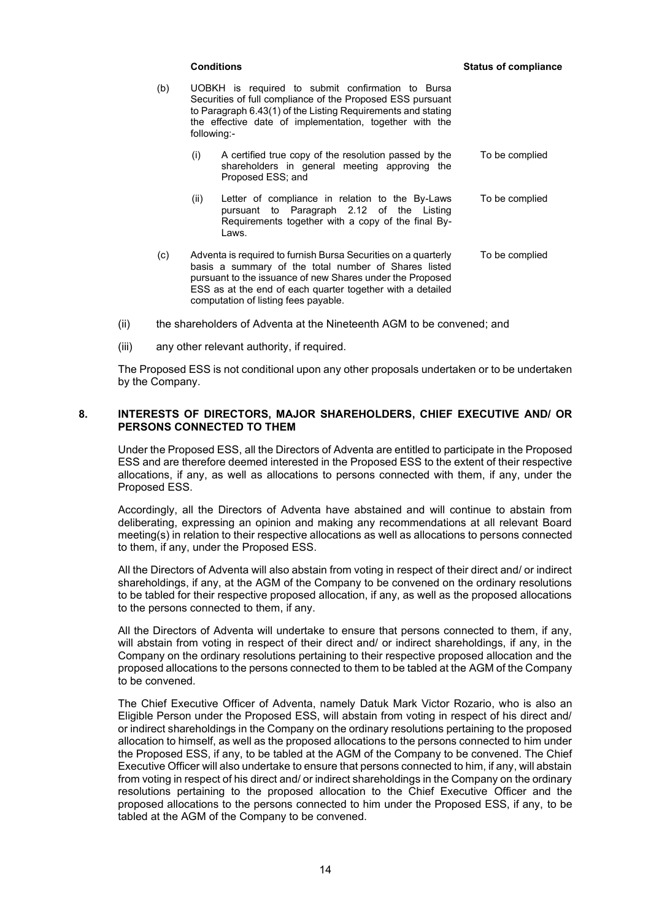- (b) UOBKH is required to submit confirmation to Bursa Securities of full compliance of the Proposed ESS pursuant to Paragraph 6.43(1) of the Listing Requirements and stating the effective date of implementation, together with the following:-
	- (i) A certified true copy of the resolution passed by the shareholders in general meeting approving the Proposed ESS; and To be complied
	- (ii) Letter of compliance in relation to the By-Laws pursuant to Paragraph 2.12 of the Listing Requirements together with a copy of the final By-Laws. To be complied
- (c) Adventa is required to furnish Bursa Securities on a quarterly basis a summary of the total number of Shares listed pursuant to the issuance of new Shares under the Proposed ESS as at the end of each quarter together with a detailed computation of listing fees payable. To be complied
- (ii) the shareholders of Adventa at the Nineteenth AGM to be convened; and
- (iii) any other relevant authority, if required.

The Proposed ESS is not conditional upon any other proposals undertaken or to be undertaken by the Company.

#### **8. INTERESTS OF DIRECTORS, MAJOR SHAREHOLDERS, CHIEF EXECUTIVE AND/ OR PERSONS CONNECTED TO THEM**

Under the Proposed ESS, all the Directors of Adventa are entitled to participate in the Proposed ESS and are therefore deemed interested in the Proposed ESS to the extent of their respective allocations, if any, as well as allocations to persons connected with them, if any, under the Proposed ESS.

Accordingly, all the Directors of Adventa have abstained and will continue to abstain from deliberating, expressing an opinion and making any recommendations at all relevant Board meeting(s) in relation to their respective allocations as well as allocations to persons connected to them, if any, under the Proposed ESS.

All the Directors of Adventa will also abstain from voting in respect of their direct and/ or indirect shareholdings, if any, at the AGM of the Company to be convened on the ordinary resolutions to be tabled for their respective proposed allocation, if any, as well as the proposed allocations to the persons connected to them, if any.

All the Directors of Adventa will undertake to ensure that persons connected to them, if any, will abstain from voting in respect of their direct and/ or indirect shareholdings, if any, in the Company on the ordinary resolutions pertaining to their respective proposed allocation and the proposed allocations to the persons connected to them to be tabled at the AGM of the Company to be convened.

The Chief Executive Officer of Adventa, namely Datuk Mark Victor Rozario, who is also an Eligible Person under the Proposed ESS, will abstain from voting in respect of his direct and/ or indirect shareholdings in the Company on the ordinary resolutions pertaining to the proposed allocation to himself, as well as the proposed allocations to the persons connected to him under the Proposed ESS, if any, to be tabled at the AGM of the Company to be convened. The Chief Executive Officer will also undertake to ensure that persons connected to him, if any, will abstain from voting in respect of his direct and/ or indirect shareholdings in the Company on the ordinary resolutions pertaining to the proposed allocation to the Chief Executive Officer and the proposed allocations to the persons connected to him under the Proposed ESS, if any, to be tabled at the AGM of the Company to be convened.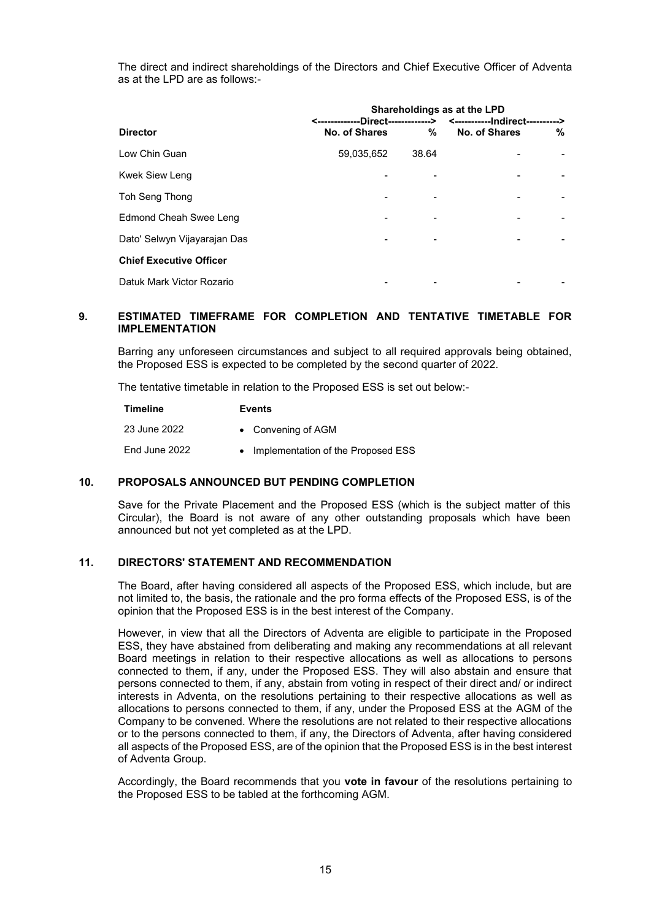The direct and indirect shareholdings of the Directors and Chief Executive Officer of Adventa as at the LPD are as follows:-

|                                |               |       | Shareholdings as at the LPD                                          |   |
|--------------------------------|---------------|-------|----------------------------------------------------------------------|---|
|                                |               |       | <-------------Direct-------------> <-------------Indirect----------> |   |
| <b>Director</b>                | No. of Shares | ℅     | No. of Shares                                                        | % |
| Low Chin Guan                  | 59,035,652    | 38.64 |                                                                      |   |
| Kwek Siew Leng                 |               |       |                                                                      |   |
| Toh Seng Thong                 |               |       |                                                                      |   |
| Edmond Cheah Swee Leng         |               |       |                                                                      |   |
| Dato' Selwyn Vijayarajan Das   |               |       |                                                                      |   |
| <b>Chief Executive Officer</b> |               |       |                                                                      |   |
| Datuk Mark Victor Rozario      |               |       |                                                                      |   |

#### **9. ESTIMATED TIMEFRAME FOR COMPLETION AND TENTATIVE TIMETABLE FOR IMPLEMENTATION**

Barring any unforeseen circumstances and subject to all required approvals being obtained, the Proposed ESS is expected to be completed by the second quarter of 2022.

The tentative timetable in relation to the Proposed ESS is set out below:-

| Timeline      | <b>Events</b>                        |
|---------------|--------------------------------------|
| 23 June 2022  | • Convening of AGM                   |
| End June 2022 | • Implementation of the Proposed ESS |

#### **10. PROPOSALS ANNOUNCED BUT PENDING COMPLETION**

Save for the Private Placement and the Proposed ESS (which is the subject matter of this Circular), the Board is not aware of any other outstanding proposals which have been announced but not yet completed as at the LPD.

#### **11. DIRECTORS' STATEMENT AND RECOMMENDATION**

The Board, after having considered all aspects of the Proposed ESS, which include, but are not limited to, the basis, the rationale and the pro forma effects of the Proposed ESS, is of the opinion that the Proposed ESS is in the best interest of the Company.

However, in view that all the Directors of Adventa are eligible to participate in the Proposed ESS, they have abstained from deliberating and making any recommendations at all relevant Board meetings in relation to their respective allocations as well as allocations to persons connected to them, if any, under the Proposed ESS. They will also abstain and ensure that persons connected to them, if any, abstain from voting in respect of their direct and/ or indirect interests in Adventa, on the resolutions pertaining to their respective allocations as well as allocations to persons connected to them, if any, under the Proposed ESS at the AGM of the Company to be convened. Where the resolutions are not related to their respective allocations or to the persons connected to them, if any, the Directors of Adventa, after having considered all aspects of the Proposed ESS, are of the opinion that the Proposed ESS is in the best interest of Adventa Group.

Accordingly, the Board recommends that you **vote in favour** of the resolutions pertaining to the Proposed ESS to be tabled at the forthcoming AGM.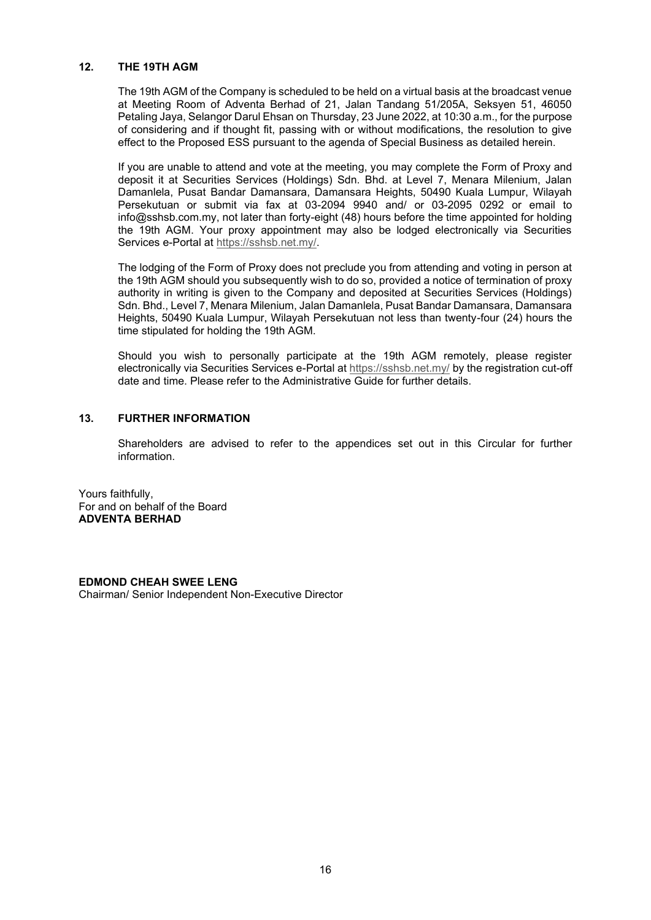#### **12. THE 19TH AGM**

The 19th AGM of the Company is scheduled to be held on a virtual basis at the broadcast venue at Meeting Room of Adventa Berhad of 21, Jalan Tandang 51/205A, Seksyen 51, 46050 Petaling Jaya, Selangor Darul Ehsan on Thursday, 23 June 2022, at 10:30 a.m., for the purpose of considering and if thought fit, passing with or without modifications, the resolution to give effect to the Proposed ESS pursuant to the agenda of Special Business as detailed herein.

If you are unable to attend and vote at the meeting, you may complete the Form of Proxy and deposit it at Securities Services (Holdings) Sdn. Bhd. at Level 7, Menara Milenium, Jalan Damanlela, Pusat Bandar Damansara, Damansara Heights, 50490 Kuala Lumpur, Wilayah Persekutuan or submit via fax at 03-2094 9940 and/ or 03-2095 0292 or email to info@sshsb.com.my, not later than forty-eight (48) hours before the time appointed for holding the 19th AGM. Your proxy appointment may also be lodged electronically via Securities Services e-Portal at https://sshsb.net.my/.

The lodging of the Form of Proxy does not preclude you from attending and voting in person at the 19th AGM should you subsequently wish to do so, provided a notice of termination of proxy authority in writing is given to the Company and deposited at Securities Services (Holdings) Sdn. Bhd., Level 7, Menara Milenium, Jalan Damanlela, Pusat Bandar Damansara, Damansara Heights, 50490 Kuala Lumpur, Wilayah Persekutuan not less than twenty-four (24) hours the time stipulated for holding the 19th AGM.

Should you wish to personally participate at the 19th AGM remotely, please register electronically via Securities Services e-Portal at https://sshsb.net.my/ by the registration cut-off date and time. Please refer to the Administrative Guide for further details.

#### **13. FURTHER INFORMATION**

Shareholders are advised to refer to the appendices set out in this Circular for further information.

Yours faithfully, For and on behalf of the Board **ADVENTA BERHAD**

**EDMOND CHEAH SWEE LENG**  Chairman/ Senior Independent Non-Executive Director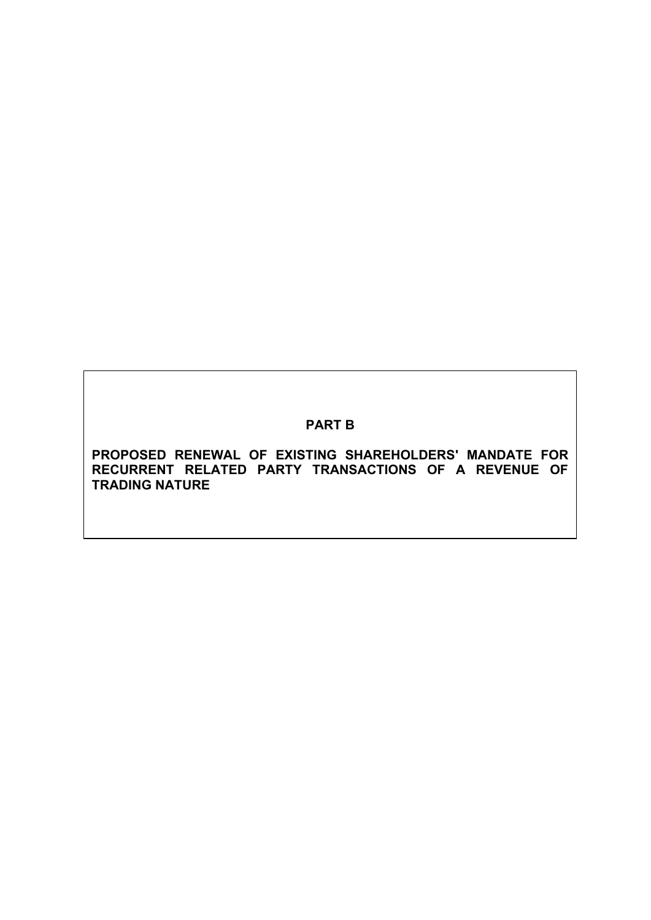# **PART B**

**PROPOSED RENEWAL OF EXISTING SHAREHOLDERS' MANDATE FOR RECURRENT RELATED PARTY TRANSACTIONS OF A REVENUE OF TRADING NATURE**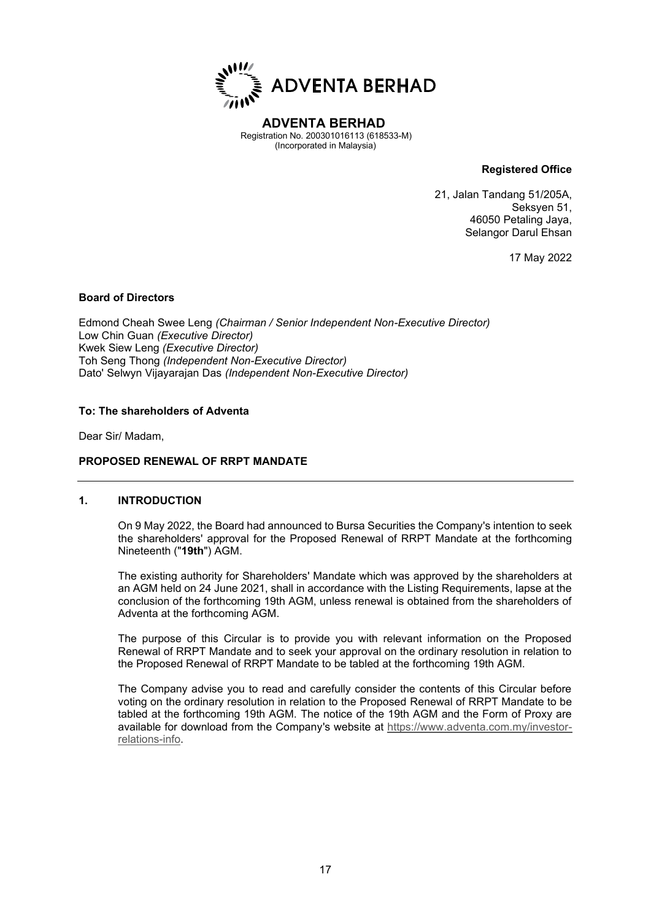

**ADVENTA BERHAD** Registration No. 200301016113 (618533-M) (Incorporated in Malaysia)

**Registered Office**

21, Jalan Tandang 51/205A, Seksyen 51, 46050 Petaling Jaya, Selangor Darul Ehsan

17 May 2022

#### **Board of Directors**

Edmond Cheah Swee Leng *(Chairman / Senior Independent Non-Executive Director)* Low Chin Guan *(Executive Director)* Kwek Siew Leng *(Executive Director)* Toh Seng Thong *(Independent Non-Executive Director)* Dato' Selwyn Vijayarajan Das *(Independent Non-Executive Director)*

#### **To: The shareholders of Adventa**

Dear Sir/ Madam,

#### **PROPOSED RENEWAL OF RRPT MANDATE**

#### **1. INTRODUCTION**

On 9 May 2022, the Board had announced to Bursa Securities the Company's intention to seek the shareholders' approval for the Proposed Renewal of RRPT Mandate at the forthcoming Nineteenth ("**19th**") AGM.

The existing authority for Shareholders' Mandate which was approved by the shareholders at an AGM held on 24 June 2021, shall in accordance with the Listing Requirements, lapse at the conclusion of the forthcoming 19th AGM, unless renewal is obtained from the shareholders of Adventa at the forthcoming AGM.

The purpose of this Circular is to provide you with relevant information on the Proposed Renewal of RRPT Mandate and to seek your approval on the ordinary resolution in relation to the Proposed Renewal of RRPT Mandate to be tabled at the forthcoming 19th AGM.

The Company advise you to read and carefully consider the contents of this Circular before voting on the ordinary resolution in relation to the Proposed Renewal of RRPT Mandate to be tabled at the forthcoming 19th AGM. The notice of the 19th AGM and the Form of Proxy are available for download from the Company's website at https://www.adventa.com.my/investorrelations-info.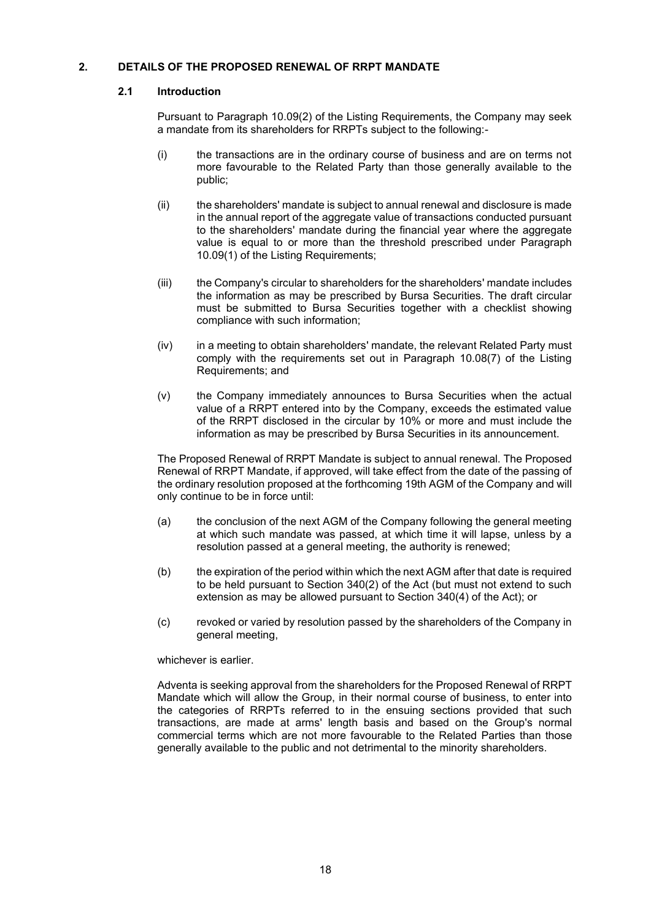#### **2. DETAILS OF THE PROPOSED RENEWAL OF RRPT MANDATE**

#### **2.1 Introduction**

Pursuant to Paragraph 10.09(2) of the Listing Requirements, the Company may seek a mandate from its shareholders for RRPTs subject to the following:-

- (i) the transactions are in the ordinary course of business and are on terms not more favourable to the Related Party than those generally available to the public;
- (ii) the shareholders' mandate is subject to annual renewal and disclosure is made in the annual report of the aggregate value of transactions conducted pursuant to the shareholders' mandate during the financial year where the aggregate value is equal to or more than the threshold prescribed under Paragraph 10.09(1) of the Listing Requirements;
- (iii) the Company's circular to shareholders for the shareholders' mandate includes the information as may be prescribed by Bursa Securities. The draft circular must be submitted to Bursa Securities together with a checklist showing compliance with such information;
- (iv) in a meeting to obtain shareholders' mandate, the relevant Related Party must comply with the requirements set out in Paragraph 10.08(7) of the Listing Requirements; and
- (v) the Company immediately announces to Bursa Securities when the actual value of a RRPT entered into by the Company, exceeds the estimated value of the RRPT disclosed in the circular by 10% or more and must include the information as may be prescribed by Bursa Securities in its announcement.

The Proposed Renewal of RRPT Mandate is subject to annual renewal. The Proposed Renewal of RRPT Mandate, if approved, will take effect from the date of the passing of the ordinary resolution proposed at the forthcoming 19th AGM of the Company and will only continue to be in force until:

- (a) the conclusion of the next AGM of the Company following the general meeting at which such mandate was passed, at which time it will lapse, unless by a resolution passed at a general meeting, the authority is renewed;
- (b) the expiration of the period within which the next AGM after that date is required to be held pursuant to Section 340(2) of the Act (but must not extend to such extension as may be allowed pursuant to Section 340(4) of the Act); or
- (c) revoked or varied by resolution passed by the shareholders of the Company in general meeting,

#### whichever is earlier.

Adventa is seeking approval from the shareholders for the Proposed Renewal of RRPT Mandate which will allow the Group, in their normal course of business, to enter into the categories of RRPTs referred to in the ensuing sections provided that such transactions, are made at arms' length basis and based on the Group's normal commercial terms which are not more favourable to the Related Parties than those generally available to the public and not detrimental to the minority shareholders.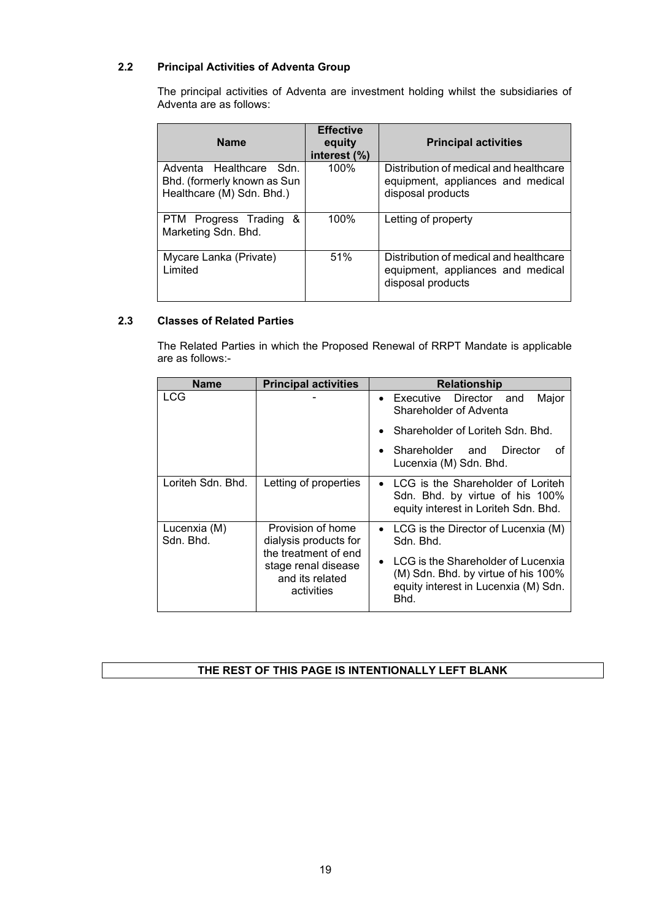# **2.2 Principal Activities of Adventa Group**

The principal activities of Adventa are investment holding whilst the subsidiaries of Adventa are as follows:

| <b>Name</b>                                                                         | <b>Effective</b><br>equity<br>interest (%) | <b>Principal activities</b>                                                                      |
|-------------------------------------------------------------------------------------|--------------------------------------------|--------------------------------------------------------------------------------------------------|
| Adventa Healthcare Sdn.<br>Bhd. (formerly known as Sun<br>Healthcare (M) Sdn. Bhd.) | 100%                                       | Distribution of medical and healthcare<br>equipment, appliances and medical<br>disposal products |
| &<br>PTM Progress Trading<br>Marketing Sdn. Bhd.                                    | 100%                                       | Letting of property                                                                              |
| Mycare Lanka (Private)<br>Limited                                                   | 51%                                        | Distribution of medical and healthcare<br>equipment, appliances and medical<br>disposal products |

#### **2.3 Classes of Related Parties**

The Related Parties in which the Proposed Renewal of RRPT Mandate is applicable are as follows:-

| <b>Name</b>               | <b>Principal activities</b>                                                  | <b>Relationship</b>                                                                                                                    |
|---------------------------|------------------------------------------------------------------------------|----------------------------------------------------------------------------------------------------------------------------------------|
| <b>LCG</b>                |                                                                              | • Executive Director<br>Major<br>and<br>Shareholder of Adventa                                                                         |
|                           |                                                                              | Shareholder of Loriteh Sdn. Bhd.                                                                                                       |
|                           |                                                                              | $\bullet$ Shareholder and<br>Director<br>οf<br>Lucenxia (M) Sdn. Bhd.                                                                  |
| Loriteh Sdn. Bhd.         | Letting of properties                                                        | • LCG is the Shareholder of Loriteh<br>Sdn. Bhd. by virtue of his 100%<br>equity interest in Loriteh Sdn. Bhd.                         |
| Lucenxia (M)<br>Sdn. Bhd. | Provision of home<br>dialysis products for                                   | • LCG is the Director of Lucenxia (M)<br>Sdn. Bhd.                                                                                     |
|                           | the treatment of end<br>stage renal disease<br>and its related<br>activities | LCG is the Shareholder of Lucenxia<br>$\bullet$<br>(M) Sdn. Bhd. by virtue of his 100%<br>equity interest in Lucenxia (M) Sdn.<br>Bhd. |

#### **THE REST OF THIS PAGE IS INTENTIONALLY LEFT BLANK**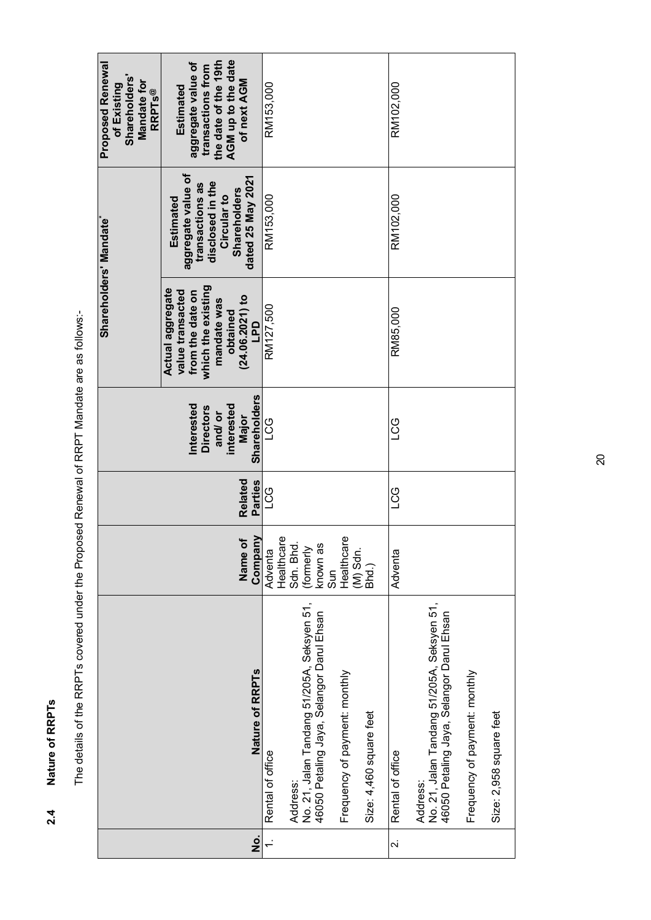Nature of RRPTs **2.4 Nature of RRPTs**   $2.4$ 

| ì              |
|----------------|
|                |
| i              |
|                |
|                |
|                |
|                |
| ĺ              |
|                |
|                |
|                |
|                |
|                |
|                |
| l              |
|                |
|                |
|                |
|                |
|                |
|                |
|                |
| <br> <br> <br> |
|                |
|                |
|                |
|                |
| خ<br>م         |
| İ              |

| <b>Shareholders</b><br><b>Mandate for</b><br>of Existing<br><b>RRPTs®</b> | AGM up to the date<br>the date of the 19th<br>aggregate value of<br>transactions from<br>of next AGM<br>Estimated                 | RM153,000        |                                                                                                     |     |                               |                         | RM102,000        |                                                                                                     |                               |                         |
|---------------------------------------------------------------------------|-----------------------------------------------------------------------------------------------------------------------------------|------------------|-----------------------------------------------------------------------------------------------------|-----|-------------------------------|-------------------------|------------------|-----------------------------------------------------------------------------------------------------|-------------------------------|-------------------------|
| <b>Proposed Renewal</b>                                                   |                                                                                                                                   |                  |                                                                                                     |     |                               |                         |                  |                                                                                                     |                               |                         |
| Shareholders' Mandate*                                                    | aggregate value of<br>dated 25 May 2021<br>disclosed in the<br>transactions as<br><b>Shareholders</b><br>Circular to<br>Estimated | RM153,000        |                                                                                                     |     |                               |                         | RM102,000        |                                                                                                     |                               |                         |
|                                                                           | which the existing<br>Actual aggregate<br>value transacted<br>from the date on<br>(24.06.2021) to<br>mandate was<br>obtained      | RM127,500        |                                                                                                     |     |                               |                         | RM85,000         |                                                                                                     |                               |                         |
|                                                                           | Shareholders<br>Interested<br>interested<br><b>Directors</b><br>and/ or<br>Major                                                  | ပိပ              |                                                                                                     |     |                               |                         | 5CT              |                                                                                                     |                               |                         |
|                                                                           | Related<br>Parties                                                                                                                | CG<br>L          |                                                                                                     |     |                               |                         | <b>CG</b>        |                                                                                                     |                               |                         |
|                                                                           | Company<br>Name of                                                                                                                | Adventa          | Healthcare<br>(formerly<br>known as<br>Sdn. Bhd.                                                    | Sun | Healthcare<br>$(M)$ Sdn.      | Bhd.)                   | Adventa          |                                                                                                     |                               |                         |
|                                                                           | Nature of RRPTs                                                                                                                   | Rental of office | No. 21, Jalan Tandang 51/205A, Seksyen 51,<br>46050 Petaling Jaya, Selangor Darul Ehsan<br>Address: |     | Frequency of payment: monthly | Size: 4,460 square feet | Rental of office | No. 21, Jalan Tandang 51/205A, Seksyen 51,<br>46050 Petaling Jaya, Selangor Darul Ehsan<br>Address: | Frequency of payment: monthly | Size: 2,958 square feet |
|                                                                           | ż                                                                                                                                 |                  |                                                                                                     |     |                               |                         | $\sim$           |                                                                                                     |                               |                         |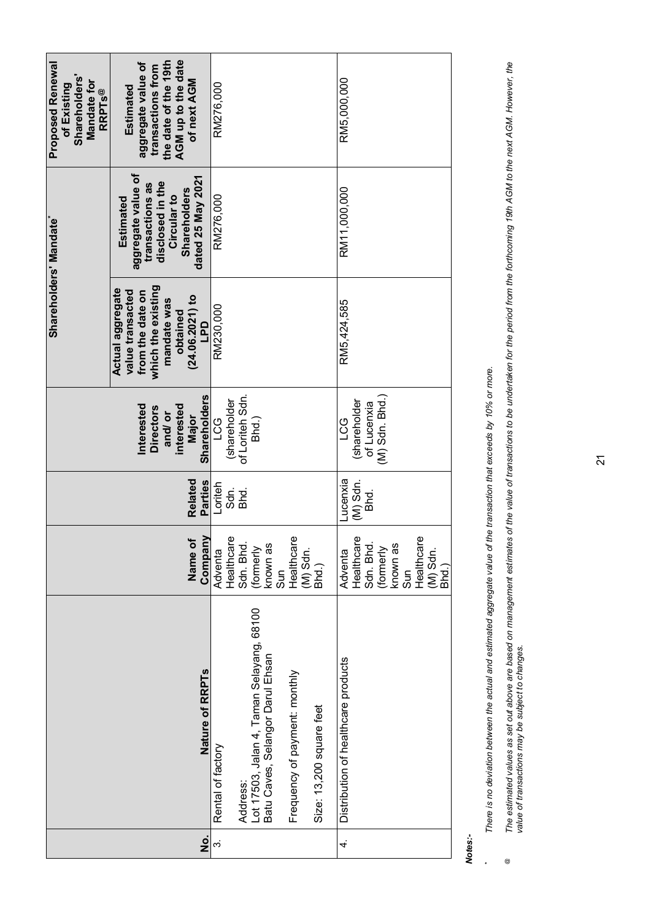| <b>Proposed Renewal</b><br><b>Shareholders</b><br>Mandate for<br>of Existing<br><b>RRPTs@</b> | the date of the 19th<br>AGM up to the date<br>aggregate value of<br>transactions from<br>of next AGM<br>Estimated                     | RM276,000         |              |                 |                                                                               |        |                               |                          | RM5,000,000                         |                                                                                            |
|-----------------------------------------------------------------------------------------------|---------------------------------------------------------------------------------------------------------------------------------------|-------------------|--------------|-----------------|-------------------------------------------------------------------------------|--------|-------------------------------|--------------------------|-------------------------------------|--------------------------------------------------------------------------------------------|
| Shareholders' Mandate*                                                                        | aggregate value of<br>dated 25 May 2021<br>disclosed in the<br>transactions as<br><b>Shareholders</b><br>Circular to<br>Estimated     | RM276,000         |              |                 |                                                                               |        |                               |                          | RM11,000,000                        |                                                                                            |
|                                                                                               | which the existing<br>Actual aggregate<br>value transacted<br>from the date on<br>$(24.06.2021)$ to<br>mandate was<br>obtained<br>LPD | RM230,000         |              |                 |                                                                               |        |                               |                          | RM5,424,585                         |                                                                                            |
|                                                                                               | <b>Shareholders</b><br>Interested<br>interested<br><b>Directors</b><br>and/or<br>Major                                                | <b>PCG</b>        | (shareholder | of Loriteh Sdn. | Bhd.)                                                                         |        |                               |                          | <b>LCG</b>                          | $(M)$ Sdn. Bhd.)<br>(shareholder<br>of Lucenxia                                            |
|                                                                                               | Related<br>Parties                                                                                                                    | Loriteh           | Sdn.         | Bhd.            |                                                                               |        |                               |                          | -ucenxia                            | $(M)$ Sdn.<br>Bhd.                                                                         |
|                                                                                               | Name of<br>Company                                                                                                                    | Adventa           | Healthcare   | Sdn. Bhd.       | (formerly<br>known as                                                         | $\sin$ | Healthcare                    | $(M)$ Sdn.<br>Bhd.)      | Adventa                             | Healthcare<br>Sdn. Bhd.<br>Healthcare<br>(formerly<br>known as<br>Sun<br>(M) Sdn.<br>Bhd.) |
|                                                                                               | Nature of RRPTs                                                                                                                       | Rental of factory |              | Address:        | Lot 17503, Jalan 4, Taman Selayang, 68100<br>Batu Caves, Selangor Darul Ehsan |        | Frequency of payment: monthly | Size: 13,200 square feet | Distribution of healthcare products |                                                                                            |
|                                                                                               | $\frac{1}{2}$                                                                                                                         | $\dot{\infty}$    |              |                 |                                                                               |        |                               |                          | 4.                                  |                                                                                            |

*Notes:-*

**\***

There is no deviation between the actual and estimated aggregate value of the transaction that exceeds by 10% or more. *There is no deviation between the actual and estimated aggregate value of the transaction that exceeds by 10% or more.*

The estimated values as set out above are based on management estimates of the value of transactions to be undertaken for the period from the forthcoming 19th AGM to the next AGM. However, the<br>value of transactions may be *The estimated values as set out above are based on management estimates of the value of transactions to be undertaken for the period from the forthcoming 19th AGM to the next AGM. However, the value of transactions may be subject to changes. @*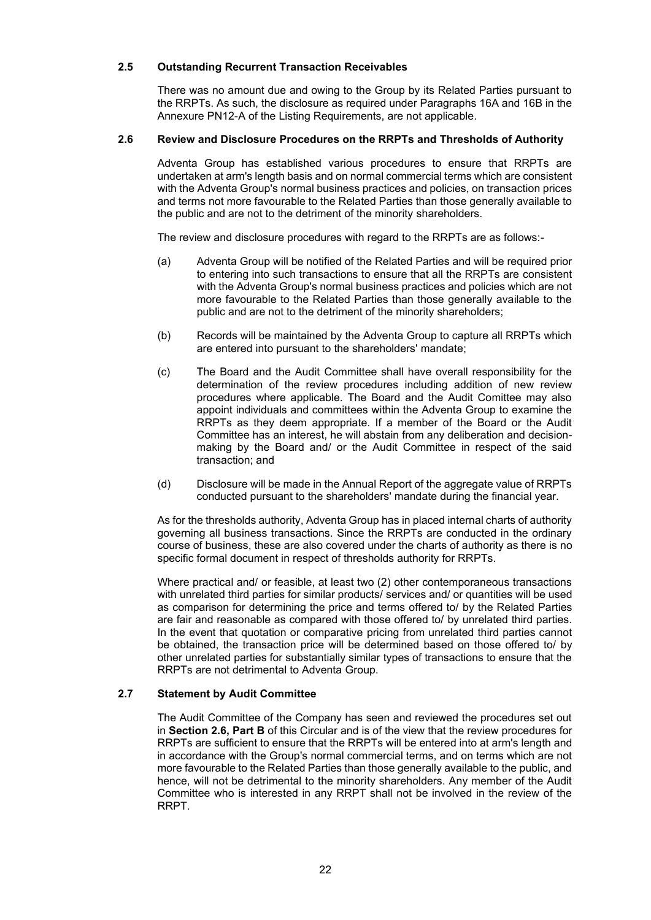#### **2.5 Outstanding Recurrent Transaction Receivables**

There was no amount due and owing to the Group by its Related Parties pursuant to the RRPTs. As such, the disclosure as required under Paragraphs 16A and 16B in the Annexure PN12-A of the Listing Requirements, are not applicable.

#### **2.6 Review and Disclosure Procedures on the RRPTs and Thresholds of Authority**

Adventa Group has established various procedures to ensure that RRPTs are undertaken at arm's length basis and on normal commercial terms which are consistent with the Adventa Group's normal business practices and policies, on transaction prices and terms not more favourable to the Related Parties than those generally available to the public and are not to the detriment of the minority shareholders.

The review and disclosure procedures with regard to the RRPTs are as follows:-

- (a) Adventa Group will be notified of the Related Parties and will be required prior to entering into such transactions to ensure that all the RRPTs are consistent with the Adventa Group's normal business practices and policies which are not more favourable to the Related Parties than those generally available to the public and are not to the detriment of the minority shareholders;
- (b) Records will be maintained by the Adventa Group to capture all RRPTs which are entered into pursuant to the shareholders' mandate;
- (c) The Board and the Audit Committee shall have overall responsibility for the determination of the review procedures including addition of new review procedures where applicable. The Board and the Audit Comittee may also appoint individuals and committees within the Adventa Group to examine the RRPTs as they deem appropriate. If a member of the Board or the Audit Committee has an interest, he will abstain from any deliberation and decisionmaking by the Board and/ or the Audit Committee in respect of the said transaction; and
- (d) Disclosure will be made in the Annual Report of the aggregate value of RRPTs conducted pursuant to the shareholders' mandate during the financial year.

As for the thresholds authority, Adventa Group has in placed internal charts of authority governing all business transactions. Since the RRPTs are conducted in the ordinary course of business, these are also covered under the charts of authority as there is no specific formal document in respect of thresholds authority for RRPTs.

Where practical and/ or feasible, at least two (2) other contemporaneous transactions with unrelated third parties for similar products/ services and/ or quantities will be used as comparison for determining the price and terms offered to/ by the Related Parties are fair and reasonable as compared with those offered to/ by unrelated third parties. In the event that quotation or comparative pricing from unrelated third parties cannot be obtained, the transaction price will be determined based on those offered to/ by other unrelated parties for substantially similar types of transactions to ensure that the RRPTs are not detrimental to Adventa Group.

#### **2.7 Statement by Audit Committee**

The Audit Committee of the Company has seen and reviewed the procedures set out in **Section 2.6, Part B** of this Circular and is of the view that the review procedures for RRPTs are sufficient to ensure that the RRPTs will be entered into at arm's length and in accordance with the Group's normal commercial terms, and on terms which are not more favourable to the Related Parties than those generally available to the public, and hence, will not be detrimental to the minority shareholders. Any member of the Audit Committee who is interested in any RRPT shall not be involved in the review of the RRPT.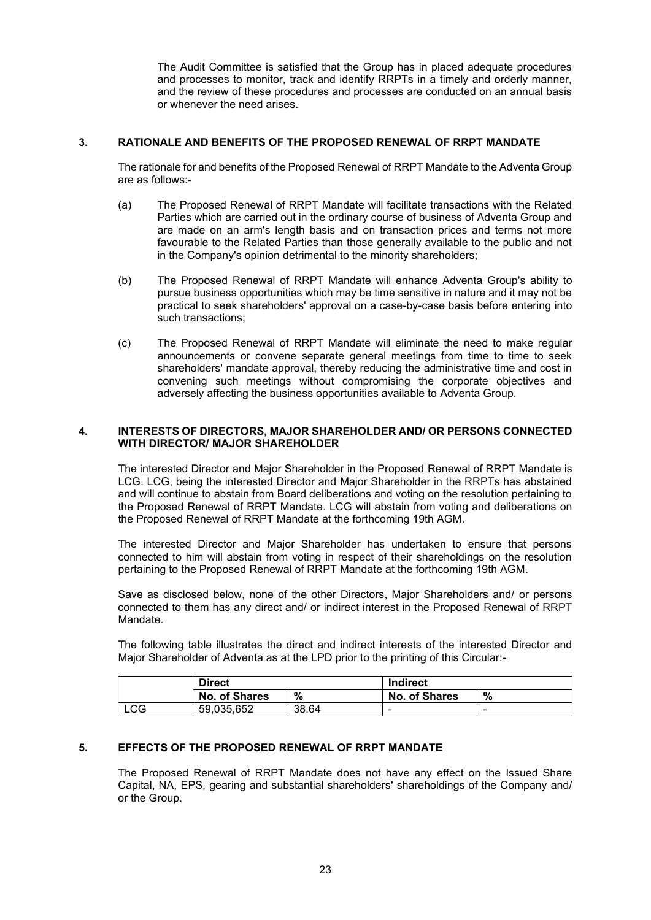The Audit Committee is satisfied that the Group has in placed adequate procedures and processes to monitor, track and identify RRPTs in a timely and orderly manner, and the review of these procedures and processes are conducted on an annual basis or whenever the need arises.

#### **3. RATIONALE AND BENEFITS OF THE PROPOSED RENEWAL OF RRPT MANDATE**

The rationale for and benefits of the Proposed Renewal of RRPT Mandate to the Adventa Group are as follows:-

- (a) The Proposed Renewal of RRPT Mandate will facilitate transactions with the Related Parties which are carried out in the ordinary course of business of Adventa Group and are made on an arm's length basis and on transaction prices and terms not more favourable to the Related Parties than those generally available to the public and not in the Company's opinion detrimental to the minority shareholders;
- (b) The Proposed Renewal of RRPT Mandate will enhance Adventa Group's ability to pursue business opportunities which may be time sensitive in nature and it may not be practical to seek shareholders' approval on a case-by-case basis before entering into such transactions;
- (c) The Proposed Renewal of RRPT Mandate will eliminate the need to make regular announcements or convene separate general meetings from time to time to seek shareholders' mandate approval, thereby reducing the administrative time and cost in convening such meetings without compromising the corporate objectives and adversely affecting the business opportunities available to Adventa Group.

#### **4. INTERESTS OF DIRECTORS, MAJOR SHAREHOLDER AND/ OR PERSONS CONNECTED WITH DIRECTOR/ MAJOR SHAREHOLDER**

The interested Director and Major Shareholder in the Proposed Renewal of RRPT Mandate is LCG. LCG, being the interested Director and Major Shareholder in the RRPTs has abstained and will continue to abstain from Board deliberations and voting on the resolution pertaining to the Proposed Renewal of RRPT Mandate. LCG will abstain from voting and deliberations on the Proposed Renewal of RRPT Mandate at the forthcoming 19th AGM.

The interested Director and Major Shareholder has undertaken to ensure that persons connected to him will abstain from voting in respect of their shareholdings on the resolution pertaining to the Proposed Renewal of RRPT Mandate at the forthcoming 19th AGM.

Save as disclosed below, none of the other Directors, Major Shareholders and/ or persons connected to them has any direct and/ or indirect interest in the Proposed Renewal of RRPT Mandate.

The following table illustrates the direct and indirect interests of the interested Director and Major Shareholder of Adventa as at the LPD prior to the printing of this Circular:-

|            | <b>Direct</b> |       | <b>Indirect</b>      |   |
|------------|---------------|-------|----------------------|---|
|            | No. of Shares | %     | <b>No. of Shares</b> | % |
| <b>LCG</b> | 59.035.652    | 38.64 | -                    |   |

### **5. EFFECTS OF THE PROPOSED RENEWAL OF RRPT MANDATE**

The Proposed Renewal of RRPT Mandate does not have any effect on the Issued Share Capital, NA, EPS, gearing and substantial shareholders' shareholdings of the Company and/ or the Group.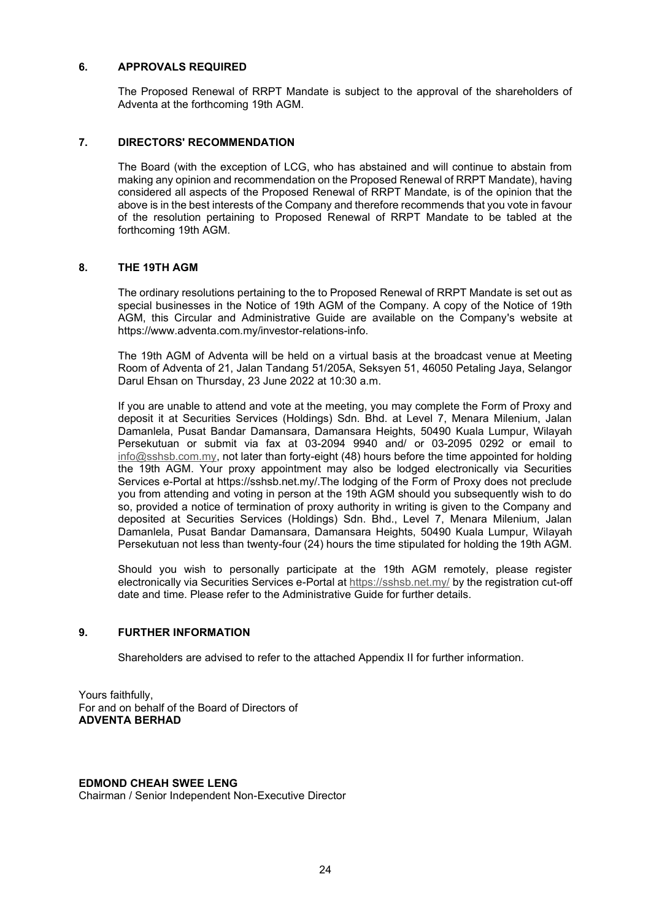#### **6. APPROVALS REQUIRED**

The Proposed Renewal of RRPT Mandate is subject to the approval of the shareholders of Adventa at the forthcoming 19th AGM.

#### **7. DIRECTORS' RECOMMENDATION**

The Board (with the exception of LCG, who has abstained and will continue to abstain from making any opinion and recommendation on the Proposed Renewal of RRPT Mandate), having considered all aspects of the Proposed Renewal of RRPT Mandate, is of the opinion that the above is in the best interests of the Company and therefore recommends that you vote in favour of the resolution pertaining to Proposed Renewal of RRPT Mandate to be tabled at the forthcoming 19th AGM.

#### **8. THE 19TH AGM**

The ordinary resolutions pertaining to the to Proposed Renewal of RRPT Mandate is set out as special businesses in the Notice of 19th AGM of the Company. A copy of the Notice of 19th AGM, this Circular and Administrative Guide are available on the Company's website at https://www.adventa.com.my/investor-relations-info.

The 19th AGM of Adventa will be held on a virtual basis at the broadcast venue at Meeting Room of Adventa of 21, Jalan Tandang 51/205A, Seksyen 51, 46050 Petaling Jaya, Selangor Darul Ehsan on Thursday, 23 June 2022 at 10:30 a.m.

If you are unable to attend and vote at the meeting, you may complete the Form of Proxy and deposit it at Securities Services (Holdings) Sdn. Bhd. at Level 7, Menara Milenium, Jalan Damanlela, Pusat Bandar Damansara, Damansara Heights, 50490 Kuala Lumpur, Wilayah Persekutuan or submit via fax at 03-2094 9940 and/ or 03-2095 0292 or email to info@sshsb.com.my, not later than forty-eight (48) hours before the time appointed for holding the 19th AGM. Your proxy appointment may also be lodged electronically via Securities Services e-Portal at https://sshsb.net.my/.The lodging of the Form of Proxy does not preclude you from attending and voting in person at the 19th AGM should you subsequently wish to do so, provided a notice of termination of proxy authority in writing is given to the Company and deposited at Securities Services (Holdings) Sdn. Bhd., Level 7, Menara Milenium, Jalan Damanlela, Pusat Bandar Damansara, Damansara Heights, 50490 Kuala Lumpur, Wilayah Persekutuan not less than twenty-four (24) hours the time stipulated for holding the 19th AGM.

Should you wish to personally participate at the 19th AGM remotely, please register electronically via Securities Services e-Portal at https://sshsb.net.my/ by the registration cut-off date and time. Please refer to the Administrative Guide for further details.

#### **9. FURTHER INFORMATION**

Shareholders are advised to refer to the attached Appendix II for further information.

Yours faithfully, For and on behalf of the Board of Directors of **ADVENTA BERHAD**

#### **EDMOND CHEAH SWEE LENG**

Chairman / Senior Independent Non-Executive Director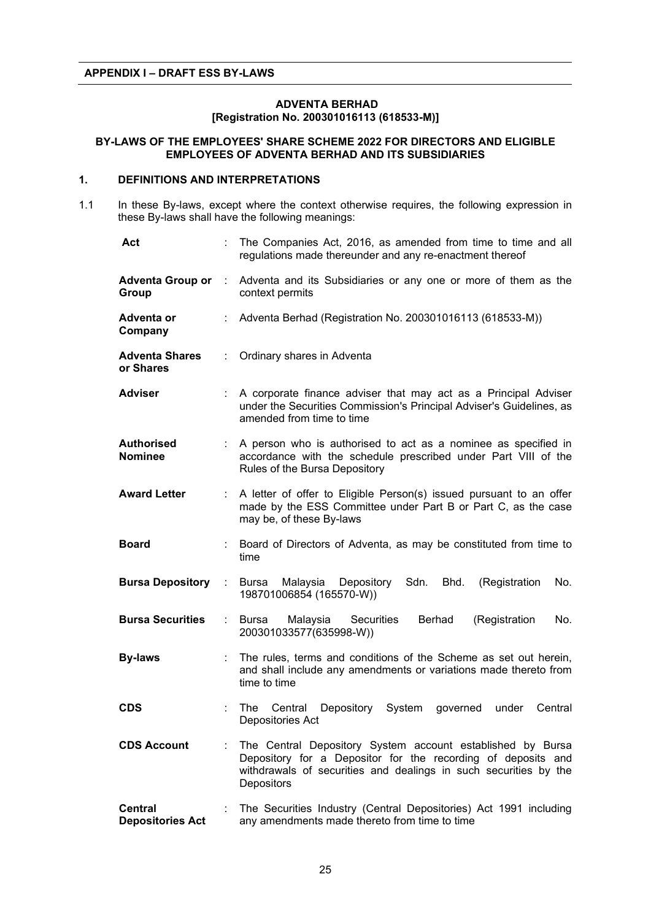#### **ADVENTA BERHAD [Registration No. 200301016113 (618533-M)]**

#### **BY-LAWS OF THE EMPLOYEES' SHARE SCHEME 2022 FOR DIRECTORS AND ELIGIBLE EMPLOYEES OF ADVENTA BERHAD AND ITS SUBSIDIARIES**

#### **1. DEFINITIONS AND INTERPRETATIONS**

1.1 In these By-laws, except where the context otherwise requires, the following expression in these By-laws shall have the following meanings:

| Act                                       |    | The Companies Act, 2016, as amended from time to time and all<br>regulations made thereunder and any re-enactment thereof                                                                                    |
|-------------------------------------------|----|--------------------------------------------------------------------------------------------------------------------------------------------------------------------------------------------------------------|
| <b>Adventa Group or</b><br>Group          | ÷. | Adventa and its Subsidiaries or any one or more of them as the<br>context permits                                                                                                                            |
| Adventa or<br>Company                     |    | Adventa Berhad (Registration No. 200301016113 (618533-M))                                                                                                                                                    |
| <b>Adventa Shares</b><br>or Shares        |    | Ordinary shares in Adventa                                                                                                                                                                                   |
| <b>Adviser</b>                            |    | A corporate finance adviser that may act as a Principal Adviser<br>under the Securities Commission's Principal Adviser's Guidelines, as<br>amended from time to time                                         |
| <b>Authorised</b><br><b>Nominee</b>       | t. | A person who is authorised to act as a nominee as specified in<br>accordance with the schedule prescribed under Part VIII of the<br>Rules of the Bursa Depository                                            |
| <b>Award Letter</b>                       | t. | A letter of offer to Eligible Person(s) issued pursuant to an offer<br>made by the ESS Committee under Part B or Part C, as the case<br>may be, of these By-laws                                             |
| <b>Board</b>                              |    | Board of Directors of Adventa, as may be constituted from time to<br>time                                                                                                                                    |
| <b>Bursa Depository</b>                   | ÷. | Depository Sdn.<br>Bursa<br>Malaysia<br>Bhd.<br>(Registration<br>No.<br>198701006854 (165570-W))                                                                                                             |
| <b>Bursa Securities</b>                   | ÷  | Bursa<br>Malaysia<br>Securities<br><b>Berhad</b><br>(Registration<br>No.<br>200301033577(635998-W))                                                                                                          |
| <b>By-laws</b>                            |    | The rules, terms and conditions of the Scheme as set out herein,<br>and shall include any amendments or variations made thereto from<br>time to time                                                         |
| <b>CDS</b>                                |    | Central<br>Depository<br>System<br>Central<br><b>The</b><br>governed<br>under<br>Depositories Act                                                                                                            |
| <b>CDS Account</b>                        |    | The Central Depository System account established by Bursa<br>Depository for a Depositor for the recording of deposits and<br>withdrawals of securities and dealings in such securities by the<br>Depositors |
| <b>Central</b><br><b>Depositories Act</b> |    | The Securities Industry (Central Depositories) Act 1991 including<br>any amendments made thereto from time to time                                                                                           |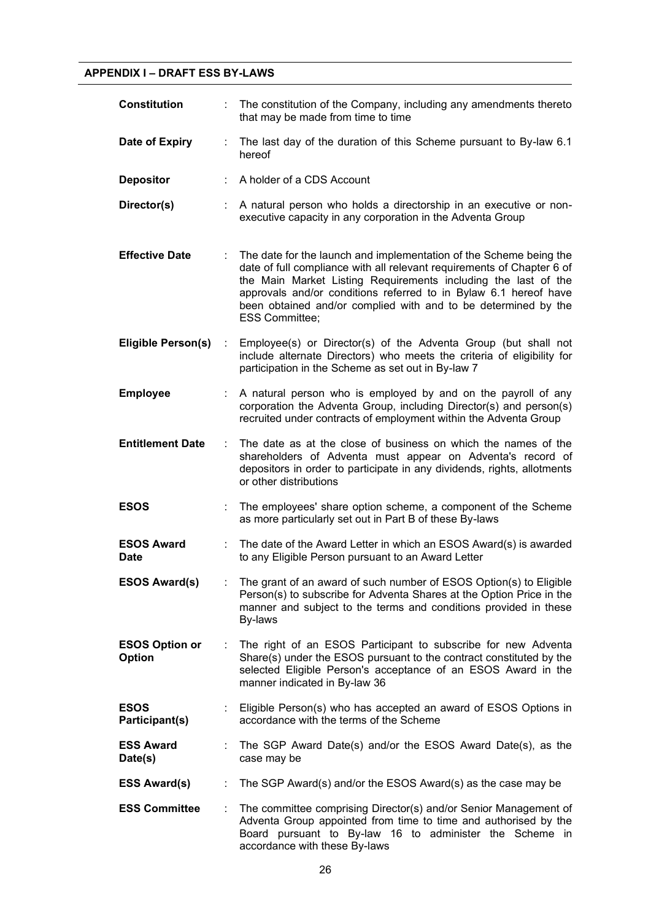# **APPENDIX I – DRAFT ESS BY-LAWS**

| <b>Constitution</b>              |    | The constitution of the Company, including any amendments thereto<br>that may be made from time to time                                                                                                                                                                                                                                                                       |
|----------------------------------|----|-------------------------------------------------------------------------------------------------------------------------------------------------------------------------------------------------------------------------------------------------------------------------------------------------------------------------------------------------------------------------------|
| Date of Expiry                   | ÷. | The last day of the duration of this Scheme pursuant to By-law 6.1<br>hereof                                                                                                                                                                                                                                                                                                  |
| <b>Depositor</b>                 |    | A holder of a CDS Account                                                                                                                                                                                                                                                                                                                                                     |
| Director(s)                      |    | A natural person who holds a directorship in an executive or non-<br>executive capacity in any corporation in the Adventa Group                                                                                                                                                                                                                                               |
| <b>Effective Date</b>            |    | The date for the launch and implementation of the Scheme being the<br>date of full compliance with all relevant requirements of Chapter 6 of<br>the Main Market Listing Requirements including the last of the<br>approvals and/or conditions referred to in Bylaw 6.1 hereof have<br>been obtained and/or complied with and to be determined by the<br><b>ESS Committee;</b> |
| <b>Eligible Person(s)</b>        | ÷  | Employee(s) or Director(s) of the Adventa Group (but shall not<br>include alternate Directors) who meets the criteria of eligibility for<br>participation in the Scheme as set out in By-law 7                                                                                                                                                                                |
| <b>Employee</b>                  |    | A natural person who is employed by and on the payroll of any<br>corporation the Adventa Group, including Director(s) and person(s)<br>recruited under contracts of employment within the Adventa Group                                                                                                                                                                       |
| <b>Entitlement Date</b>          | ÷  | The date as at the close of business on which the names of the<br>shareholders of Adventa must appear on Adventa's record of<br>depositors in order to participate in any dividends, rights, allotments<br>or other distributions                                                                                                                                             |
| <b>ESOS</b>                      |    | The employees' share option scheme, a component of the Scheme<br>as more particularly set out in Part B of these By-laws                                                                                                                                                                                                                                                      |
| <b>ESOS Award</b><br><b>Date</b> |    | The date of the Award Letter in which an ESOS Award(s) is awarded<br>to any Eligible Person pursuant to an Award Letter                                                                                                                                                                                                                                                       |
| <b>ESOS Award(s)</b>             |    | : The grant of an award of such number of ESOS Option(s) to Eligible<br>Person(s) to subscribe for Adventa Shares at the Option Price in the<br>manner and subject to the terms and conditions provided in these<br>By-laws                                                                                                                                                   |
| <b>ESOS Option or</b><br>Option  | ÷. | The right of an ESOS Participant to subscribe for new Adventa<br>Share(s) under the ESOS pursuant to the contract constituted by the<br>selected Eligible Person's acceptance of an ESOS Award in the<br>manner indicated in By-law 36                                                                                                                                        |
| <b>ESOS</b><br>Participant(s)    |    | Eligible Person(s) who has accepted an award of ESOS Options in<br>accordance with the terms of the Scheme                                                                                                                                                                                                                                                                    |
| <b>ESS Award</b><br>Date(s)      |    | The SGP Award Date(s) and/or the ESOS Award Date(s), as the<br>case may be                                                                                                                                                                                                                                                                                                    |
| <b>ESS Award(s)</b>              |    | The SGP Award(s) and/or the ESOS Award(s) as the case may be                                                                                                                                                                                                                                                                                                                  |
| <b>ESS Committee</b>             |    | The committee comprising Director(s) and/or Senior Management of<br>Adventa Group appointed from time to time and authorised by the<br>Board pursuant to By-law 16 to administer the Scheme in<br>accordance with these By-laws                                                                                                                                               |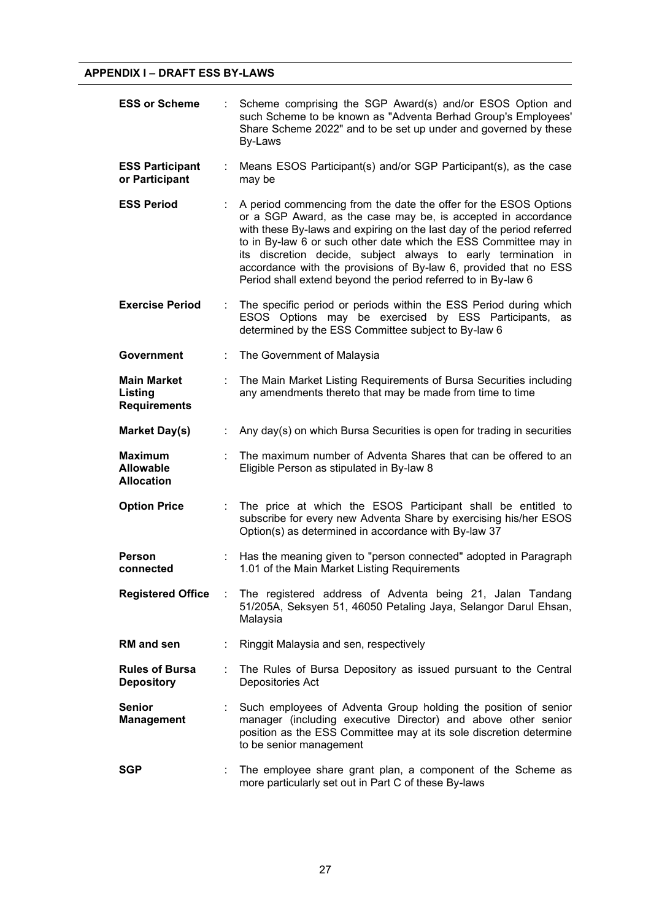| <b>ESS or Scheme</b>                                    |    | Scheme comprising the SGP Award(s) and/or ESOS Option and<br>such Scheme to be known as "Adventa Berhad Group's Employees'<br>Share Scheme 2022" and to be set up under and governed by these<br>By-Laws                                                                                                                                                                                                                                                                              |
|---------------------------------------------------------|----|---------------------------------------------------------------------------------------------------------------------------------------------------------------------------------------------------------------------------------------------------------------------------------------------------------------------------------------------------------------------------------------------------------------------------------------------------------------------------------------|
| <b>ESS Participant</b><br>or Participant                | ÷. | Means ESOS Participant(s) and/or SGP Participant(s), as the case<br>may be                                                                                                                                                                                                                                                                                                                                                                                                            |
| <b>ESS Period</b>                                       |    | A period commencing from the date the offer for the ESOS Options<br>or a SGP Award, as the case may be, is accepted in accordance<br>with these By-laws and expiring on the last day of the period referred<br>to in By-law 6 or such other date which the ESS Committee may in<br>its discretion decide, subject always to early termination in<br>accordance with the provisions of By-law 6, provided that no ESS<br>Period shall extend beyond the period referred to in By-law 6 |
| <b>Exercise Period</b>                                  | ÷. | The specific period or periods within the ESS Period during which<br>ESOS Options may be exercised by ESS Participants, as<br>determined by the ESS Committee subject to By-law 6                                                                                                                                                                                                                                                                                                     |
| <b>Government</b>                                       |    | The Government of Malaysia                                                                                                                                                                                                                                                                                                                                                                                                                                                            |
| <b>Main Market</b><br>Listing<br><b>Requirements</b>    |    | The Main Market Listing Requirements of Bursa Securities including<br>any amendments thereto that may be made from time to time                                                                                                                                                                                                                                                                                                                                                       |
| <b>Market Day(s)</b>                                    |    | Any day(s) on which Bursa Securities is open for trading in securities                                                                                                                                                                                                                                                                                                                                                                                                                |
| <b>Maximum</b><br><b>Allowable</b><br><b>Allocation</b> |    | The maximum number of Adventa Shares that can be offered to an<br>Eligible Person as stipulated in By-law 8                                                                                                                                                                                                                                                                                                                                                                           |
| <b>Option Price</b>                                     |    | The price at which the ESOS Participant shall be entitled to<br>subscribe for every new Adventa Share by exercising his/her ESOS<br>Option(s) as determined in accordance with By-law 37                                                                                                                                                                                                                                                                                              |
| Person<br>connected                                     |    | Has the meaning given to "person connected" adopted in Paragraph<br>1.01 of the Main Market Listing Requirements                                                                                                                                                                                                                                                                                                                                                                      |
| <b>Registered Office</b>                                |    | The registered address of Adventa being 21, Jalan Tandang<br>51/205A, Seksyen 51, 46050 Petaling Jaya, Selangor Darul Ehsan,<br>Malaysia                                                                                                                                                                                                                                                                                                                                              |
| RM and sen                                              | ÷  | Ringgit Malaysia and sen, respectively                                                                                                                                                                                                                                                                                                                                                                                                                                                |
| <b>Rules of Bursa</b><br><b>Depository</b>              |    | The Rules of Bursa Depository as issued pursuant to the Central<br>Depositories Act                                                                                                                                                                                                                                                                                                                                                                                                   |
| <b>Senior</b><br><b>Management</b>                      |    | Such employees of Adventa Group holding the position of senior<br>manager (including executive Director) and above other senior<br>position as the ESS Committee may at its sole discretion determine<br>to be senior management                                                                                                                                                                                                                                                      |
| <b>SGP</b>                                              |    | The employee share grant plan, a component of the Scheme as<br>more particularly set out in Part C of these By-laws                                                                                                                                                                                                                                                                                                                                                                   |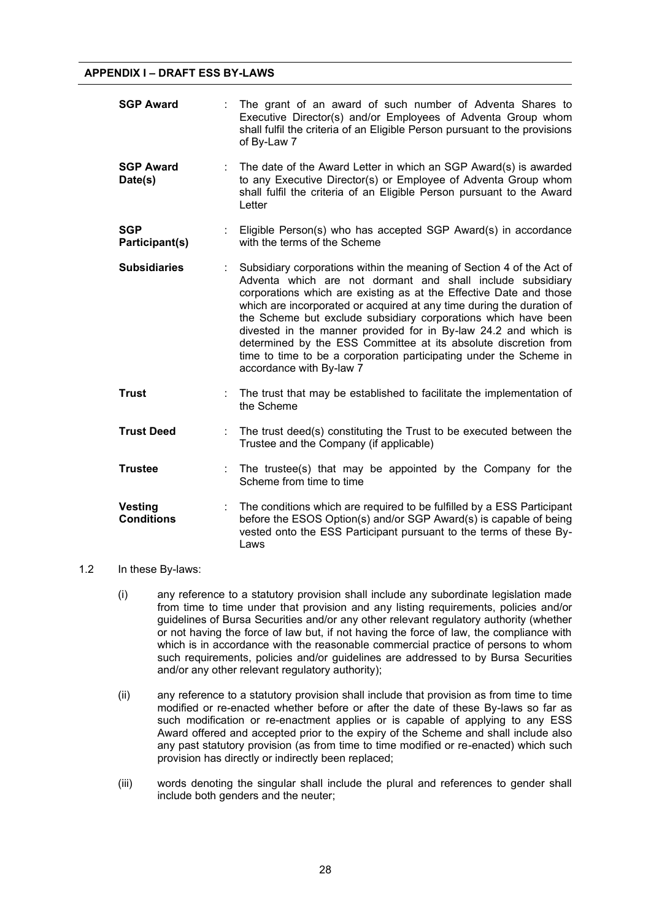| <b>SGP Award</b>                    | The grant of an award of such number of Adventa Shares to<br>Executive Director(s) and/or Employees of Adventa Group whom<br>shall fulfil the criteria of an Eligible Person pursuant to the provisions<br>of By-Law 7                                                                                                                                                                                                                                                                                                                                                                       |
|-------------------------------------|----------------------------------------------------------------------------------------------------------------------------------------------------------------------------------------------------------------------------------------------------------------------------------------------------------------------------------------------------------------------------------------------------------------------------------------------------------------------------------------------------------------------------------------------------------------------------------------------|
| <b>SGP Award</b><br>Date(s)         | The date of the Award Letter in which an SGP Award(s) is awarded<br>to any Executive Director(s) or Employee of Adventa Group whom<br>shall fulfil the criteria of an Eligible Person pursuant to the Award<br>Letter                                                                                                                                                                                                                                                                                                                                                                        |
| <b>SGP</b><br>Participant(s)        | Eligible Person(s) who has accepted SGP Award(s) in accordance<br>with the terms of the Scheme                                                                                                                                                                                                                                                                                                                                                                                                                                                                                               |
| <b>Subsidiaries</b>                 | Subsidiary corporations within the meaning of Section 4 of the Act of<br>Adventa which are not dormant and shall include subsidiary<br>corporations which are existing as at the Effective Date and those<br>which are incorporated or acquired at any time during the duration of<br>the Scheme but exclude subsidiary corporations which have been<br>divested in the manner provided for in By-law 24.2 and which is<br>determined by the ESS Committee at its absolute discretion from<br>time to time to be a corporation participating under the Scheme in<br>accordance with By-law 7 |
| <b>Trust</b>                        | The trust that may be established to facilitate the implementation of<br>the Scheme                                                                                                                                                                                                                                                                                                                                                                                                                                                                                                          |
| <b>Trust Deed</b>                   | The trust deed(s) constituting the Trust to be executed between the<br>Trustee and the Company (if applicable)                                                                                                                                                                                                                                                                                                                                                                                                                                                                               |
| <b>Trustee</b>                      | The trustee(s) that may be appointed by the Company for the<br>Scheme from time to time                                                                                                                                                                                                                                                                                                                                                                                                                                                                                                      |
| <b>Vesting</b><br><b>Conditions</b> | The conditions which are required to be fulfilled by a ESS Participant<br>before the ESOS Option(s) and/or SGP Award(s) is capable of being<br>vested onto the ESS Participant pursuant to the terms of these By-<br>Laws                                                                                                                                                                                                                                                                                                                                                                    |

# 1.2 In these By-laws:

- (i) any reference to a statutory provision shall include any subordinate legislation made from time to time under that provision and any listing requirements, policies and/or guidelines of Bursa Securities and/or any other relevant regulatory authority (whether or not having the force of law but, if not having the force of law, the compliance with which is in accordance with the reasonable commercial practice of persons to whom such requirements, policies and/or guidelines are addressed to by Bursa Securities and/or any other relevant regulatory authority);
- (ii) any reference to a statutory provision shall include that provision as from time to time modified or re-enacted whether before or after the date of these By-laws so far as such modification or re-enactment applies or is capable of applying to any ESS Award offered and accepted prior to the expiry of the Scheme and shall include also any past statutory provision (as from time to time modified or re-enacted) which such provision has directly or indirectly been replaced;
- (iii) words denoting the singular shall include the plural and references to gender shall include both genders and the neuter;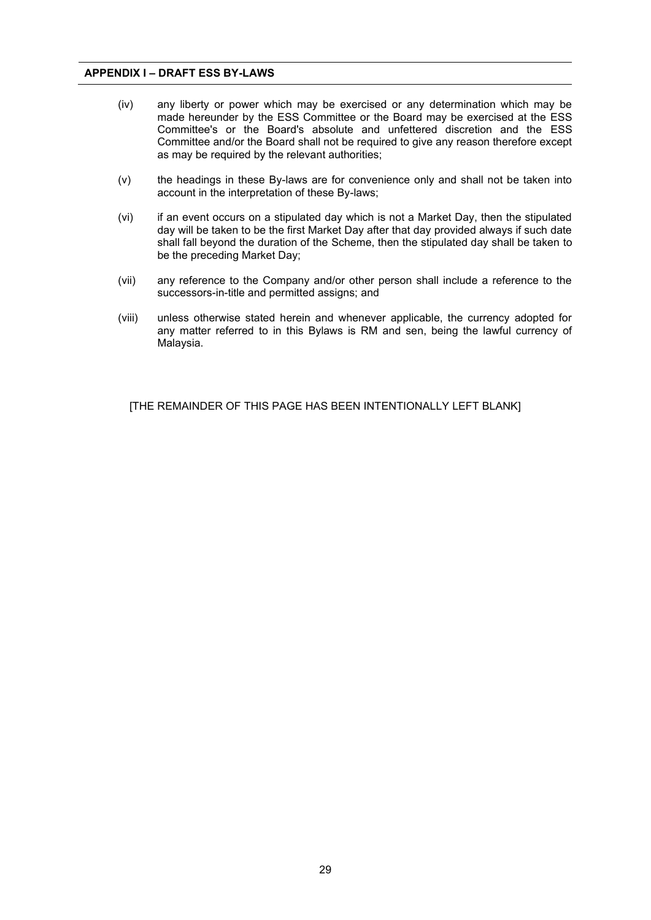- (iv) any liberty or power which may be exercised or any determination which may be made hereunder by the ESS Committee or the Board may be exercised at the ESS Committee's or the Board's absolute and unfettered discretion and the ESS Committee and/or the Board shall not be required to give any reason therefore except as may be required by the relevant authorities;
- (v) the headings in these By-laws are for convenience only and shall not be taken into account in the interpretation of these By-laws;
- (vi) if an event occurs on a stipulated day which is not a Market Day, then the stipulated day will be taken to be the first Market Day after that day provided always if such date shall fall beyond the duration of the Scheme, then the stipulated day shall be taken to be the preceding Market Day;
- (vii) any reference to the Company and/or other person shall include a reference to the successors-in-title and permitted assigns; and
- (viii) unless otherwise stated herein and whenever applicable, the currency adopted for any matter referred to in this Bylaws is RM and sen, being the lawful currency of Malaysia.

[THE REMAINDER OF THIS PAGE HAS BEEN INTENTIONALLY LEFT BLANK]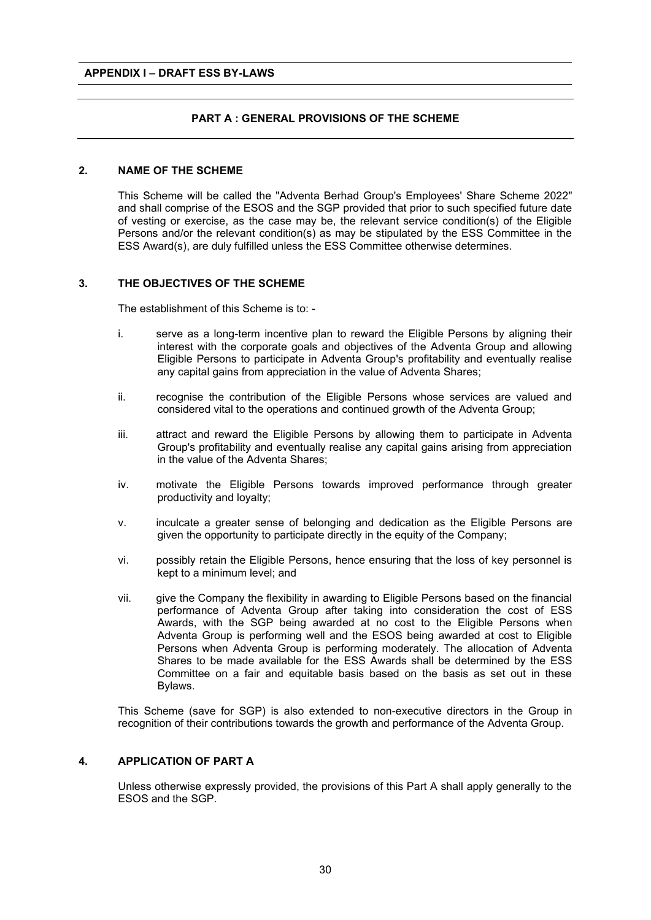# **PART A : GENERAL PROVISIONS OF THE SCHEME**

#### **2. NAME OF THE SCHEME**

This Scheme will be called the "Adventa Berhad Group's Employees' Share Scheme 2022" and shall comprise of the ESOS and the SGP provided that prior to such specified future date of vesting or exercise, as the case may be, the relevant service condition(s) of the Eligible Persons and/or the relevant condition(s) as may be stipulated by the ESS Committee in the ESS Award(s), are duly fulfilled unless the ESS Committee otherwise determines.

#### **3. THE OBJECTIVES OF THE SCHEME**

The establishment of this Scheme is to: -

- i. serve as a long-term incentive plan to reward the Eligible Persons by aligning their interest with the corporate goals and objectives of the Adventa Group and allowing Eligible Persons to participate in Adventa Group's profitability and eventually realise any capital gains from appreciation in the value of Adventa Shares;
- ii. recognise the contribution of the Eligible Persons whose services are valued and considered vital to the operations and continued growth of the Adventa Group;
- iii. attract and reward the Eligible Persons by allowing them to participate in Adventa Group's profitability and eventually realise any capital gains arising from appreciation in the value of the Adventa Shares;
- iv. motivate the Eligible Persons towards improved performance through greater productivity and loyalty;
- v. inculcate a greater sense of belonging and dedication as the Eligible Persons are given the opportunity to participate directly in the equity of the Company;
- vi. possibly retain the Eligible Persons, hence ensuring that the loss of key personnel is kept to a minimum level; and
- vii. give the Company the flexibility in awarding to Eligible Persons based on the financial performance of Adventa Group after taking into consideration the cost of ESS Awards, with the SGP being awarded at no cost to the Eligible Persons when Adventa Group is performing well and the ESOS being awarded at cost to Eligible Persons when Adventa Group is performing moderately. The allocation of Adventa Shares to be made available for the ESS Awards shall be determined by the ESS Committee on a fair and equitable basis based on the basis as set out in these Bylaws.

This Scheme (save for SGP) is also extended to non-executive directors in the Group in recognition of their contributions towards the growth and performance of the Adventa Group.

### **4. APPLICATION OF PART A**

Unless otherwise expressly provided, the provisions of this Part A shall apply generally to the ESOS and the SGP.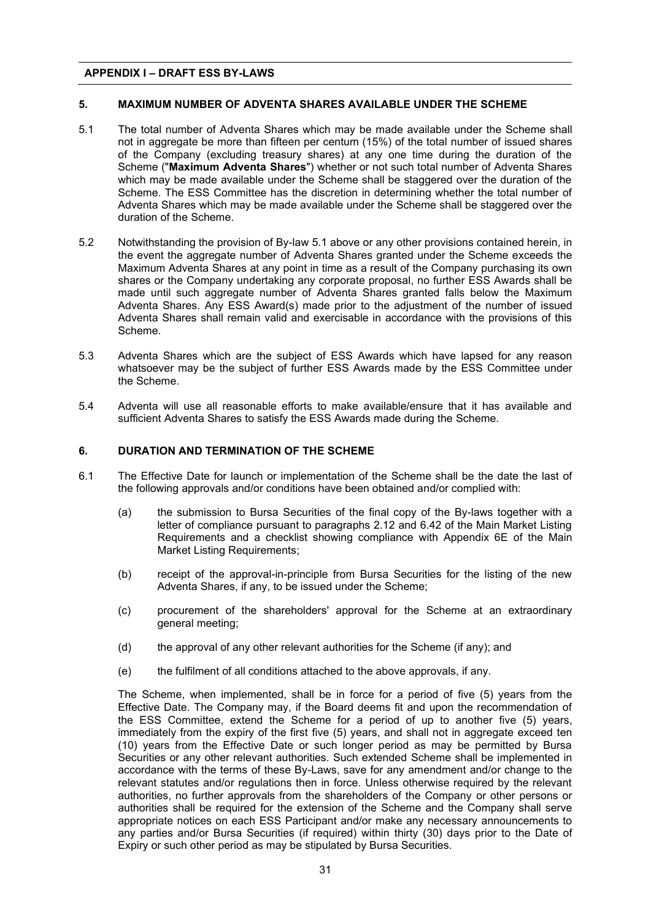# **5. MAXIMUM NUMBER OF ADVENTA SHARES AVAILABLE UNDER THE SCHEME 5. MAXIMUM NUMBER OF ADVENTA SHARES AVAILABLE UNDER THE SCHEME**

- 5.1 The total number of Adventa Shares which may be made available under the Scheme shall 5.1 The total number of Adventa Shares which may be made available under the Scheme shall not in aggregate be more than fifteen per centum (15%) of the total number of issued shares not in aggregate be more than fifteen per centum (15%) of the total number of issued shares of the Company (excluding treasury shares) at any one time during the duration of the of the Company (excluding treasury shares) at any one time during the duration of the Scheme ("**Maximum Adventa Shares**") whether or not such total number of Adventa Shares Scheme ("**Maximum Adventa Shares**") whether or not such total number of Adventa Shares which may be made available under the Scheme shall be staggered over the duration of the which may be made available under the Scheme shall be staggered over the duration of the Scheme. The ESS Committee has the discretion in determining whether the total number of Scheme. The ESS Committee has the discretion in determining whether the total number of Adventa Shares which may be made available under the Scheme shall be staggered over the Adventa Shares which may be made available under the Scheme shall be staggered over the duration of the Scheme. duration of the Scheme.
- 5.2 Notwithstanding the provision of By-law 5.1 above or any other provisions contained herein, in 5.2 Notwithstanding the provision of By-law 5.1 above or any other provisions contained herein, in the event the aggregate number of Adventa Shares granted under the Scheme exceeds the the event the aggregate number of Adventa Shares granted under the Scheme exceeds the Maximum Adventa Shares at any point in time as a result of the Company purchasing its own Maximum Adventa Shares at any point in time as a result of the Company purchasing its own shares or the Company undertaking any corporate proposal, no further ESS Awards shall be shares or the Company undertaking any corporate proposal, no further ESS Awards shall be made until such aggregate number of Adventa Shares granted falls below the Maximum made until such aggregate number of Adventa Shares granted falls below the Maximum Adventa Shares. Any ESS Award(s) made prior to the adjustment of the number of issued Adventa Shares. Any ESS Award(s) made prior to the adjustment of the number of issued Adventa Shares shall remain valid and exercisable in accordance with the provisions of this Adventa Shares shall remain valid and exercisable in accordance with the provisions of this Scheme. Scheme.
- 5.3 Adventa Shares which are the subject of ESS Awards which have lapsed for any reason 5.3 Adventa Shares which are the subject of ESS Awards which have lapsed for any reason whatsoever may be the subject of further ESS Awards made by the ESS Committee under whatsoever may be the subject of further ESS Awards made by the ESS Committee under the Scheme. the Scheme.
- 5.4 Adventa will use all reasonable efforts to make available/ensure that it has available and sufficient Adventa Shares to satisfy the ESS Awards made during the Scheme. sufficient Adventa Shares to satisfy the ESS Awards made during the Scheme.

# **6. DURATION AND TERMINATION OF THE SCHEME 6. DURATION AND TERMINATION OF THE SCHEME**

- 6.1 The Effective Date for launch or implementation of the Scheme shall be the date the last of the following approvals and/or conditions have been obtained and/or complied with: the following approvals and/or conditions have been obtained and/or complied with: 6.1 The Effective Date for launch or implementation of the Scheme shall be the date the last of
	- (a) the submission to Bursa Securities of the final copy of the By-laws together with a letter of compliance pursuant to paragraphs 2.12 and 6.42 of the Main Market Listing letter of compliance pursuant to paragraphs 2.12 and 6.42 of the Main Main Market Listing  $\epsilon$ Requirements and a checklist showing compliance with Appendix 6E of the Main Main Market Listing Requirements; Market Listing Requirements; (a) the submission to Bursa Securities of the final copy of the By-laws together with a
	- (b) receipt of the approval-in-principle from Bursa Securities for the listing of the new (b) receipt of the approval-in-principle from Bursa Securities for the listing of the new Adventa Shares, if any, to be issued under the Scheme; Adventa Shares, if any, to be issued under the Scheme;
	- (c) procurement of the shareholders' approval for the Scheme at an extraordinary (c) procurement of the shareholders' approval for the Scheme at an extraordinary general meeting; general meeting;
	- (d) the approval of any other relevant authorities for the Scheme (if any); and (d) the approval of any other relevant authorities for the Scheme (if any); and
	- (e) the fulfilment of all conditions attached to the above approvals, if any. (e) the fulfilment of all conditions attached to the above approvals, if any.

The Scheme, when implemented, shall be in force for a period of five (5) years from the Effective Date. The Company may, if the Board deems fit and upon the recommendation of Effective Date. The Company may, if the Board deems fit and upon the recommendation of the ESS Committee, extend the Scheme for a period of up to another five (5) years, the ESS Committee, extend the Scheme for a period of up to another five (5) years, immediately from the expiry of the first five (5) years, and shall not in aggregate exceed ten immediately from the expiry of the first five (5) years, and shall not in aggregate exceed ten (10) years from the Effective Date or such longer period as may be permitted by Bursa (10) years from the Effective Date or such longer period as may be permitted by Bursa Securities or any other relevant authorities. Such extended Scheme shall be implemented in Securities or any other relevant authorities. Such extended Scheme shall be implemented in accordance with the terms of these By-Laws, save for any amendment and/or change to the accordance with the terms of these By-Laws, save for any amendment and/or change to the relevant statutes and/or regulations then in force. Unless otherwise required by the relevant relevant statutes and/or regulations then in force. Unless otherwise required by the relevant authorities, no further approvals from the shareholders of the Company or other persons or authorities, no further approvals from the shareholders of the Company or other persons or authorities shall be required for the extension of the Scheme and the Company shall serve authorities shall be required for the extension of the Scheme and the Company shall serve appropriate notices on each ESS Participant and/or make any necessary announcements to appropriate notices on each ESS  $\mu$  and  $\rho$  make any necessary and  $\rho$  and  $\rho$  and  $\rho$  and  $\rho$  and  $\rho$  and  $\rho$  and  $\rho$  and  $\rho$  and  $\rho$  and  $\rho$  and  $\rho$  and  $\rho$  and  $\rho$  and  $\rho$  and  $\rho$  and  $\rho$  and  $\rho$  and any parties and/or Bursa Securities (if required) within thirty (30) days prior to the Date of any parties and/or Bursa Securities (if required) within thirty (30) days prior to the Date of Expiry or such other period as may be stipulated by Bursa Securities. Expiry or such other period as may be stipulated by Bursa Securities. The Scheme, when implemented, shall be in force for a period of five (5) years from the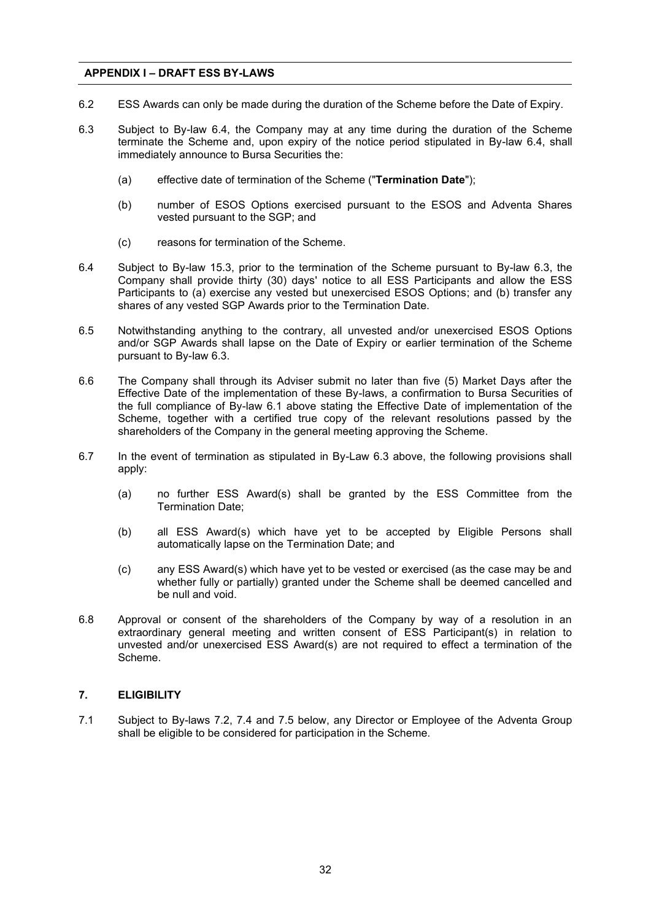- 6.2 ESS Awards can only be made during the duration of the Scheme before the Date of Expiry.
- 6.3 Subject to By-law 6.4, the Company may at any time during the duration of the Scheme terminate the Scheme and, upon expiry of the notice period stipulated in By-law 6.4, shall immediately announce to Bursa Securities the:
	- (a) effective date of termination of the Scheme ("**Termination Date**");
	- (b) number of ESOS Options exercised pursuant to the ESOS and Adventa Shares vested pursuant to the SGP; and
	- (c) reasons for termination of the Scheme.
- 6.4 Subject to By-law 15.3, prior to the termination of the Scheme pursuant to By-law 6.3, the Company shall provide thirty (30) days' notice to all ESS Participants and allow the ESS Participants to (a) exercise any vested but unexercised ESOS Options; and (b) transfer any shares of any vested SGP Awards prior to the Termination Date.
- 6.5 Notwithstanding anything to the contrary, all unvested and/or unexercised ESOS Options and/or SGP Awards shall lapse on the Date of Expiry or earlier termination of the Scheme pursuant to By-law 6.3.
- 6.6 The Company shall through its Adviser submit no later than five (5) Market Days after the Effective Date of the implementation of these By-laws, a confirmation to Bursa Securities of the full compliance of By-law 6.1 above stating the Effective Date of implementation of the Scheme, together with a certified true copy of the relevant resolutions passed by the shareholders of the Company in the general meeting approving the Scheme.
- 6.7 In the event of termination as stipulated in By-Law 6.3 above, the following provisions shall apply:
	- (a) no further ESS Award(s) shall be granted by the ESS Committee from the Termination Date;
	- (b) all ESS Award(s) which have yet to be accepted by Eligible Persons shall automatically lapse on the Termination Date; and
	- (c) any ESS Award(s) which have yet to be vested or exercised (as the case may be and whether fully or partially) granted under the Scheme shall be deemed cancelled and be null and void.
- 6.8 Approval or consent of the shareholders of the Company by way of a resolution in an extraordinary general meeting and written consent of ESS Participant(s) in relation to unvested and/or unexercised ESS Award(s) are not required to effect a termination of the Scheme.

# **7. ELIGIBILITY**

7.1 Subject to By-laws 7.2, 7.4 and 7.5 below, any Director or Employee of the Adventa Group shall be eligible to be considered for participation in the Scheme.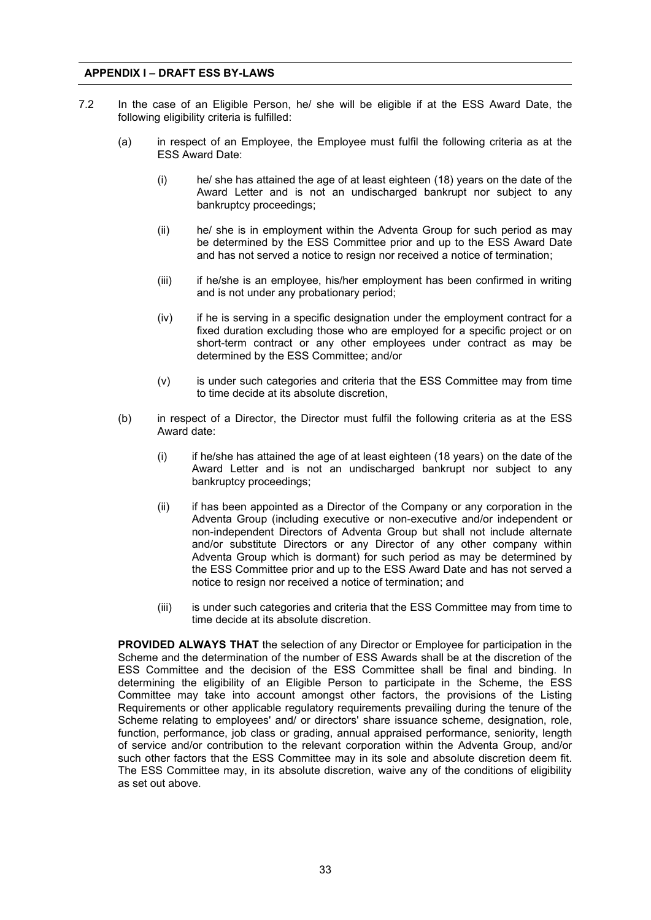- 7.2 In the case of an Eligible Person, he/ she will be eligible if at the ESS Award Date, the following eligibility criteria is fulfilled:
	- (a) in respect of an Employee, the Employee must fulfil the following criteria as at the ESS Award Date:
		- (i) he/ she has attained the age of at least eighteen (18) years on the date of the Award Letter and is not an undischarged bankrupt nor subject to any bankruptcy proceedings;
		- (ii) he/ she is in employment within the Adventa Group for such period as may be determined by the ESS Committee prior and up to the ESS Award Date and has not served a notice to resign nor received a notice of termination;
		- (iii) if he/she is an employee, his/her employment has been confirmed in writing and is not under any probationary period;
		- (iv) if he is serving in a specific designation under the employment contract for a fixed duration excluding those who are employed for a specific project or on short-term contract or any other employees under contract as may be determined by the ESS Committee; and/or
		- (v) is under such categories and criteria that the ESS Committee may from time to time decide at its absolute discretion,
	- (b) in respect of a Director, the Director must fulfil the following criteria as at the ESS Award date:
		- (i) if he/she has attained the age of at least eighteen (18 years) on the date of the Award Letter and is not an undischarged bankrupt nor subject to any bankruptcy proceedings;
		- (ii) if has been appointed as a Director of the Company or any corporation in the Adventa Group (including executive or non-executive and/or independent or non-independent Directors of Adventa Group but shall not include alternate and/or substitute Directors or any Director of any other company within Adventa Group which is dormant) for such period as may be determined by the ESS Committee prior and up to the ESS Award Date and has not served a notice to resign nor received a notice of termination; and
		- (iii) is under such categories and criteria that the ESS Committee may from time to time decide at its absolute discretion.

**PROVIDED ALWAYS THAT** the selection of any Director or Employee for participation in the Scheme and the determination of the number of ESS Awards shall be at the discretion of the ESS Committee and the decision of the ESS Committee shall be final and binding. In determining the eligibility of an Eligible Person to participate in the Scheme, the ESS Committee may take into account amongst other factors, the provisions of the Listing Requirements or other applicable regulatory requirements prevailing during the tenure of the Scheme relating to employees' and/ or directors' share issuance scheme, designation, role, function, performance, job class or grading, annual appraised performance, seniority, length of service and/or contribution to the relevant corporation within the Adventa Group, and/or such other factors that the ESS Committee may in its sole and absolute discretion deem fit. The ESS Committee may, in its absolute discretion, waive any of the conditions of eligibility as set out above.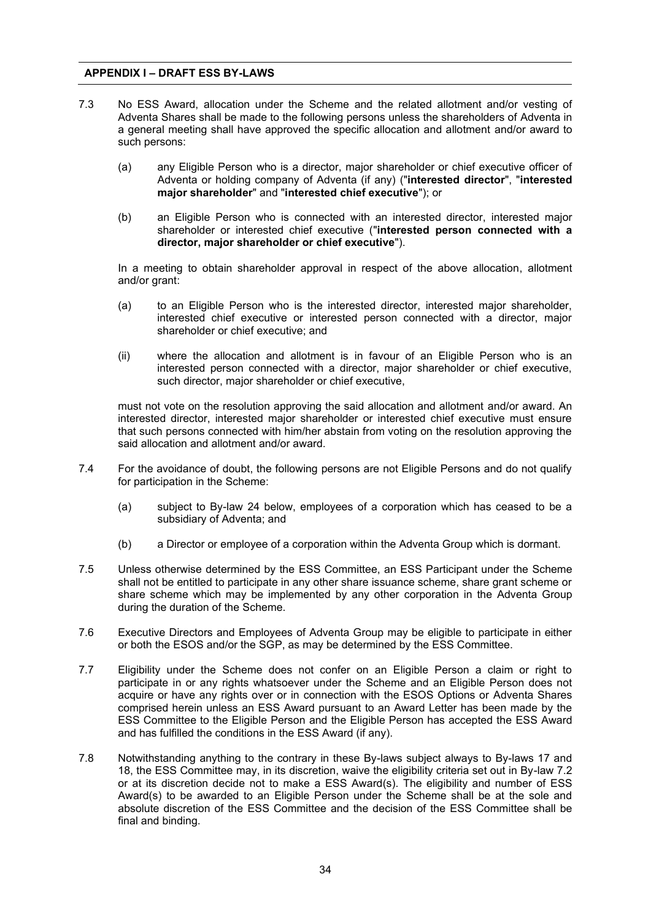- 7.3 No ESS Award, allocation under the Scheme and the related allotment and/or vesting of Adventa Shares shall be made to the following persons unless the shareholders of Adventa in a general meeting shall have approved the specific allocation and allotment and/or award to such persons:
	- (a) any Eligible Person who is a director, major shareholder or chief executive officer of Adventa or holding company of Adventa (if any) ("**interested director**", "**interested major shareholder**" and "**interested chief executive**"); or
	- (b) an Eligible Person who is connected with an interested director, interested major shareholder or interested chief executive ("**interested person connected with a director, major shareholder or chief executive**").

In a meeting to obtain shareholder approval in respect of the above allocation, allotment and/or grant:

- (a) to an Eligible Person who is the interested director, interested major shareholder, interested chief executive or interested person connected with a director, major shareholder or chief executive; and
- (ii) where the allocation and allotment is in favour of an Eligible Person who is an interested person connected with a director, major shareholder or chief executive, such director, major shareholder or chief executive,

must not vote on the resolution approving the said allocation and allotment and/or award. An interested director, interested major shareholder or interested chief executive must ensure that such persons connected with him/her abstain from voting on the resolution approving the said allocation and allotment and/or award.

- 7.4 For the avoidance of doubt, the following persons are not Eligible Persons and do not qualify for participation in the Scheme:
	- (a) subject to By-law 24 below, employees of a corporation which has ceased to be a subsidiary of Adventa; and
	- (b) a Director or employee of a corporation within the Adventa Group which is dormant.
- 7.5 Unless otherwise determined by the ESS Committee, an ESS Participant under the Scheme shall not be entitled to participate in any other share issuance scheme, share grant scheme or share scheme which may be implemented by any other corporation in the Adventa Group during the duration of the Scheme.
- 7.6 Executive Directors and Employees of Adventa Group may be eligible to participate in either or both the ESOS and/or the SGP, as may be determined by the ESS Committee.
- 7.7 Eligibility under the Scheme does not confer on an Eligible Person a claim or right to participate in or any rights whatsoever under the Scheme and an Eligible Person does not acquire or have any rights over or in connection with the ESOS Options or Adventa Shares comprised herein unless an ESS Award pursuant to an Award Letter has been made by the ESS Committee to the Eligible Person and the Eligible Person has accepted the ESS Award and has fulfilled the conditions in the ESS Award (if any).
- 7.8 Notwithstanding anything to the contrary in these By-laws subject always to By-laws 17 and 18, the ESS Committee may, in its discretion, waive the eligibility criteria set out in By-law 7.2 or at its discretion decide not to make a ESS Award(s). The eligibility and number of ESS Award(s) to be awarded to an Eligible Person under the Scheme shall be at the sole and absolute discretion of the ESS Committee and the decision of the ESS Committee shall be final and binding.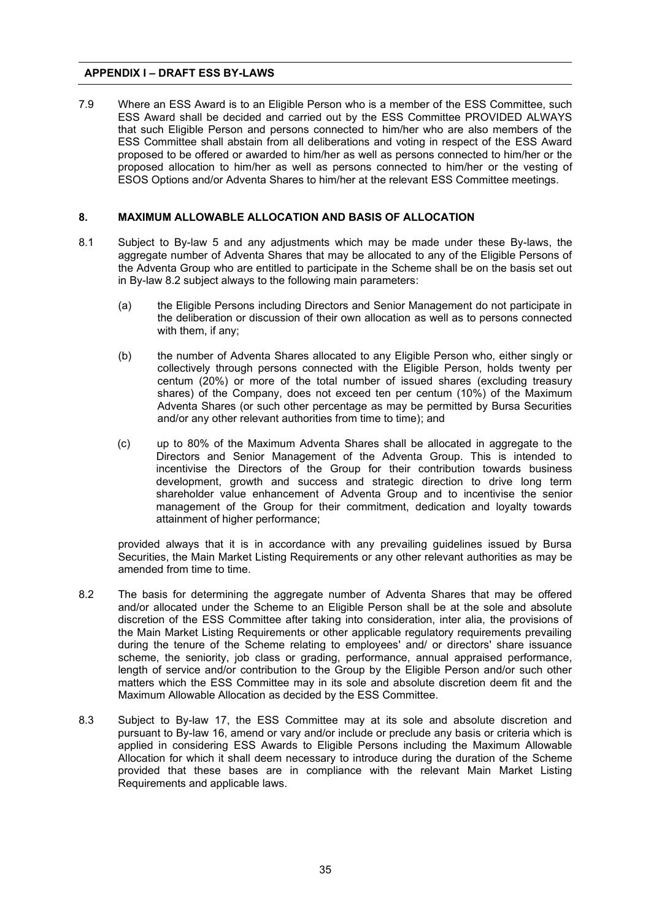7.9 Where an ESS Award is to an Eligible Person who is a member of the ESS Committee, such ESS Award shall be decided and carried out by the ESS Committee PROVIDED ALWAYS that such Eligible Person and persons connected to him/her who are also members of the ESS Committee shall abstain from all deliberations and voting in respect of the ESS Award proposed to be offered or awarded to him/her as well as persons connected to him/her or the proposed allocation to him/her as well as persons connected to him/her or the vesting of ESOS Options and/or Adventa Shares to him/her at the relevant ESS Committee meetings.

# **8. MAXIMUM ALLOWABLE ALLOCATION AND BASIS OF ALLOCATION**

- 8.1 Subject to By-law 5 and any adjustments which may be made under these By-laws, the aggregate number of Adventa Shares that may be allocated to any of the Eligible Persons of the Adventa Group who are entitled to participate in the Scheme shall be on the basis set out in By-law 8.2 subject always to the following main parameters:
	- (a) the Eligible Persons including Directors and Senior Management do not participate in the deliberation or discussion of their own allocation as well as to persons connected with them, if any;
	- (b) the number of Adventa Shares allocated to any Eligible Person who, either singly or collectively through persons connected with the Eligible Person, holds twenty per centum (20%) or more of the total number of issued shares (excluding treasury shares) of the Company, does not exceed ten per centum (10%) of the Maximum Adventa Shares (or such other percentage as may be permitted by Bursa Securities and/or any other relevant authorities from time to time); and
	- (c) up to 80% of the Maximum Adventa Shares shall be allocated in aggregate to the Directors and Senior Management of the Adventa Group. This is intended to incentivise the Directors of the Group for their contribution towards business development, growth and success and strategic direction to drive long term shareholder value enhancement of Adventa Group and to incentivise the senior management of the Group for their commitment, dedication and loyalty towards attainment of higher performance;

provided always that it is in accordance with any prevailing guidelines issued by Bursa Securities, the Main Market Listing Requirements or any other relevant authorities as may be amended from time to time.

- 8.2 The basis for determining the aggregate number of Adventa Shares that may be offered and/or allocated under the Scheme to an Eligible Person shall be at the sole and absolute discretion of the ESS Committee after taking into consideration, inter alia, the provisions of the Main Market Listing Requirements or other applicable regulatory requirements prevailing during the tenure of the Scheme relating to employees' and/ or directors' share issuance scheme, the seniority, job class or grading, performance, annual appraised performance, length of service and/or contribution to the Group by the Eligible Person and/or such other matters which the ESS Committee may in its sole and absolute discretion deem fit and the Maximum Allowable Allocation as decided by the ESS Committee.
- 8.3 Subject to By-law 17, the ESS Committee may at its sole and absolute discretion and pursuant to By-law 16, amend or vary and/or include or preclude any basis or criteria which is applied in considering ESS Awards to Eligible Persons including the Maximum Allowable Allocation for which it shall deem necessary to introduce during the duration of the Scheme provided that these bases are in compliance with the relevant Main Market Listing Requirements and applicable laws.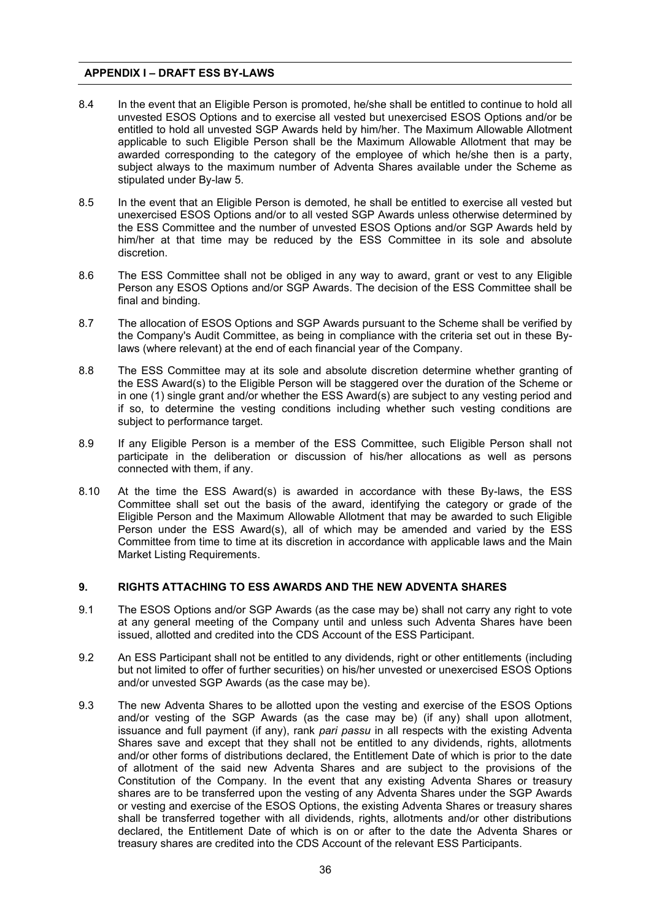- 8.4 In the event that an Eligible Person is promoted, he/she shall be entitled to continue to hold all unvested ESOS Options and to exercise all vested but unexercised ESOS Options and/or be entitled to hold all unvested SGP Awards held by him/her. The Maximum Allowable Allotment applicable to such Eligible Person shall be the Maximum Allowable Allotment that may be awarded corresponding to the category of the employee of which he/she then is a party, subject always to the maximum number of Adventa Shares available under the Scheme as stipulated under By-law 5.
- 8.5 In the event that an Eligible Person is demoted, he shall be entitled to exercise all vested but unexercised ESOS Options and/or to all vested SGP Awards unless otherwise determined by the ESS Committee and the number of unvested ESOS Options and/or SGP Awards held by him/her at that time may be reduced by the ESS Committee in its sole and absolute discretion.
- 8.6 The ESS Committee shall not be obliged in any way to award, grant or vest to any Eligible Person any ESOS Options and/or SGP Awards. The decision of the ESS Committee shall be final and binding.
- 8.7 The allocation of ESOS Options and SGP Awards pursuant to the Scheme shall be verified by the Company's Audit Committee, as being in compliance with the criteria set out in these Bylaws (where relevant) at the end of each financial year of the Company.
- 8.8 The ESS Committee may at its sole and absolute discretion determine whether granting of the ESS Award(s) to the Eligible Person will be staggered over the duration of the Scheme or in one (1) single grant and/or whether the ESS Award(s) are subject to any vesting period and if so, to determine the vesting conditions including whether such vesting conditions are subject to performance target.
- 8.9 If any Eligible Person is a member of the ESS Committee, such Eligible Person shall not participate in the deliberation or discussion of his/her allocations as well as persons connected with them, if any.
- 8.10 At the time the ESS Award(s) is awarded in accordance with these By-laws, the ESS Committee shall set out the basis of the award, identifying the category or grade of the Eligible Person and the Maximum Allowable Allotment that may be awarded to such Eligible Person under the ESS Award(s), all of which may be amended and varied by the ESS Committee from time to time at its discretion in accordance with applicable laws and the Main Market Listing Requirements.

# **9. RIGHTS ATTACHING TO ESS AWARDS AND THE NEW ADVENTA SHARES**

- 9.1 The ESOS Options and/or SGP Awards (as the case may be) shall not carry any right to vote at any general meeting of the Company until and unless such Adventa Shares have been issued, allotted and credited into the CDS Account of the ESS Participant.
- 9.2 An ESS Participant shall not be entitled to any dividends, right or other entitlements (including but not limited to offer of further securities) on his/her unvested or unexercised ESOS Options and/or unvested SGP Awards (as the case may be).
- 9.3 The new Adventa Shares to be allotted upon the vesting and exercise of the ESOS Options and/or vesting of the SGP Awards (as the case may be) (if any) shall upon allotment, issuance and full payment (if any), rank *pari passu* in all respects with the existing Adventa Shares save and except that they shall not be entitled to any dividends, rights, allotments and/or other forms of distributions declared, the Entitlement Date of which is prior to the date of allotment of the said new Adventa Shares and are subject to the provisions of the Constitution of the Company. In the event that any existing Adventa Shares or treasury shares are to be transferred upon the vesting of any Adventa Shares under the SGP Awards or vesting and exercise of the ESOS Options, the existing Adventa Shares or treasury shares shall be transferred together with all dividends, rights, allotments and/or other distributions declared, the Entitlement Date of which is on or after to the date the Adventa Shares or treasury shares are credited into the CDS Account of the relevant ESS Participants.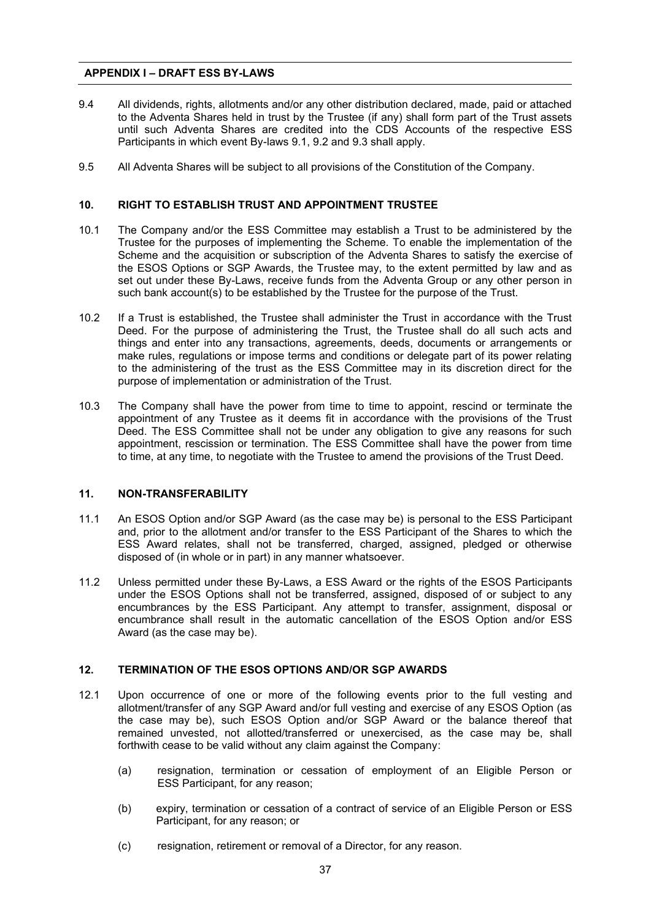- 9.4 All dividends, rights, allotments and/or any other distribution declared, made, paid or attached to the Adventa Shares held in trust by the Trustee (if any) shall form part of the Trust assets until such Adventa Shares are credited into the CDS Accounts of the respective ESS Participants in which event By-laws 9.1, 9.2 and 9.3 shall apply.
- 9.5 All Adventa Shares will be subject to all provisions of the Constitution of the Company.

# **10. RIGHT TO ESTABLISH TRUST AND APPOINTMENT TRUSTEE**

- 10.1 The Company and/or the ESS Committee may establish a Trust to be administered by the Trustee for the purposes of implementing the Scheme. To enable the implementation of the Scheme and the acquisition or subscription of the Adventa Shares to satisfy the exercise of the ESOS Options or SGP Awards, the Trustee may, to the extent permitted by law and as set out under these By-Laws, receive funds from the Adventa Group or any other person in such bank account(s) to be established by the Trustee for the purpose of the Trust.
- 10.2 If a Trust is established, the Trustee shall administer the Trust in accordance with the Trust Deed. For the purpose of administering the Trust, the Trustee shall do all such acts and things and enter into any transactions, agreements, deeds, documents or arrangements or make rules, regulations or impose terms and conditions or delegate part of its power relating to the administering of the trust as the ESS Committee may in its discretion direct for the purpose of implementation or administration of the Trust.
- 10.3 The Company shall have the power from time to time to appoint, rescind or terminate the appointment of any Trustee as it deems fit in accordance with the provisions of the Trust Deed. The ESS Committee shall not be under any obligation to give any reasons for such appointment, rescission or termination. The ESS Committee shall have the power from time to time, at any time, to negotiate with the Trustee to amend the provisions of the Trust Deed.

# **11. NON-TRANSFERABILITY**

- 11.1 An ESOS Option and/or SGP Award (as the case may be) is personal to the ESS Participant and, prior to the allotment and/or transfer to the ESS Participant of the Shares to which the ESS Award relates, shall not be transferred, charged, assigned, pledged or otherwise disposed of (in whole or in part) in any manner whatsoever.
- 11.2 Unless permitted under these By-Laws, a ESS Award or the rights of the ESOS Participants under the ESOS Options shall not be transferred, assigned, disposed of or subject to any encumbrances by the ESS Participant. Any attempt to transfer, assignment, disposal or encumbrance shall result in the automatic cancellation of the ESOS Option and/or ESS Award (as the case may be).

#### **12. TERMINATION OF THE ESOS OPTIONS AND/OR SGP AWARDS**

- 12.1 Upon occurrence of one or more of the following events prior to the full vesting and allotment/transfer of any SGP Award and/or full vesting and exercise of any ESOS Option (as the case may be), such ESOS Option and/or SGP Award or the balance thereof that remained unvested, not allotted/transferred or unexercised, as the case may be, shall forthwith cease to be valid without any claim against the Company:
	- (a) resignation, termination or cessation of employment of an Eligible Person or ESS Participant, for any reason;
	- (b) expiry, termination or cessation of a contract of service of an Eligible Person or ESS Participant, for any reason; or
	- (c) resignation, retirement or removal of a Director, for any reason.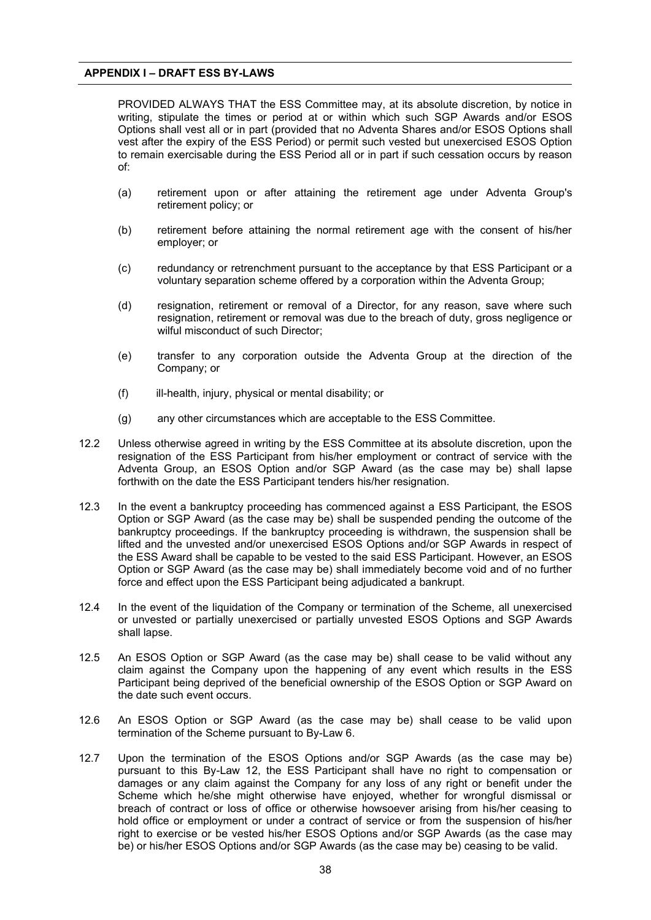PROVIDED ALWAYS THAT the ESS Committee may, at its absolute discretion, by notice in writing, stipulate the times or period at or within which such SGP Awards and/or ESOS Options shall vest all or in part (provided that no Adventa Shares and/or ESOS Options shall vest after the expiry of the ESS Period) or permit such vested but unexercised ESOS Option to remain exercisable during the ESS Period all or in part if such cessation occurs by reason of:

- (a) retirement upon or after attaining the retirement age under Adventa Group's retirement policy; or
- (b) retirement before attaining the normal retirement age with the consent of his/her employer; or
- (c) redundancy or retrenchment pursuant to the acceptance by that ESS Participant or a voluntary separation scheme offered by a corporation within the Adventa Group;
- (d) resignation, retirement or removal of a Director, for any reason, save where such resignation, retirement or removal was due to the breach of duty, gross negligence or wilful misconduct of such Director:
- (e) transfer to any corporation outside the Adventa Group at the direction of the Company; or
- (f) ill-health, injury, physical or mental disability; or
- (g) any other circumstances which are acceptable to the ESS Committee.
- 12.2 Unless otherwise agreed in writing by the ESS Committee at its absolute discretion, upon the resignation of the ESS Participant from his/her employment or contract of service with the Adventa Group, an ESOS Option and/or SGP Award (as the case may be) shall lapse forthwith on the date the ESS Participant tenders his/her resignation.
- 12.3 In the event a bankruptcy proceeding has commenced against a ESS Participant, the ESOS Option or SGP Award (as the case may be) shall be suspended pending the outcome of the bankruptcy proceedings. If the bankruptcy proceeding is withdrawn, the suspension shall be lifted and the unvested and/or unexercised ESOS Options and/or SGP Awards in respect of the ESS Award shall be capable to be vested to the said ESS Participant. However, an ESOS Option or SGP Award (as the case may be) shall immediately become void and of no further force and effect upon the ESS Participant being adjudicated a bankrupt.
- 12.4 In the event of the liquidation of the Company or termination of the Scheme, all unexercised or unvested or partially unexercised or partially unvested ESOS Options and SGP Awards shall lapse.
- 12.5 An ESOS Option or SGP Award (as the case may be) shall cease to be valid without any claim against the Company upon the happening of any event which results in the ESS Participant being deprived of the beneficial ownership of the ESOS Option or SGP Award on the date such event occurs.
- 12.6 An ESOS Option or SGP Award (as the case may be) shall cease to be valid upon termination of the Scheme pursuant to By-Law 6.
- 12.7 Upon the termination of the ESOS Options and/or SGP Awards (as the case may be) pursuant to this By-Law 12, the ESS Participant shall have no right to compensation or damages or any claim against the Company for any loss of any right or benefit under the Scheme which he/she might otherwise have enjoyed, whether for wrongful dismissal or breach of contract or loss of office or otherwise howsoever arising from his/her ceasing to hold office or employment or under a contract of service or from the suspension of his/her right to exercise or be vested his/her ESOS Options and/or SGP Awards (as the case may be) or his/her ESOS Options and/or SGP Awards (as the case may be) ceasing to be valid.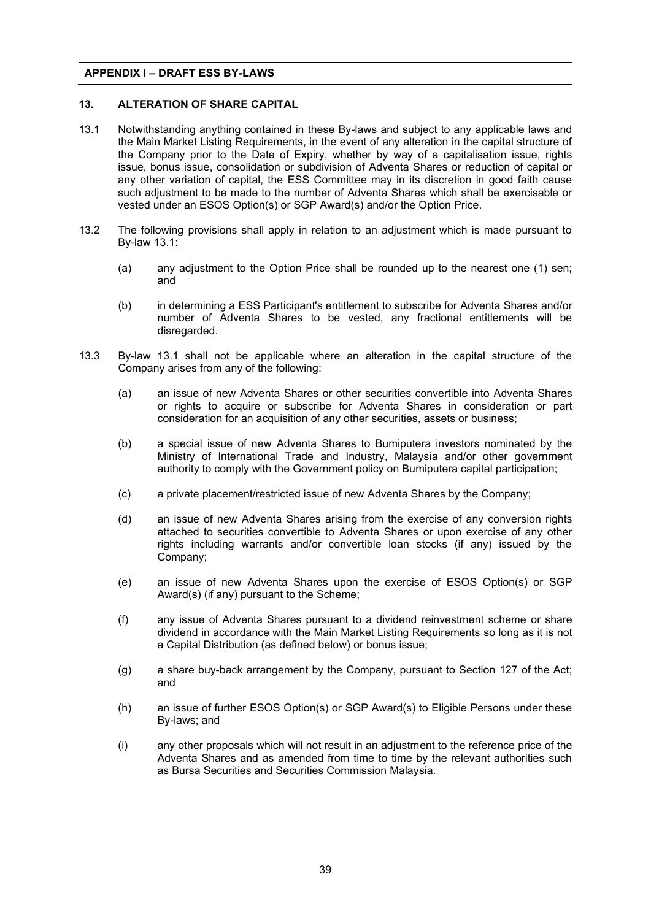# **13. ALTERATION OF SHARE CAPITAL**

- 13.1 Notwithstanding anything contained in these By-laws and subject to any applicable laws and the Main Market Listing Requirements, in the event of any alteration in the capital structure of the Company prior to the Date of Expiry, whether by way of a capitalisation issue, rights issue, bonus issue, consolidation or subdivision of Adventa Shares or reduction of capital or any other variation of capital, the ESS Committee may in its discretion in good faith cause such adjustment to be made to the number of Adventa Shares which shall be exercisable or vested under an ESOS Option(s) or SGP Award(s) and/or the Option Price.
- 13.2 The following provisions shall apply in relation to an adjustment which is made pursuant to By-law 13.1:
	- (a) any adjustment to the Option Price shall be rounded up to the nearest one (1) sen; and
	- (b) in determining a ESS Participant's entitlement to subscribe for Adventa Shares and/or number of Adventa Shares to be vested, any fractional entitlements will be disregarded.
- 13.3 By-law 13.1 shall not be applicable where an alteration in the capital structure of the Company arises from any of the following:
	- (a) an issue of new Adventa Shares or other securities convertible into Adventa Shares or rights to acquire or subscribe for Adventa Shares in consideration or part consideration for an acquisition of any other securities, assets or business;
	- (b) a special issue of new Adventa Shares to Bumiputera investors nominated by the Ministry of International Trade and Industry, Malaysia and/or other government authority to comply with the Government policy on Bumiputera capital participation;
	- (c) a private placement/restricted issue of new Adventa Shares by the Company;
	- (d) an issue of new Adventa Shares arising from the exercise of any conversion rights attached to securities convertible to Adventa Shares or upon exercise of any other rights including warrants and/or convertible loan stocks (if any) issued by the Company;
	- (e) an issue of new Adventa Shares upon the exercise of ESOS Option(s) or SGP Award(s) (if any) pursuant to the Scheme;
	- (f) any issue of Adventa Shares pursuant to a dividend reinvestment scheme or share dividend in accordance with the Main Market Listing Requirements so long as it is not a Capital Distribution (as defined below) or bonus issue;
	- (g) a share buy-back arrangement by the Company, pursuant to Section 127 of the Act; and
	- (h) an issue of further ESOS Option(s) or SGP Award(s) to Eligible Persons under these By-laws; and
	- (i) any other proposals which will not result in an adjustment to the reference price of the Adventa Shares and as amended from time to time by the relevant authorities such as Bursa Securities and Securities Commission Malaysia.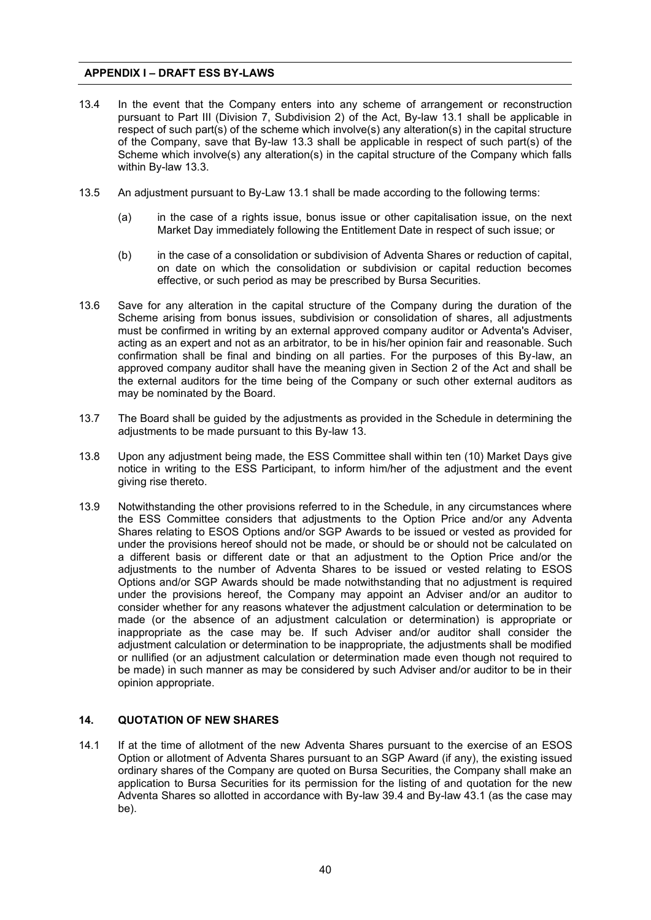- 13.4 In the event that the Company enters into any scheme of arrangement or reconstruction pursuant to Part III (Division 7, Subdivision 2) of the Act, By-law 13.1 shall be applicable in respect of such part(s) of the scheme which involve(s) any alteration(s) in the capital structure of the Company, save that By-law 13.3 shall be applicable in respect of such part(s) of the Scheme which involve(s) any alteration(s) in the capital structure of the Company which falls within By-law 13.3.
- 13.5 An adjustment pursuant to By-Law 13.1 shall be made according to the following terms:
	- (a) in the case of a rights issue, bonus issue or other capitalisation issue, on the next Market Day immediately following the Entitlement Date in respect of such issue; or
	- (b) in the case of a consolidation or subdivision of Adventa Shares or reduction of capital, on date on which the consolidation or subdivision or capital reduction becomes effective, or such period as may be prescribed by Bursa Securities.
- 13.6 Save for any alteration in the capital structure of the Company during the duration of the Scheme arising from bonus issues, subdivision or consolidation of shares, all adjustments must be confirmed in writing by an external approved company auditor or Adventa's Adviser, acting as an expert and not as an arbitrator, to be in his/her opinion fair and reasonable. Such confirmation shall be final and binding on all parties. For the purposes of this By-law, an approved company auditor shall have the meaning given in Section 2 of the Act and shall be the external auditors for the time being of the Company or such other external auditors as may be nominated by the Board.
- 13.7 The Board shall be guided by the adjustments as provided in the Schedule in determining the adjustments to be made pursuant to this By-law 13.
- 13.8 Upon any adjustment being made, the ESS Committee shall within ten (10) Market Days give notice in writing to the ESS Participant, to inform him/her of the adjustment and the event giving rise thereto.
- 13.9 Notwithstanding the other provisions referred to in the Schedule, in any circumstances where the ESS Committee considers that adjustments to the Option Price and/or any Adventa Shares relating to ESOS Options and/or SGP Awards to be issued or vested as provided for under the provisions hereof should not be made, or should be or should not be calculated on a different basis or different date or that an adjustment to the Option Price and/or the adjustments to the number of Adventa Shares to be issued or vested relating to ESOS Options and/or SGP Awards should be made notwithstanding that no adjustment is required under the provisions hereof, the Company may appoint an Adviser and/or an auditor to consider whether for any reasons whatever the adjustment calculation or determination to be made (or the absence of an adjustment calculation or determination) is appropriate or inappropriate as the case may be. If such Adviser and/or auditor shall consider the adjustment calculation or determination to be inappropriate, the adjustments shall be modified or nullified (or an adjustment calculation or determination made even though not required to be made) in such manner as may be considered by such Adviser and/or auditor to be in their opinion appropriate.

# **14. QUOTATION OF NEW SHARES**

14.1 If at the time of allotment of the new Adventa Shares pursuant to the exercise of an ESOS Option or allotment of Adventa Shares pursuant to an SGP Award (if any), the existing issued ordinary shares of the Company are quoted on Bursa Securities, the Company shall make an application to Bursa Securities for its permission for the listing of and quotation for the new Adventa Shares so allotted in accordance with By-law 39.4 and By-law 43.1 (as the case may be).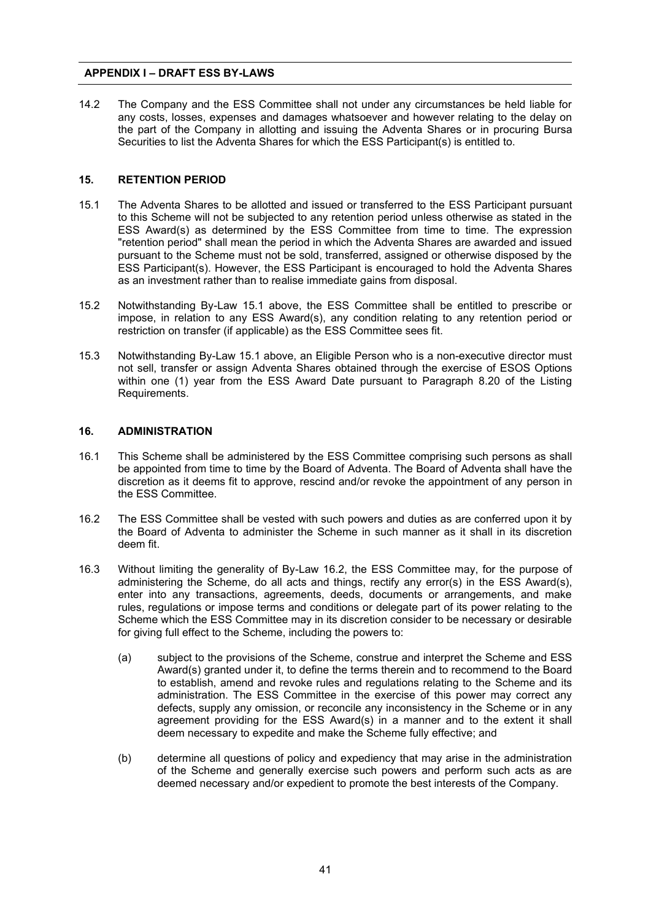14.2 The Company and the ESS Committee shall not under any circumstances be held liable for any costs, losses, expenses and damages whatsoever and however relating to the delay on the part of the Company in allotting and issuing the Adventa Shares or in procuring Bursa Securities to list the Adventa Shares for which the ESS Participant(s) is entitled to.

#### **15. RETENTION PERIOD**

- 15.1 The Adventa Shares to be allotted and issued or transferred to the ESS Participant pursuant to this Scheme will not be subjected to any retention period unless otherwise as stated in the ESS Award(s) as determined by the ESS Committee from time to time. The expression "retention period" shall mean the period in which the Adventa Shares are awarded and issued pursuant to the Scheme must not be sold, transferred, assigned or otherwise disposed by the ESS Participant(s). However, the ESS Participant is encouraged to hold the Adventa Shares as an investment rather than to realise immediate gains from disposal.
- 15.2 Notwithstanding By-Law 15.1 above, the ESS Committee shall be entitled to prescribe or impose, in relation to any ESS Award(s), any condition relating to any retention period or restriction on transfer (if applicable) as the ESS Committee sees fit.
- 15.3 Notwithstanding By-Law 15.1 above, an Eligible Person who is a non-executive director must not sell, transfer or assign Adventa Shares obtained through the exercise of ESOS Options within one (1) year from the ESS Award Date pursuant to Paragraph 8.20 of the Listing Requirements.

# **16. ADMINISTRATION**

- 16.1 This Scheme shall be administered by the ESS Committee comprising such persons as shall be appointed from time to time by the Board of Adventa. The Board of Adventa shall have the discretion as it deems fit to approve, rescind and/or revoke the appointment of any person in the ESS Committee.
- 16.2 The ESS Committee shall be vested with such powers and duties as are conferred upon it by the Board of Adventa to administer the Scheme in such manner as it shall in its discretion deem fit.
- 16.3 Without limiting the generality of By-Law 16.2, the ESS Committee may, for the purpose of administering the Scheme, do all acts and things, rectify any error(s) in the ESS Award(s), enter into any transactions, agreements, deeds, documents or arrangements, and make rules, regulations or impose terms and conditions or delegate part of its power relating to the Scheme which the ESS Committee may in its discretion consider to be necessary or desirable for giving full effect to the Scheme, including the powers to:
	- (a) subject to the provisions of the Scheme, construe and interpret the Scheme and ESS Award(s) granted under it, to define the terms therein and to recommend to the Board to establish, amend and revoke rules and regulations relating to the Scheme and its administration. The ESS Committee in the exercise of this power may correct any defects, supply any omission, or reconcile any inconsistency in the Scheme or in any agreement providing for the ESS Award(s) in a manner and to the extent it shall deem necessary to expedite and make the Scheme fully effective; and
	- (b) determine all questions of policy and expediency that may arise in the administration of the Scheme and generally exercise such powers and perform such acts as are deemed necessary and/or expedient to promote the best interests of the Company.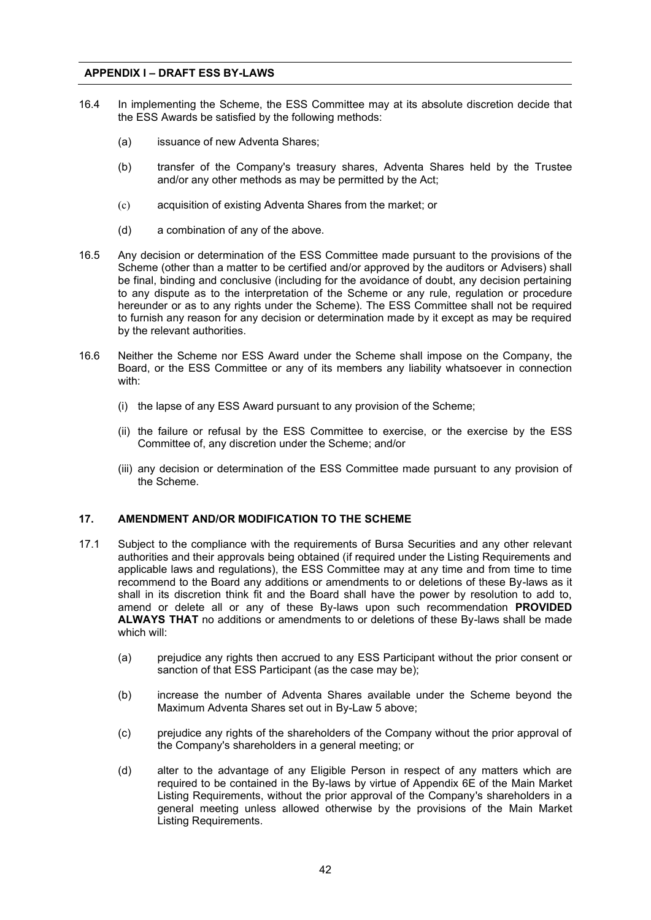- 16.4 In implementing the Scheme, the ESS Committee may at its absolute discretion decide that the ESS Awards be satisfied by the following methods:
	- (a) issuance of new Adventa Shares;
	- (b) transfer of the Company's treasury shares, Adventa Shares held by the Trustee and/or any other methods as may be permitted by the Act;
	- (c) acquisition of existing Adventa Shares from the market; or
	- (d) a combination of any of the above.
- 16.5 Any decision or determination of the ESS Committee made pursuant to the provisions of the Scheme (other than a matter to be certified and/or approved by the auditors or Advisers) shall be final, binding and conclusive (including for the avoidance of doubt, any decision pertaining to any dispute as to the interpretation of the Scheme or any rule, regulation or procedure hereunder or as to any rights under the Scheme). The ESS Committee shall not be required to furnish any reason for any decision or determination made by it except as may be required by the relevant authorities.
- 16.6 Neither the Scheme nor ESS Award under the Scheme shall impose on the Company, the Board, or the ESS Committee or any of its members any liability whatsoever in connection with:
	- (i) the lapse of any ESS Award pursuant to any provision of the Scheme;
	- (ii) the failure or refusal by the ESS Committee to exercise, or the exercise by the ESS Committee of, any discretion under the Scheme; and/or
	- (iii) any decision or determination of the ESS Committee made pursuant to any provision of the Scheme.

#### **17. AMENDMENT AND/OR MODIFICATION TO THE SCHEME**

- 17.1 Subject to the compliance with the requirements of Bursa Securities and any other relevant authorities and their approvals being obtained (if required under the Listing Requirements and applicable laws and regulations), the ESS Committee may at any time and from time to time recommend to the Board any additions or amendments to or deletions of these By-laws as it shall in its discretion think fit and the Board shall have the power by resolution to add to, amend or delete all or any of these By-laws upon such recommendation **PROVIDED ALWAYS THAT** no additions or amendments to or deletions of these By-laws shall be made which will:
	- (a) prejudice any rights then accrued to any ESS Participant without the prior consent or sanction of that ESS Participant (as the case may be);
	- (b) increase the number of Adventa Shares available under the Scheme beyond the Maximum Adventa Shares set out in By-Law 5 above;
	- (c) prejudice any rights of the shareholders of the Company without the prior approval of the Company's shareholders in a general meeting; or
	- (d) alter to the advantage of any Eligible Person in respect of any matters which are required to be contained in the By-laws by virtue of Appendix 6E of the Main Market Listing Requirements, without the prior approval of the Company's shareholders in a general meeting unless allowed otherwise by the provisions of the Main Market Listing Requirements.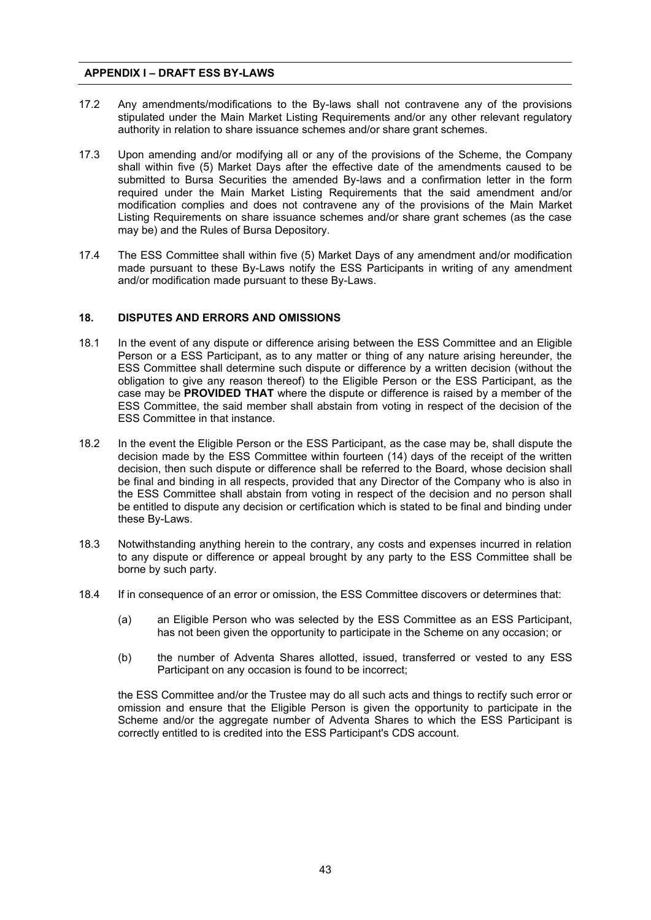- 17.2 Any amendments/modifications to the By-laws shall not contravene any of the provisions stipulated under the Main Market Listing Requirements and/or any other relevant regulatory authority in relation to share issuance schemes and/or share grant schemes.
- 17.3 Upon amending and/or modifying all or any of the provisions of the Scheme, the Company shall within five (5) Market Days after the effective date of the amendments caused to be submitted to Bursa Securities the amended By-laws and a confirmation letter in the form required under the Main Market Listing Requirements that the said amendment and/or modification complies and does not contravene any of the provisions of the Main Market Listing Requirements on share issuance schemes and/or share grant schemes (as the case may be) and the Rules of Bursa Depository.
- 17.4 The ESS Committee shall within five (5) Market Days of any amendment and/or modification made pursuant to these By-Laws notify the ESS Participants in writing of any amendment and/or modification made pursuant to these By-Laws.

#### **18. DISPUTES AND ERRORS AND OMISSIONS**

- 18.1 In the event of any dispute or difference arising between the ESS Committee and an Eligible Person or a ESS Participant, as to any matter or thing of any nature arising hereunder, the ESS Committee shall determine such dispute or difference by a written decision (without the obligation to give any reason thereof) to the Eligible Person or the ESS Participant, as the case may be **PROVIDED THAT** where the dispute or difference is raised by a member of the ESS Committee, the said member shall abstain from voting in respect of the decision of the ESS Committee in that instance.
- 18.2 In the event the Eligible Person or the ESS Participant, as the case may be, shall dispute the decision made by the ESS Committee within fourteen (14) days of the receipt of the written decision, then such dispute or difference shall be referred to the Board, whose decision shall be final and binding in all respects, provided that any Director of the Company who is also in the ESS Committee shall abstain from voting in respect of the decision and no person shall be entitled to dispute any decision or certification which is stated to be final and binding under these By-Laws.
- 18.3 Notwithstanding anything herein to the contrary, any costs and expenses incurred in relation to any dispute or difference or appeal brought by any party to the ESS Committee shall be borne by such party.
- 18.4 If in consequence of an error or omission, the ESS Committee discovers or determines that:
	- (a) an Eligible Person who was selected by the ESS Committee as an ESS Participant, has not been given the opportunity to participate in the Scheme on any occasion; or
	- (b) the number of Adventa Shares allotted, issued, transferred or vested to any ESS Participant on any occasion is found to be incorrect;

the ESS Committee and/or the Trustee may do all such acts and things to rectify such error or omission and ensure that the Eligible Person is given the opportunity to participate in the Scheme and/or the aggregate number of Adventa Shares to which the ESS Participant is correctly entitled to is credited into the ESS Participant's CDS account.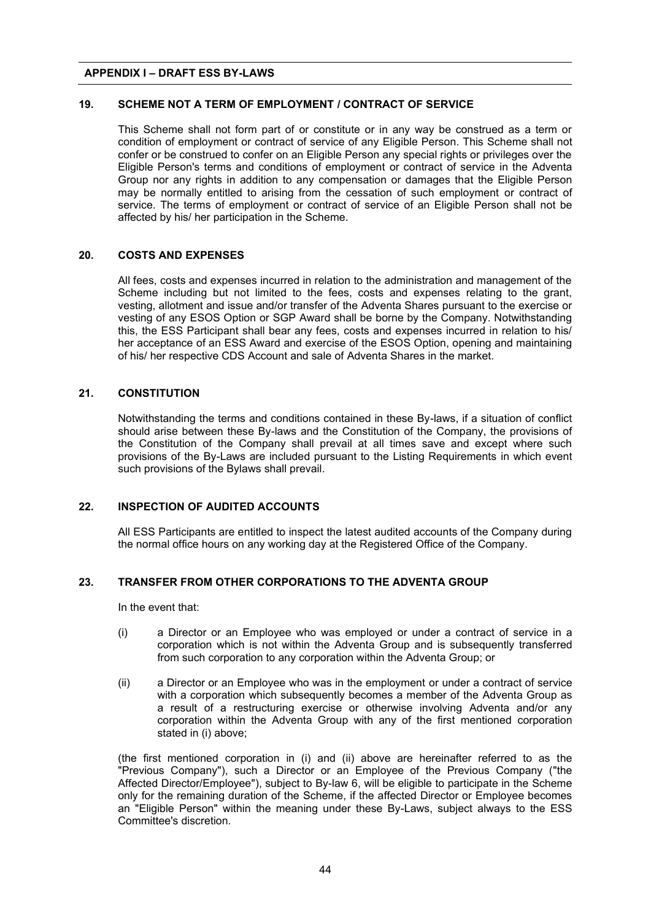# **19. SCHEME NOT A TERM OF EMPLOYMENT / CONTRACT OF SERVICE**

This Scheme shall not form part of or constitute or in any way be construed as a term or condition of employment or contract of service of any Eligible Person. This Scheme shall not confer or be construed to confer on an Eligible Person any special rights or privileges over the Eligible Person's terms and conditions of employment or contract of service in the Adventa Group nor any rights in addition to any compensation or damages that the Eligible Person may be normally entitled to arising from the cessation of such employment or contract of service. The terms of employment or contract of service of an Eligible Person shall not be affected by his/ her participation in the Scheme.

#### **20. COSTS AND EXPENSES**

All fees, costs and expenses incurred in relation to the administration and management of the Scheme including but not limited to the fees, costs and expenses relating to the grant, vesting, allotment and issue and/or transfer of the Adventa Shares pursuant to the exercise or vesting of any ESOS Option or SGP Award shall be borne by the Company. Notwithstanding this, the ESS Participant shall bear any fees, costs and expenses incurred in relation to his/ her acceptance of an ESS Award and exercise of the ESOS Option, opening and maintaining of his/ her respective CDS Account and sale of Adventa Shares in the market.

#### **21. CONSTITUTION**

Notwithstanding the terms and conditions contained in these By-laws, if a situation of conflict should arise between these By-laws and the Constitution of the Company, the provisions of the Constitution of the Company shall prevail at all times save and except where such provisions of the By-Laws are included pursuant to the Listing Requirements in which event such provisions of the Bylaws shall prevail.

# **22. INSPECTION OF AUDITED ACCOUNTS**

All ESS Participants are entitled to inspect the latest audited accounts of the Company during the normal office hours on any working day at the Registered Office of the Company.

# **23. TRANSFER FROM OTHER CORPORATIONS TO THE ADVENTA GROUP**

In the event that:

- (i) a Director or an Employee who was employed or under a contract of service in a corporation which is not within the Adventa Group and is subsequently transferred from such corporation to any corporation within the Adventa Group; or
- (ii) a Director or an Employee who was in the employment or under a contract of service with a corporation which subsequently becomes a member of the Adventa Group as a result of a restructuring exercise or otherwise involving Adventa and/or any corporation within the Adventa Group with any of the first mentioned corporation stated in (i) above;

(the first mentioned corporation in (i) and (ii) above are hereinafter referred to as the "Previous Company"), such a Director or an Employee of the Previous Company ("the Affected Director/Employee"), subject to By-law 6, will be eligible to participate in the Scheme only for the remaining duration of the Scheme, if the affected Director or Employee becomes an "Eligible Person" within the meaning under these By-Laws, subject always to the ESS Committee's discretion.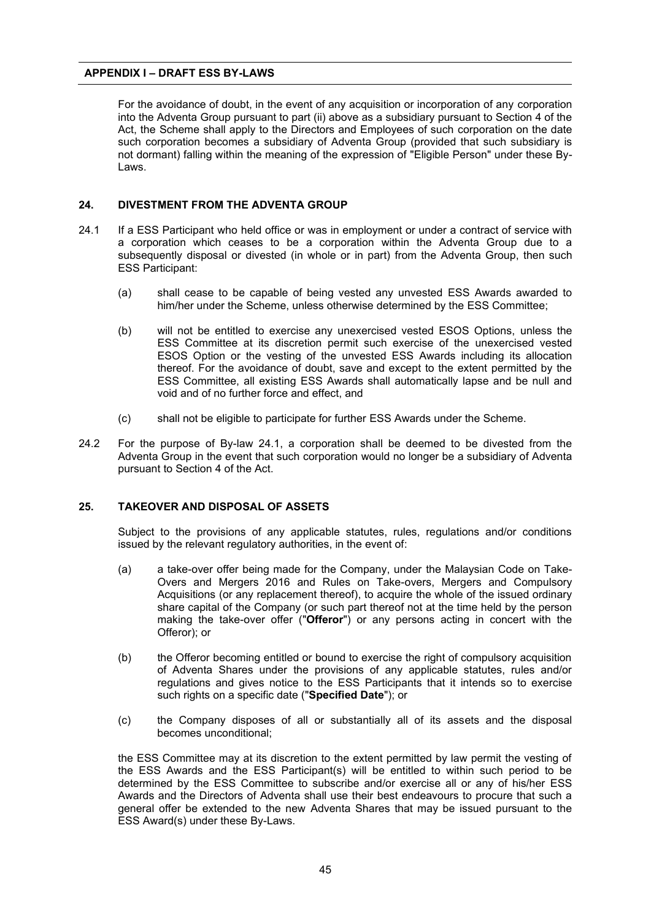For the avoidance of doubt, in the event of any acquisition or incorporation of any corporation into the Adventa Group pursuant to part (ii) above as a subsidiary pursuant to Section 4 of the Act, the Scheme shall apply to the Directors and Employees of such corporation on the date such corporation becomes a subsidiary of Adventa Group (provided that such subsidiary is not dormant) falling within the meaning of the expression of "Eligible Person" under these By-Laws.

# **24. DIVESTMENT FROM THE ADVENTA GROUP**

- 24.1 If a ESS Participant who held office or was in employment or under a contract of service with a corporation which ceases to be a corporation within the Adventa Group due to a subsequently disposal or divested (in whole or in part) from the Adventa Group, then such ESS Participant:
	- (a) shall cease to be capable of being vested any unvested ESS Awards awarded to him/her under the Scheme, unless otherwise determined by the ESS Committee;
	- (b) will not be entitled to exercise any unexercised vested ESOS Options, unless the ESS Committee at its discretion permit such exercise of the unexercised vested ESOS Option or the vesting of the unvested ESS Awards including its allocation thereof. For the avoidance of doubt, save and except to the extent permitted by the ESS Committee, all existing ESS Awards shall automatically lapse and be null and void and of no further force and effect, and
	- (c) shall not be eligible to participate for further ESS Awards under the Scheme.
- 24.2 For the purpose of By-law 24.1, a corporation shall be deemed to be divested from the Adventa Group in the event that such corporation would no longer be a subsidiary of Adventa pursuant to Section 4 of the Act.

#### **25. TAKEOVER AND DISPOSAL OF ASSETS**

Subject to the provisions of any applicable statutes, rules, regulations and/or conditions issued by the relevant regulatory authorities, in the event of:

- (a) a take-over offer being made for the Company, under the Malaysian Code on Take-Overs and Mergers 2016 and Rules on Take-overs, Mergers and Compulsory Acquisitions (or any replacement thereof), to acquire the whole of the issued ordinary share capital of the Company (or such part thereof not at the time held by the person making the take-over offer ("**Offeror**") or any persons acting in concert with the Offeror); or
- (b) the Offeror becoming entitled or bound to exercise the right of compulsory acquisition of Adventa Shares under the provisions of any applicable statutes, rules and/or regulations and gives notice to the ESS Participants that it intends so to exercise such rights on a specific date ("**Specified Date**"); or
- (c) the Company disposes of all or substantially all of its assets and the disposal becomes unconditional;

the ESS Committee may at its discretion to the extent permitted by law permit the vesting of the ESS Awards and the ESS Participant(s) will be entitled to within such period to be determined by the ESS Committee to subscribe and/or exercise all or any of his/her ESS Awards and the Directors of Adventa shall use their best endeavours to procure that such a general offer be extended to the new Adventa Shares that may be issued pursuant to the ESS Award(s) under these By-Laws.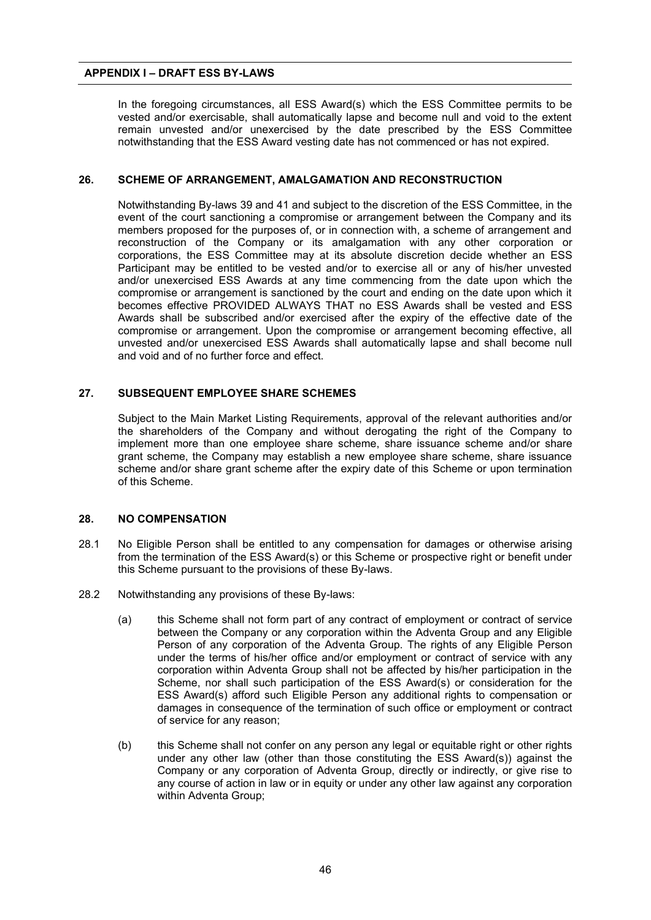In the foregoing circumstances, all ESS Award(s) which the ESS Committee permits to be vested and/or exercisable, shall automatically lapse and become null and void to the extent remain unvested and/or unexercised by the date prescribed by the ESS Committee notwithstanding that the ESS Award vesting date has not commenced or has not expired.

#### **26. SCHEME OF ARRANGEMENT, AMALGAMATION AND RECONSTRUCTION**

Notwithstanding By-laws 39 and 41 and subject to the discretion of the ESS Committee, in the event of the court sanctioning a compromise or arrangement between the Company and its members proposed for the purposes of, or in connection with, a scheme of arrangement and reconstruction of the Company or its amalgamation with any other corporation or corporations, the ESS Committee may at its absolute discretion decide whether an ESS Participant may be entitled to be vested and/or to exercise all or any of his/her unvested and/or unexercised ESS Awards at any time commencing from the date upon which the compromise or arrangement is sanctioned by the court and ending on the date upon which it becomes effective PROVIDED ALWAYS THAT no ESS Awards shall be vested and ESS Awards shall be subscribed and/or exercised after the expiry of the effective date of the compromise or arrangement. Upon the compromise or arrangement becoming effective, all unvested and/or unexercised ESS Awards shall automatically lapse and shall become null and void and of no further force and effect.

#### **27. SUBSEQUENT EMPLOYEE SHARE SCHEMES**

Subject to the Main Market Listing Requirements, approval of the relevant authorities and/or the shareholders of the Company and without derogating the right of the Company to implement more than one employee share scheme, share issuance scheme and/or share grant scheme, the Company may establish a new employee share scheme, share issuance scheme and/or share grant scheme after the expiry date of this Scheme or upon termination of this Scheme.

#### **28. NO COMPENSATION**

- 28.1 No Eligible Person shall be entitled to any compensation for damages or otherwise arising from the termination of the ESS Award(s) or this Scheme or prospective right or benefit under this Scheme pursuant to the provisions of these By-laws.
- 28.2 Notwithstanding any provisions of these By-laws:
	- (a) this Scheme shall not form part of any contract of employment or contract of service between the Company or any corporation within the Adventa Group and any Eligible Person of any corporation of the Adventa Group. The rights of any Eligible Person under the terms of his/her office and/or employment or contract of service with any corporation within Adventa Group shall not be affected by his/her participation in the Scheme, nor shall such participation of the ESS Award(s) or consideration for the ESS Award(s) afford such Eligible Person any additional rights to compensation or damages in consequence of the termination of such office or employment or contract of service for any reason;
	- (b) this Scheme shall not confer on any person any legal or equitable right or other rights under any other law (other than those constituting the ESS Award(s)) against the Company or any corporation of Adventa Group, directly or indirectly, or give rise to any course of action in law or in equity or under any other law against any corporation within Adventa Group;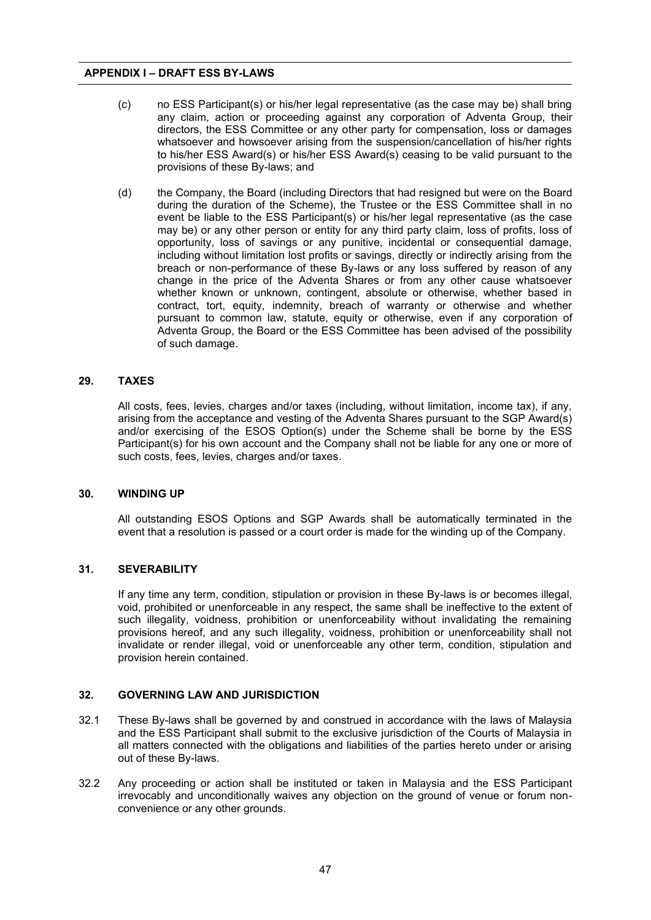- (c) no ESS Participant(s) or his/her legal representative (as the case may be) shall bring any claim, action or proceeding against any corporation of Adventa Group, their directors, the ESS Committee or any other party for compensation, loss or damages whatsoever and howsoever arising from the suspension/cancellation of his/her rights to his/her ESS Award(s) or his/her ESS Award(s) ceasing to be valid pursuant to the provisions of these By-laws; and
- (d) the Company, the Board (including Directors that had resigned but were on the Board during the duration of the Scheme), the Trustee or the ESS Committee shall in no event be liable to the ESS Participant(s) or his/her legal representative (as the case may be) or any other person or entity for any third party claim, loss of profits, loss of opportunity, loss of savings or any punitive, incidental or consequential damage, including without limitation lost profits or savings, directly or indirectly arising from the breach or non-performance of these By-laws or any loss suffered by reason of any change in the price of the Adventa Shares or from any other cause whatsoever whether known or unknown, contingent, absolute or otherwise, whether based in contract, tort, equity, indemnity, breach of warranty or otherwise and whether pursuant to common law, statute, equity or otherwise, even if any corporation of Adventa Group, the Board or the ESS Committee has been advised of the possibility of such damage.

#### **29. TAXES**

All costs, fees, levies, charges and/or taxes (including, without limitation, income tax), if any, arising from the acceptance and vesting of the Adventa Shares pursuant to the SGP Award(s) and/or exercising of the ESOS Option(s) under the Scheme shall be borne by the ESS Participant(s) for his own account and the Company shall not be liable for any one or more of such costs, fees, levies, charges and/or taxes.

#### **30. WINDING UP**

All outstanding ESOS Options and SGP Awards shall be automatically terminated in the event that a resolution is passed or a court order is made for the winding up of the Company.

#### **31. SEVERABILITY**

If any time any term, condition, stipulation or provision in these By-laws is or becomes illegal, void, prohibited or unenforceable in any respect, the same shall be ineffective to the extent of such illegality, voidness, prohibition or unenforceability without invalidating the remaining provisions hereof, and any such illegality, voidness, prohibition or unenforceability shall not invalidate or render illegal, void or unenforceable any other term, condition, stipulation and provision herein contained.

#### **32. GOVERNING LAW AND JURISDICTION**

- 32.1 These By-laws shall be governed by and construed in accordance with the laws of Malaysia and the ESS Participant shall submit to the exclusive jurisdiction of the Courts of Malaysia in all matters connected with the obligations and liabilities of the parties hereto under or arising out of these By-laws.
- 32.2 Any proceeding or action shall be instituted or taken in Malaysia and the ESS Participant irrevocably and unconditionally waives any objection on the ground of venue or forum nonconvenience or any other grounds.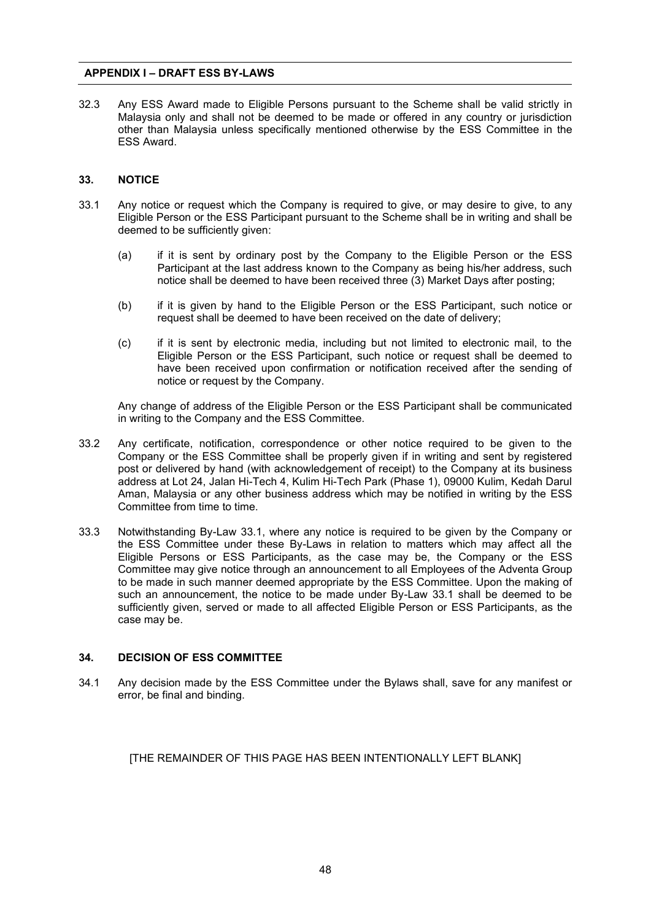32.3 Any ESS Award made to Eligible Persons pursuant to the Scheme shall be valid strictly in Malaysia only and shall not be deemed to be made or offered in any country or jurisdiction other than Malaysia unless specifically mentioned otherwise by the ESS Committee in the ESS Award.

# **33. NOTICE**

- 33.1 Any notice or request which the Company is required to give, or may desire to give, to any Eligible Person or the ESS Participant pursuant to the Scheme shall be in writing and shall be deemed to be sufficiently given:
	- (a) if it is sent by ordinary post by the Company to the Eligible Person or the ESS Participant at the last address known to the Company as being his/her address, such notice shall be deemed to have been received three (3) Market Days after posting;
	- (b) if it is given by hand to the Eligible Person or the ESS Participant, such notice or request shall be deemed to have been received on the date of delivery;
	- (c) if it is sent by electronic media, including but not limited to electronic mail, to the Eligible Person or the ESS Participant, such notice or request shall be deemed to have been received upon confirmation or notification received after the sending of notice or request by the Company.

Any change of address of the Eligible Person or the ESS Participant shall be communicated in writing to the Company and the ESS Committee.

- 33.2 Any certificate, notification, correspondence or other notice required to be given to the Company or the ESS Committee shall be properly given if in writing and sent by registered post or delivered by hand (with acknowledgement of receipt) to the Company at its business address at Lot 24, Jalan Hi-Tech 4, Kulim Hi-Tech Park (Phase 1), 09000 Kulim, Kedah Darul Aman, Malaysia or any other business address which may be notified in writing by the ESS Committee from time to time.
- 33.3 Notwithstanding By-Law 33.1, where any notice is required to be given by the Company or the ESS Committee under these By-Laws in relation to matters which may affect all the Eligible Persons or ESS Participants, as the case may be, the Company or the ESS Committee may give notice through an announcement to all Employees of the Adventa Group to be made in such manner deemed appropriate by the ESS Committee. Upon the making of such an announcement, the notice to be made under By-Law 33.1 shall be deemed to be sufficiently given, served or made to all affected Eligible Person or ESS Participants, as the case may be.

# **34. DECISION OF ESS COMMITTEE**

34.1 Any decision made by the ESS Committee under the Bylaws shall, save for any manifest or error, be final and binding.

[THE REMAINDER OF THIS PAGE HAS BEEN INTENTIONALLY LEFT BLANK]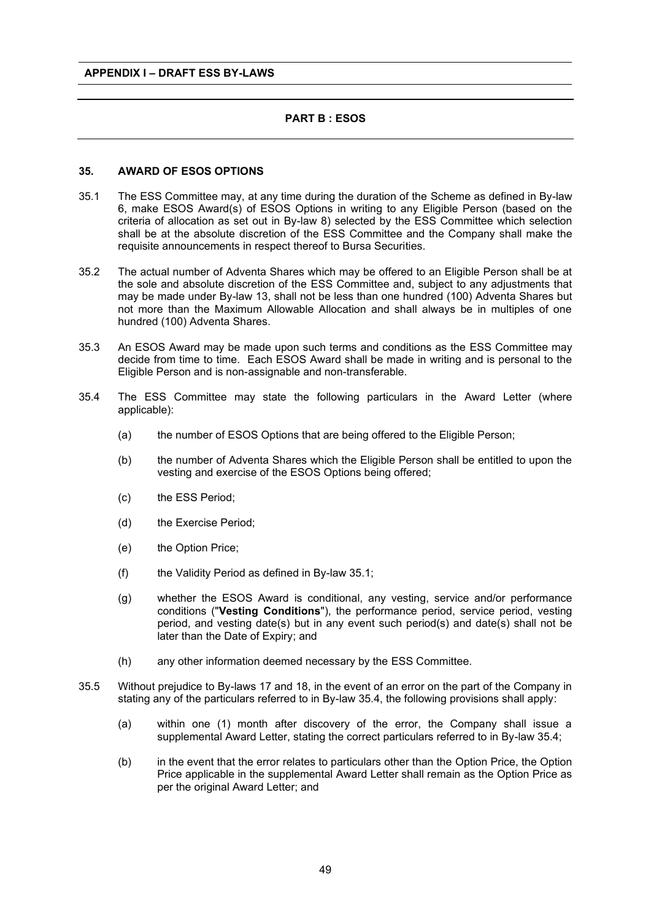# **PART B : ESOS**

#### **35. AWARD OF ESOS OPTIONS**

- 35.1 The ESS Committee may, at any time during the duration of the Scheme as defined in By-law 6, make ESOS Award(s) of ESOS Options in writing to any Eligible Person (based on the criteria of allocation as set out in By-law 8) selected by the ESS Committee which selection shall be at the absolute discretion of the ESS Committee and the Company shall make the requisite announcements in respect thereof to Bursa Securities.
- 35.2 The actual number of Adventa Shares which may be offered to an Eligible Person shall be at the sole and absolute discretion of the ESS Committee and, subject to any adjustments that may be made under By-law 13, shall not be less than one hundred (100) Adventa Shares but not more than the Maximum Allowable Allocation and shall always be in multiples of one hundred (100) Adventa Shares.
- 35.3 An ESOS Award may be made upon such terms and conditions as the ESS Committee may decide from time to time. Each ESOS Award shall be made in writing and is personal to the Eligible Person and is non-assignable and non-transferable.
- 35.4 The ESS Committee may state the following particulars in the Award Letter (where applicable):
	- (a) the number of ESOS Options that are being offered to the Eligible Person;
	- (b) the number of Adventa Shares which the Eligible Person shall be entitled to upon the vesting and exercise of the ESOS Options being offered;
	- (c) the ESS Period;
	- (d) the Exercise Period;
	- (e) the Option Price;
	- (f) the Validity Period as defined in By-law  $35.1$ ;
	- (g) whether the ESOS Award is conditional, any vesting, service and/or performance conditions ("**Vesting Conditions**"), the performance period, service period, vesting period, and vesting date(s) but in any event such period(s) and date(s) shall not be later than the Date of Expiry; and
	- (h) any other information deemed necessary by the ESS Committee.
- 35.5 Without prejudice to By-laws 17 and 18, in the event of an error on the part of the Company in stating any of the particulars referred to in By-law 35.4, the following provisions shall apply:
	- (a) within one (1) month after discovery of the error, the Company shall issue a supplemental Award Letter, stating the correct particulars referred to in By-law 35.4;
	- (b) in the event that the error relates to particulars other than the Option Price, the Option Price applicable in the supplemental Award Letter shall remain as the Option Price as per the original Award Letter; and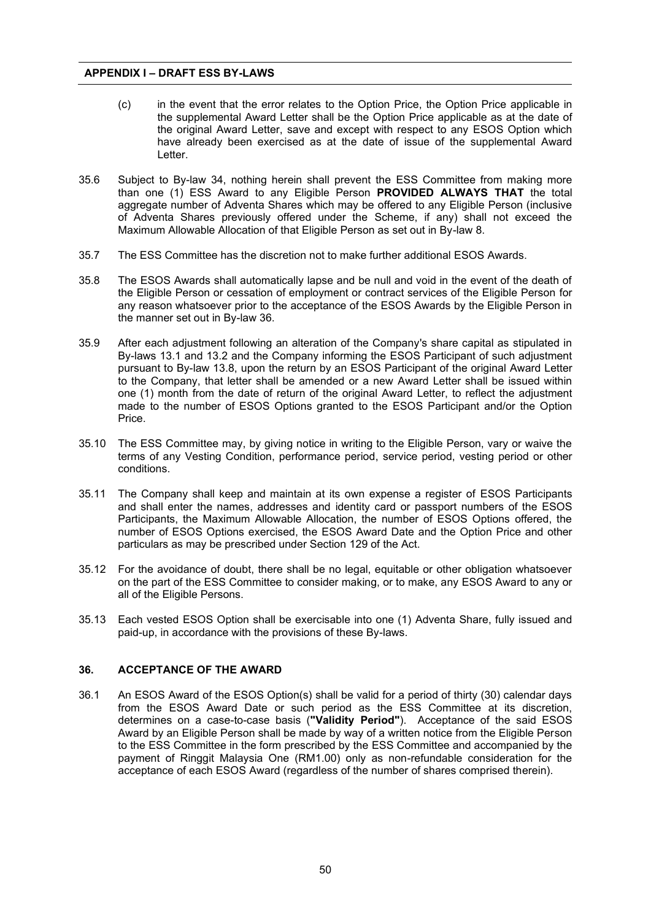- (c) in the event that the error relates to the Option Price, the Option Price applicable in the supplemental Award Letter shall be the Option Price applicable as at the date of the original Award Letter, save and except with respect to any ESOS Option which have already been exercised as at the date of issue of the supplemental Award Letter.
- 35.6 Subject to By-law 34, nothing herein shall prevent the ESS Committee from making more than one (1) ESS Award to any Eligible Person **PROVIDED ALWAYS THAT** the total aggregate number of Adventa Shares which may be offered to any Eligible Person (inclusive of Adventa Shares previously offered under the Scheme, if any) shall not exceed the Maximum Allowable Allocation of that Eligible Person as set out in By-law 8.
- 35.7 The ESS Committee has the discretion not to make further additional ESOS Awards.
- 35.8 The ESOS Awards shall automatically lapse and be null and void in the event of the death of the Eligible Person or cessation of employment or contract services of the Eligible Person for any reason whatsoever prior to the acceptance of the ESOS Awards by the Eligible Person in the manner set out in By-law 36.
- 35.9 After each adjustment following an alteration of the Company's share capital as stipulated in By-laws 13.1 and 13.2 and the Company informing the ESOS Participant of such adjustment pursuant to By-law 13.8, upon the return by an ESOS Participant of the original Award Letter to the Company, that letter shall be amended or a new Award Letter shall be issued within one (1) month from the date of return of the original Award Letter, to reflect the adjustment made to the number of ESOS Options granted to the ESOS Participant and/or the Option Price.
- 35.10 The ESS Committee may, by giving notice in writing to the Eligible Person, vary or waive the terms of any Vesting Condition, performance period, service period, vesting period or other conditions.
- 35.11 The Company shall keep and maintain at its own expense a register of ESOS Participants and shall enter the names, addresses and identity card or passport numbers of the ESOS Participants, the Maximum Allowable Allocation, the number of ESOS Options offered, the number of ESOS Options exercised, the ESOS Award Date and the Option Price and other particulars as may be prescribed under Section 129 of the Act.
- 35.12 For the avoidance of doubt, there shall be no legal, equitable or other obligation whatsoever on the part of the ESS Committee to consider making, or to make, any ESOS Award to any or all of the Eligible Persons.
- 35.13 Each vested ESOS Option shall be exercisable into one (1) Adventa Share, fully issued and paid-up, in accordance with the provisions of these By-laws.

# **36. ACCEPTANCE OF THE AWARD**

36.1 An ESOS Award of the ESOS Option(s) shall be valid for a period of thirty (30) calendar days from the ESOS Award Date or such period as the ESS Committee at its discretion, determines on a case-to-case basis (**"Validity Period"**). Acceptance of the said ESOS Award by an Eligible Person shall be made by way of a written notice from the Eligible Person to the ESS Committee in the form prescribed by the ESS Committee and accompanied by the payment of Ringgit Malaysia One (RM1.00) only as non-refundable consideration for the acceptance of each ESOS Award (regardless of the number of shares comprised therein).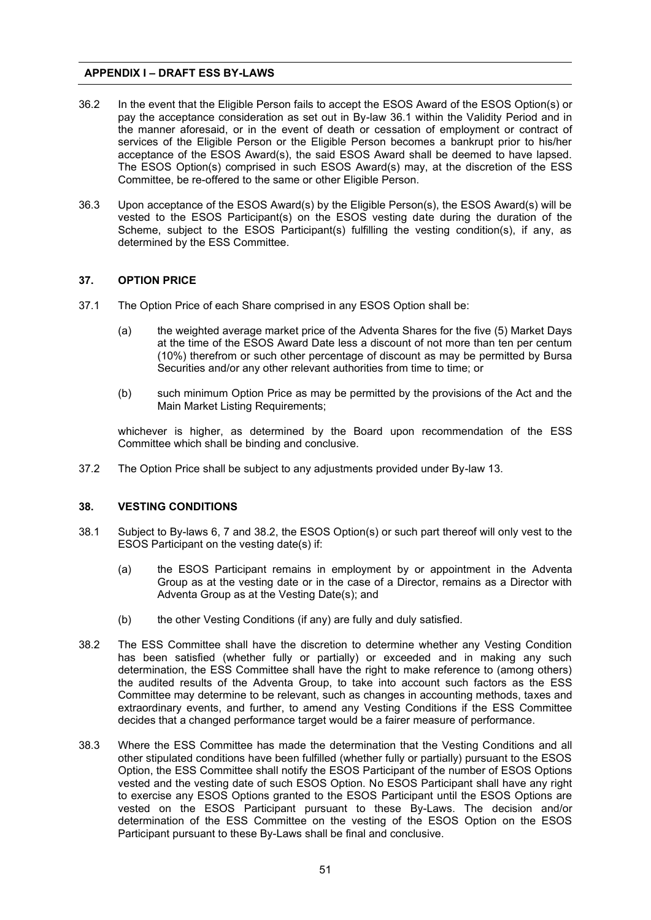- 36.2 In the event that the Eligible Person fails to accept the ESOS Award of the ESOS Option(s) or pay the acceptance consideration as set out in By-law 36.1 within the Validity Period and in the manner aforesaid, or in the event of death or cessation of employment or contract of services of the Eligible Person or the Eligible Person becomes a bankrupt prior to his/her acceptance of the ESOS Award(s), the said ESOS Award shall be deemed to have lapsed. The ESOS Option(s) comprised in such ESOS Award(s) may, at the discretion of the ESS Committee, be re-offered to the same or other Eligible Person.
- 36.3 Upon acceptance of the ESOS Award(s) by the Eligible Person(s), the ESOS Award(s) will be vested to the ESOS Participant(s) on the ESOS vesting date during the duration of the Scheme, subject to the ESOS Participant(s) fulfilling the vesting condition(s), if any, as determined by the ESS Committee.

#### **37. OPTION PRICE**

- 37.1 The Option Price of each Share comprised in any ESOS Option shall be:
	- (a) the weighted average market price of the Adventa Shares for the five (5) Market Days at the time of the ESOS Award Date less a discount of not more than ten per centum (10%) therefrom or such other percentage of discount as may be permitted by Bursa Securities and/or any other relevant authorities from time to time; or
	- (b) such minimum Option Price as may be permitted by the provisions of the Act and the Main Market Listing Requirements;

whichever is higher, as determined by the Board upon recommendation of the ESS Committee which shall be binding and conclusive.

37.2 The Option Price shall be subject to any adjustments provided under By-law 13.

# **38. VESTING CONDITIONS**

- 38.1 Subject to By-laws 6, 7 and 38.2, the ESOS Option(s) or such part thereof will only vest to the ESOS Participant on the vesting date(s) if:
	- (a) the ESOS Participant remains in employment by or appointment in the Adventa Group as at the vesting date or in the case of a Director, remains as a Director with Adventa Group as at the Vesting Date(s); and
	- (b) the other Vesting Conditions (if any) are fully and duly satisfied.
- 38.2 The ESS Committee shall have the discretion to determine whether any Vesting Condition has been satisfied (whether fully or partially) or exceeded and in making any such determination, the ESS Committee shall have the right to make reference to (among others) the audited results of the Adventa Group, to take into account such factors as the ESS Committee may determine to be relevant, such as changes in accounting methods, taxes and extraordinary events, and further, to amend any Vesting Conditions if the ESS Committee decides that a changed performance target would be a fairer measure of performance.
- 38.3 Where the ESS Committee has made the determination that the Vesting Conditions and all other stipulated conditions have been fulfilled (whether fully or partially) pursuant to the ESOS Option, the ESS Committee shall notify the ESOS Participant of the number of ESOS Options vested and the vesting date of such ESOS Option. No ESOS Participant shall have any right to exercise any ESOS Options granted to the ESOS Participant until the ESOS Options are vested on the ESOS Participant pursuant to these By-Laws. The decision and/or determination of the ESS Committee on the vesting of the ESOS Option on the ESOS Participant pursuant to these By-Laws shall be final and conclusive.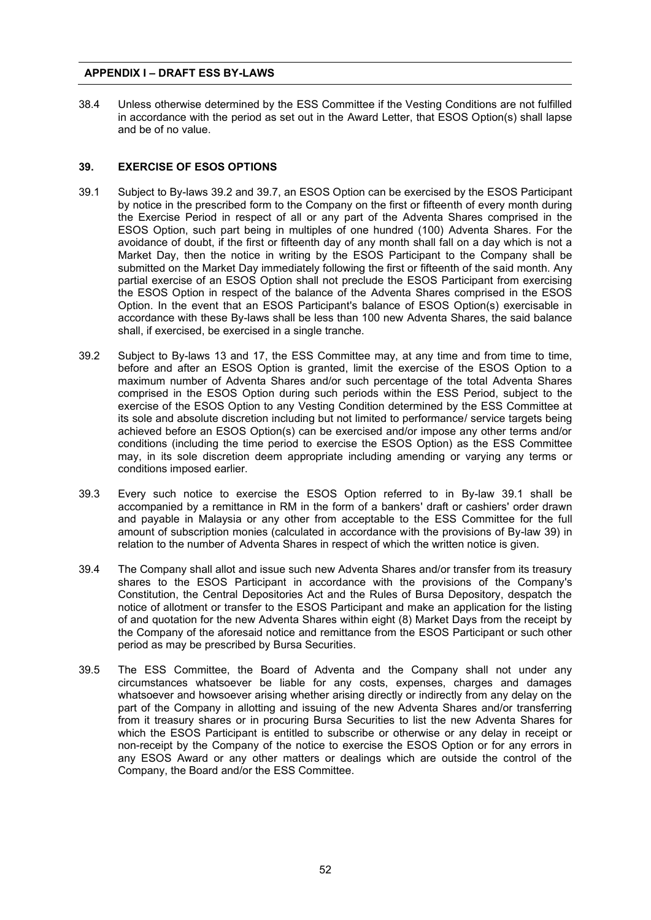38.4 Unless otherwise determined by the ESS Committee if the Vesting Conditions are not fulfilled in accordance with the period as set out in the Award Letter, that ESOS Option(s) shall lapse and be of no value.

# **39. EXERCISE OF ESOS OPTIONS**

- 39.1 Subject to By-laws 39.2 and 39.7, an ESOS Option can be exercised by the ESOS Participant by notice in the prescribed form to the Company on the first or fifteenth of every month during the Exercise Period in respect of all or any part of the Adventa Shares comprised in the ESOS Option, such part being in multiples of one hundred (100) Adventa Shares. For the avoidance of doubt, if the first or fifteenth day of any month shall fall on a day which is not a Market Day, then the notice in writing by the ESOS Participant to the Company shall be submitted on the Market Day immediately following the first or fifteenth of the said month. Any partial exercise of an ESOS Option shall not preclude the ESOS Participant from exercising the ESOS Option in respect of the balance of the Adventa Shares comprised in the ESOS Option. In the event that an ESOS Participant's balance of ESOS Option(s) exercisable in accordance with these By-laws shall be less than 100 new Adventa Shares, the said balance shall, if exercised, be exercised in a single tranche.
- 39.2 Subject to By-laws 13 and 17, the ESS Committee may, at any time and from time to time, before and after an ESOS Option is granted, limit the exercise of the ESOS Option to a maximum number of Adventa Shares and/or such percentage of the total Adventa Shares comprised in the ESOS Option during such periods within the ESS Period, subject to the exercise of the ESOS Option to any Vesting Condition determined by the ESS Committee at its sole and absolute discretion including but not limited to performance/ service targets being achieved before an ESOS Option(s) can be exercised and/or impose any other terms and/or conditions (including the time period to exercise the ESOS Option) as the ESS Committee may, in its sole discretion deem appropriate including amending or varying any terms or conditions imposed earlier.
- 39.3 Every such notice to exercise the ESOS Option referred to in By-law 39.1 shall be accompanied by a remittance in RM in the form of a bankers' draft or cashiers' order drawn and payable in Malaysia or any other from acceptable to the ESS Committee for the full amount of subscription monies (calculated in accordance with the provisions of By-law 39) in relation to the number of Adventa Shares in respect of which the written notice is given.
- 39.4 The Company shall allot and issue such new Adventa Shares and/or transfer from its treasury shares to the ESOS Participant in accordance with the provisions of the Company's Constitution, the Central Depositories Act and the Rules of Bursa Depository, despatch the notice of allotment or transfer to the ESOS Participant and make an application for the listing of and quotation for the new Adventa Shares within eight (8) Market Days from the receipt by the Company of the aforesaid notice and remittance from the ESOS Participant or such other period as may be prescribed by Bursa Securities.
- 39.5 The ESS Committee, the Board of Adventa and the Company shall not under any circumstances whatsoever be liable for any costs, expenses, charges and damages whatsoever and howsoever arising whether arising directly or indirectly from any delay on the part of the Company in allotting and issuing of the new Adventa Shares and/or transferring from it treasury shares or in procuring Bursa Securities to list the new Adventa Shares for which the ESOS Participant is entitled to subscribe or otherwise or any delay in receipt or non-receipt by the Company of the notice to exercise the ESOS Option or for any errors in any ESOS Award or any other matters or dealings which are outside the control of the Company, the Board and/or the ESS Committee.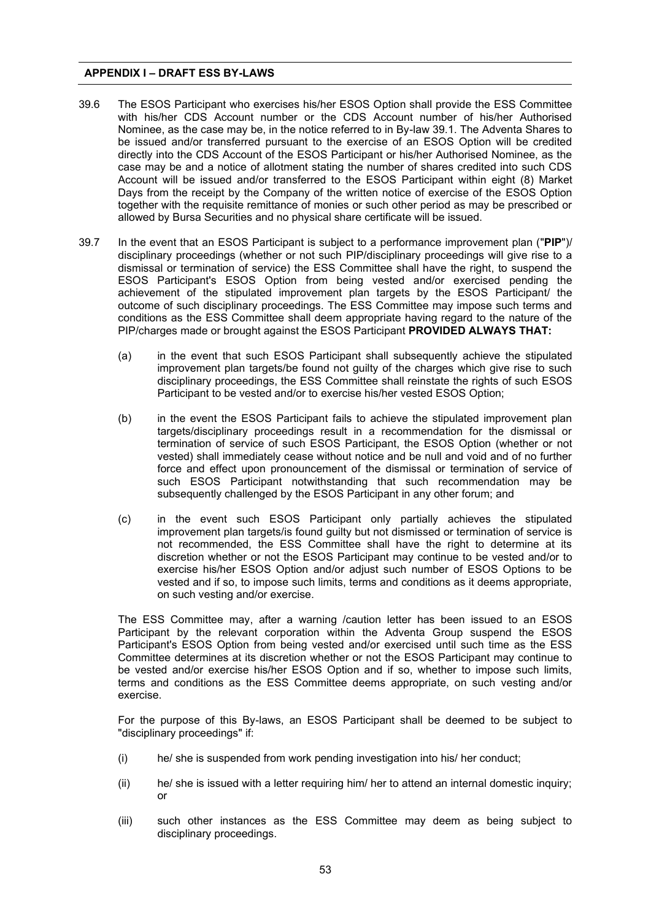- 39.6 The ESOS Participant who exercises his/her ESOS Option shall provide the ESS Committee with his/her CDS Account number or the CDS Account number of his/her Authorised Nominee, as the case may be, in the notice referred to in By-law 39.1. The Adventa Shares to be issued and/or transferred pursuant to the exercise of an ESOS Option will be credited directly into the CDS Account of the ESOS Participant or his/her Authorised Nominee, as the case may be and a notice of allotment stating the number of shares credited into such CDS Account will be issued and/or transferred to the ESOS Participant within eight (8) Market Days from the receipt by the Company of the written notice of exercise of the ESOS Option together with the requisite remittance of monies or such other period as may be prescribed or allowed by Bursa Securities and no physical share certificate will be issued.
- 39.7 In the event that an ESOS Participant is subject to a performance improvement plan ("**PIP**")/ disciplinary proceedings (whether or not such PIP/disciplinary proceedings will give rise to a dismissal or termination of service) the ESS Committee shall have the right, to suspend the ESOS Participant's ESOS Option from being vested and/or exercised pending the achievement of the stipulated improvement plan targets by the ESOS Participant/ the outcome of such disciplinary proceedings. The ESS Committee may impose such terms and conditions as the ESS Committee shall deem appropriate having regard to the nature of the PIP/charges made or brought against the ESOS Participant **PROVIDED ALWAYS THAT:** 
	- (a) in the event that such ESOS Participant shall subsequently achieve the stipulated improvement plan targets/be found not guilty of the charges which give rise to such disciplinary proceedings, the ESS Committee shall reinstate the rights of such ESOS Participant to be vested and/or to exercise his/her vested ESOS Option;
	- (b) in the event the ESOS Participant fails to achieve the stipulated improvement plan targets/disciplinary proceedings result in a recommendation for the dismissal or termination of service of such ESOS Participant, the ESOS Option (whether or not vested) shall immediately cease without notice and be null and void and of no further force and effect upon pronouncement of the dismissal or termination of service of such ESOS Participant notwithstanding that such recommendation may be subsequently challenged by the ESOS Participant in any other forum; and
	- (c) in the event such ESOS Participant only partially achieves the stipulated improvement plan targets/is found guilty but not dismissed or termination of service is not recommended, the ESS Committee shall have the right to determine at its discretion whether or not the ESOS Participant may continue to be vested and/or to exercise his/her ESOS Option and/or adjust such number of ESOS Options to be vested and if so, to impose such limits, terms and conditions as it deems appropriate, on such vesting and/or exercise.

The ESS Committee may, after a warning /caution letter has been issued to an ESOS Participant by the relevant corporation within the Adventa Group suspend the ESOS Participant's ESOS Option from being vested and/or exercised until such time as the ESS Committee determines at its discretion whether or not the ESOS Participant may continue to be vested and/or exercise his/her ESOS Option and if so, whether to impose such limits, terms and conditions as the ESS Committee deems appropriate, on such vesting and/or exercise.

For the purpose of this By-laws, an ESOS Participant shall be deemed to be subject to "disciplinary proceedings" if:

- (i) he/ she is suspended from work pending investigation into his/ her conduct;
- (ii) he/ she is issued with a letter requiring him/ her to attend an internal domestic inquiry; or
- (iii) such other instances as the ESS Committee may deem as being subject to disciplinary proceedings.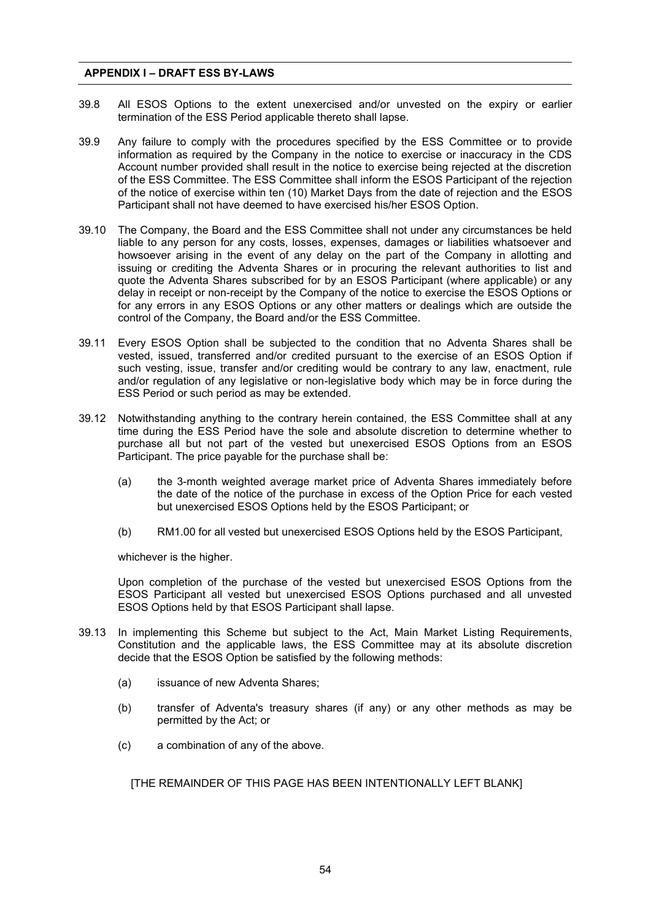- 39.8 All ESOS Options to the extent unexercised and/or unvested on the expiry or earlier termination of the ESS Period applicable thereto shall lapse.
- 39.9 Any failure to comply with the procedures specified by the ESS Committee or to provide information as required by the Company in the notice to exercise or inaccuracy in the CDS Account number provided shall result in the notice to exercise being rejected at the discretion of the ESS Committee. The ESS Committee shall inform the ESOS Participant of the rejection of the notice of exercise within ten (10) Market Days from the date of rejection and the ESOS Participant shall not have deemed to have exercised his/her ESOS Option.
- 39.10 The Company, the Board and the ESS Committee shall not under any circumstances be held liable to any person for any costs, losses, expenses, damages or liabilities whatsoever and howsoever arising in the event of any delay on the part of the Company in allotting and issuing or crediting the Adventa Shares or in procuring the relevant authorities to list and quote the Adventa Shares subscribed for by an ESOS Participant (where applicable) or any delay in receipt or non-receipt by the Company of the notice to exercise the ESOS Options or for any errors in any ESOS Options or any other matters or dealings which are outside the control of the Company, the Board and/or the ESS Committee.
- 39.11 Every ESOS Option shall be subjected to the condition that no Adventa Shares shall be vested, issued, transferred and/or credited pursuant to the exercise of an ESOS Option if such vesting, issue, transfer and/or crediting would be contrary to any law, enactment, rule and/or regulation of any legislative or non-legislative body which may be in force during the ESS Period or such period as may be extended.
- 39.12 Notwithstanding anything to the contrary herein contained, the ESS Committee shall at any time during the ESS Period have the sole and absolute discretion to determine whether to purchase all but not part of the vested but unexercised ESOS Options from an ESOS Participant. The price payable for the purchase shall be:
	- (a) the 3-month weighted average market price of Adventa Shares immediately before the date of the notice of the purchase in excess of the Option Price for each vested but unexercised ESOS Options held by the ESOS Participant; or
	- (b) RM1.00 for all vested but unexercised ESOS Options held by the ESOS Participant,

whichever is the higher.

Upon completion of the purchase of the vested but unexercised ESOS Options from the ESOS Participant all vested but unexercised ESOS Options purchased and all unvested ESOS Options held by that ESOS Participant shall lapse.

- 39.13 In implementing this Scheme but subject to the Act, Main Market Listing Requirements, Constitution and the applicable laws, the ESS Committee may at its absolute discretion decide that the ESOS Option be satisfied by the following methods:
	- (a) issuance of new Adventa Shares;
	- (b) transfer of Adventa's treasury shares (if any) or any other methods as may be permitted by the Act; or
	- (c) a combination of any of the above.

[THE REMAINDER OF THIS PAGE HAS BEEN INTENTIONALLY LEFT BLANK]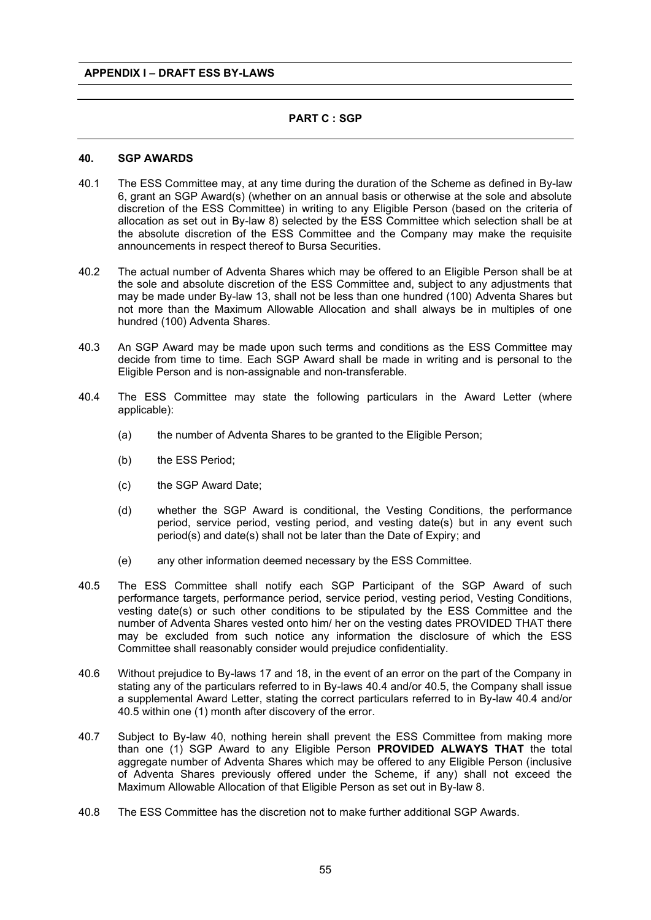# **PART C : SGP**

#### **40. SGP AWARDS**

- 40.1 The ESS Committee may, at any time during the duration of the Scheme as defined in By-law 6, grant an SGP Award(s) (whether on an annual basis or otherwise at the sole and absolute discretion of the ESS Committee) in writing to any Eligible Person (based on the criteria of allocation as set out in By-law 8) selected by the ESS Committee which selection shall be at the absolute discretion of the ESS Committee and the Company may make the requisite announcements in respect thereof to Bursa Securities.
- 40.2 The actual number of Adventa Shares which may be offered to an Eligible Person shall be at the sole and absolute discretion of the ESS Committee and, subject to any adjustments that may be made under By-law 13, shall not be less than one hundred (100) Adventa Shares but not more than the Maximum Allowable Allocation and shall always be in multiples of one hundred (100) Adventa Shares.
- 40.3 An SGP Award may be made upon such terms and conditions as the ESS Committee may decide from time to time. Each SGP Award shall be made in writing and is personal to the Eligible Person and is non-assignable and non-transferable.
- 40.4 The ESS Committee may state the following particulars in the Award Letter (where applicable):
	- (a) the number of Adventa Shares to be granted to the Eligible Person;
	- (b) the ESS Period;
	- (c) the SGP Award Date;
	- (d) whether the SGP Award is conditional, the Vesting Conditions, the performance period, service period, vesting period, and vesting date(s) but in any event such period(s) and date(s) shall not be later than the Date of Expiry; and
	- (e) any other information deemed necessary by the ESS Committee.
- 40.5 The ESS Committee shall notify each SGP Participant of the SGP Award of such performance targets, performance period, service period, vesting period, Vesting Conditions, vesting date(s) or such other conditions to be stipulated by the ESS Committee and the number of Adventa Shares vested onto him/ her on the vesting dates PROVIDED THAT there may be excluded from such notice any information the disclosure of which the ESS Committee shall reasonably consider would prejudice confidentiality.
- 40.6 Without prejudice to By-laws 17 and 18, in the event of an error on the part of the Company in stating any of the particulars referred to in By-laws 40.4 and/or 40.5, the Company shall issue a supplemental Award Letter, stating the correct particulars referred to in By-law 40.4 and/or 40.5 within one (1) month after discovery of the error.
- 40.7 Subject to By-law 40, nothing herein shall prevent the ESS Committee from making more than one (1) SGP Award to any Eligible Person **PROVIDED ALWAYS THAT** the total aggregate number of Adventa Shares which may be offered to any Eligible Person (inclusive of Adventa Shares previously offered under the Scheme, if any) shall not exceed the Maximum Allowable Allocation of that Eligible Person as set out in By-law 8.
- 40.8 The ESS Committee has the discretion not to make further additional SGP Awards.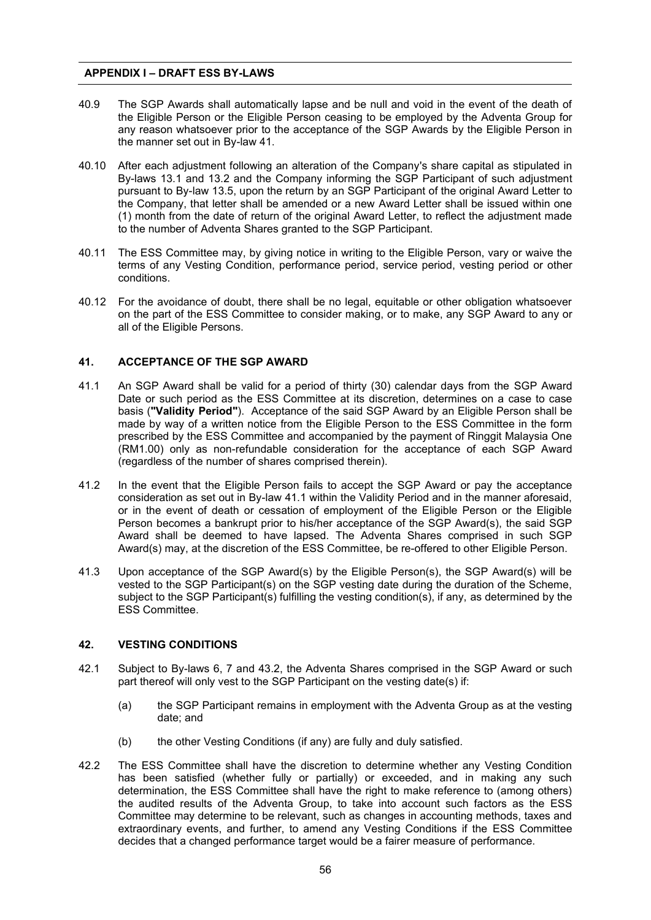- 40.9 The SGP Awards shall automatically lapse and be null and void in the event of the death of the Eligible Person or the Eligible Person ceasing to be employed by the Adventa Group for any reason whatsoever prior to the acceptance of the SGP Awards by the Eligible Person in the manner set out in By-law 41.
- 40.10 After each adjustment following an alteration of the Company's share capital as stipulated in By-laws 13.1 and 13.2 and the Company informing the SGP Participant of such adjustment pursuant to By-law 13.5, upon the return by an SGP Participant of the original Award Letter to the Company, that letter shall be amended or a new Award Letter shall be issued within one (1) month from the date of return of the original Award Letter, to reflect the adjustment made to the number of Adventa Shares granted to the SGP Participant.
- 40.11 The ESS Committee may, by giving notice in writing to the Eligible Person, vary or waive the terms of any Vesting Condition, performance period, service period, vesting period or other conditions.
- 40.12 For the avoidance of doubt, there shall be no legal, equitable or other obligation whatsoever on the part of the ESS Committee to consider making, or to make, any SGP Award to any or all of the Eligible Persons.

#### **41. ACCEPTANCE OF THE SGP AWARD**

- 41.1 An SGP Award shall be valid for a period of thirty (30) calendar days from the SGP Award Date or such period as the ESS Committee at its discretion, determines on a case to case basis (**"Validity Period"**). Acceptance of the said SGP Award by an Eligible Person shall be made by way of a written notice from the Eligible Person to the ESS Committee in the form prescribed by the ESS Committee and accompanied by the payment of Ringgit Malaysia One (RM1.00) only as non-refundable consideration for the acceptance of each SGP Award (regardless of the number of shares comprised therein).
- 41.2 In the event that the Eligible Person fails to accept the SGP Award or pay the acceptance consideration as set out in By-law 41.1 within the Validity Period and in the manner aforesaid, or in the event of death or cessation of employment of the Eligible Person or the Eligible Person becomes a bankrupt prior to his/her acceptance of the SGP Award(s), the said SGP Award shall be deemed to have lapsed. The Adventa Shares comprised in such SGP Award(s) may, at the discretion of the ESS Committee, be re-offered to other Eligible Person.
- 41.3 Upon acceptance of the SGP Award(s) by the Eligible Person(s), the SGP Award(s) will be vested to the SGP Participant(s) on the SGP vesting date during the duration of the Scheme, subject to the SGP Participant(s) fulfilling the vesting condition(s), if any, as determined by the ESS Committee.

#### **42. VESTING CONDITIONS**

- 42.1 Subject to By-laws 6, 7 and 43.2, the Adventa Shares comprised in the SGP Award or such part thereof will only vest to the SGP Participant on the vesting date(s) if:
	- (a) the SGP Participant remains in employment with the Adventa Group as at the vesting date; and
	- (b) the other Vesting Conditions (if any) are fully and duly satisfied.
- 42.2 The ESS Committee shall have the discretion to determine whether any Vesting Condition has been satisfied (whether fully or partially) or exceeded, and in making any such determination, the ESS Committee shall have the right to make reference to (among others) the audited results of the Adventa Group, to take into account such factors as the ESS Committee may determine to be relevant, such as changes in accounting methods, taxes and extraordinary events, and further, to amend any Vesting Conditions if the ESS Committee decides that a changed performance target would be a fairer measure of performance.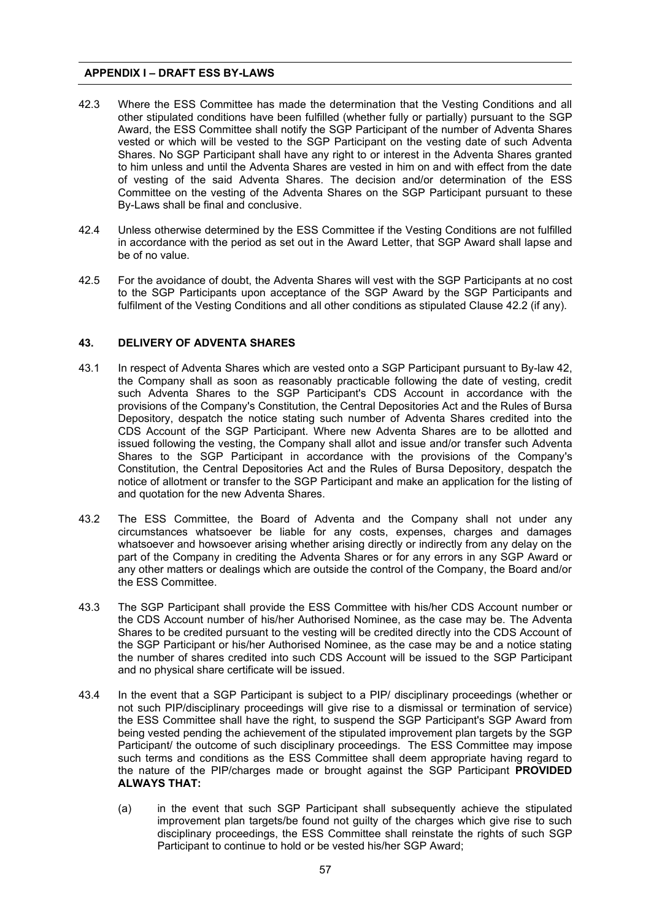- 42.3 Where the ESS Committee has made the determination that the Vesting Conditions and all other stipulated conditions have been fulfilled (whether fully or partially) pursuant to the SGP Award, the ESS Committee shall notify the SGP Participant of the number of Adventa Shares vested or which will be vested to the SGP Participant on the vesting date of such Adventa Shares. No SGP Participant shall have any right to or interest in the Adventa Shares granted to him unless and until the Adventa Shares are vested in him on and with effect from the date of vesting of the said Adventa Shares. The decision and/or determination of the ESS Committee on the vesting of the Adventa Shares on the SGP Participant pursuant to these By-Laws shall be final and conclusive.
- 42.4 Unless otherwise determined by the ESS Committee if the Vesting Conditions are not fulfilled in accordance with the period as set out in the Award Letter, that SGP Award shall lapse and be of no value.
- 42.5 For the avoidance of doubt, the Adventa Shares will vest with the SGP Participants at no cost to the SGP Participants upon acceptance of the SGP Award by the SGP Participants and fulfilment of the Vesting Conditions and all other conditions as stipulated Clause 42.2 (if any).

# **43. DELIVERY OF ADVENTA SHARES**

- 43.1 In respect of Adventa Shares which are vested onto a SGP Participant pursuant to By-law 42, the Company shall as soon as reasonably practicable following the date of vesting, credit such Adventa Shares to the SGP Participant's CDS Account in accordance with the provisions of the Company's Constitution, the Central Depositories Act and the Rules of Bursa Depository, despatch the notice stating such number of Adventa Shares credited into the CDS Account of the SGP Participant. Where new Adventa Shares are to be allotted and issued following the vesting, the Company shall allot and issue and/or transfer such Adventa Shares to the SGP Participant in accordance with the provisions of the Company's Constitution, the Central Depositories Act and the Rules of Bursa Depository, despatch the notice of allotment or transfer to the SGP Participant and make an application for the listing of and quotation for the new Adventa Shares.
- 43.2 The ESS Committee, the Board of Adventa and the Company shall not under any circumstances whatsoever be liable for any costs, expenses, charges and damages whatsoever and howsoever arising whether arising directly or indirectly from any delay on the part of the Company in crediting the Adventa Shares or for any errors in any SGP Award or any other matters or dealings which are outside the control of the Company, the Board and/or the ESS Committee.
- 43.3 The SGP Participant shall provide the ESS Committee with his/her CDS Account number or the CDS Account number of his/her Authorised Nominee, as the case may be. The Adventa Shares to be credited pursuant to the vesting will be credited directly into the CDS Account of the SGP Participant or his/her Authorised Nominee, as the case may be and a notice stating the number of shares credited into such CDS Account will be issued to the SGP Participant and no physical share certificate will be issued.
- 43.4 In the event that a SGP Participant is subject to a PIP/ disciplinary proceedings (whether or not such PIP/disciplinary proceedings will give rise to a dismissal or termination of service) the ESS Committee shall have the right, to suspend the SGP Participant's SGP Award from being vested pending the achievement of the stipulated improvement plan targets by the SGP Participant/ the outcome of such disciplinary proceedings. The ESS Committee may impose such terms and conditions as the ESS Committee shall deem appropriate having regard to the nature of the PIP/charges made or brought against the SGP Participant **PROVIDED ALWAYS THAT:** 
	- (a) in the event that such SGP Participant shall subsequently achieve the stipulated improvement plan targets/be found not guilty of the charges which give rise to such disciplinary proceedings, the ESS Committee shall reinstate the rights of such SGP Participant to continue to hold or be vested his/her SGP Award;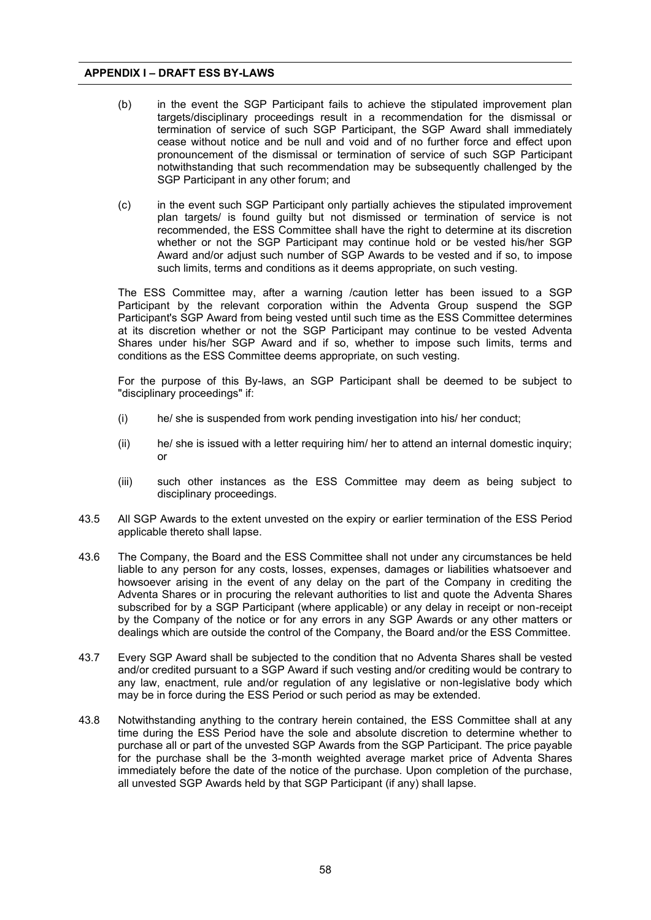- (b) in the event the SGP Participant fails to achieve the stipulated improvement plan targets/disciplinary proceedings result in a recommendation for the dismissal or termination of service of such SGP Participant, the SGP Award shall immediately cease without notice and be null and void and of no further force and effect upon pronouncement of the dismissal or termination of service of such SGP Participant notwithstanding that such recommendation may be subsequently challenged by the SGP Participant in any other forum; and
- (c) in the event such SGP Participant only partially achieves the stipulated improvement plan targets/ is found guilty but not dismissed or termination of service is not recommended, the ESS Committee shall have the right to determine at its discretion whether or not the SGP Participant may continue hold or be vested his/her SGP Award and/or adjust such number of SGP Awards to be vested and if so, to impose such limits, terms and conditions as it deems appropriate, on such vesting.

The ESS Committee may, after a warning /caution letter has been issued to a SGP Participant by the relevant corporation within the Adventa Group suspend the SGP Participant's SGP Award from being vested until such time as the ESS Committee determines at its discretion whether or not the SGP Participant may continue to be vested Adventa Shares under his/her SGP Award and if so, whether to impose such limits, terms and conditions as the ESS Committee deems appropriate, on such vesting.

For the purpose of this By-laws, an SGP Participant shall be deemed to be subject to "disciplinary proceedings" if:

- (i) he/ she is suspended from work pending investigation into his/ her conduct;
- (ii) he/ she is issued with a letter requiring him/ her to attend an internal domestic inquiry; or
- (iii) such other instances as the ESS Committee may deem as being subject to disciplinary proceedings.
- 43.5 All SGP Awards to the extent unvested on the expiry or earlier termination of the ESS Period applicable thereto shall lapse.
- 43.6 The Company, the Board and the ESS Committee shall not under any circumstances be held liable to any person for any costs, losses, expenses, damages or liabilities whatsoever and howsoever arising in the event of any delay on the part of the Company in crediting the Adventa Shares or in procuring the relevant authorities to list and quote the Adventa Shares subscribed for by a SGP Participant (where applicable) or any delay in receipt or non-receipt by the Company of the notice or for any errors in any SGP Awards or any other matters or dealings which are outside the control of the Company, the Board and/or the ESS Committee.
- 43.7 Every SGP Award shall be subjected to the condition that no Adventa Shares shall be vested and/or credited pursuant to a SGP Award if such vesting and/or crediting would be contrary to any law, enactment, rule and/or regulation of any legislative or non-legislative body which may be in force during the ESS Period or such period as may be extended.
- 43.8 Notwithstanding anything to the contrary herein contained, the ESS Committee shall at any time during the ESS Period have the sole and absolute discretion to determine whether to purchase all or part of the unvested SGP Awards from the SGP Participant. The price payable for the purchase shall be the 3-month weighted average market price of Adventa Shares immediately before the date of the notice of the purchase. Upon completion of the purchase, all unvested SGP Awards held by that SGP Participant (if any) shall lapse.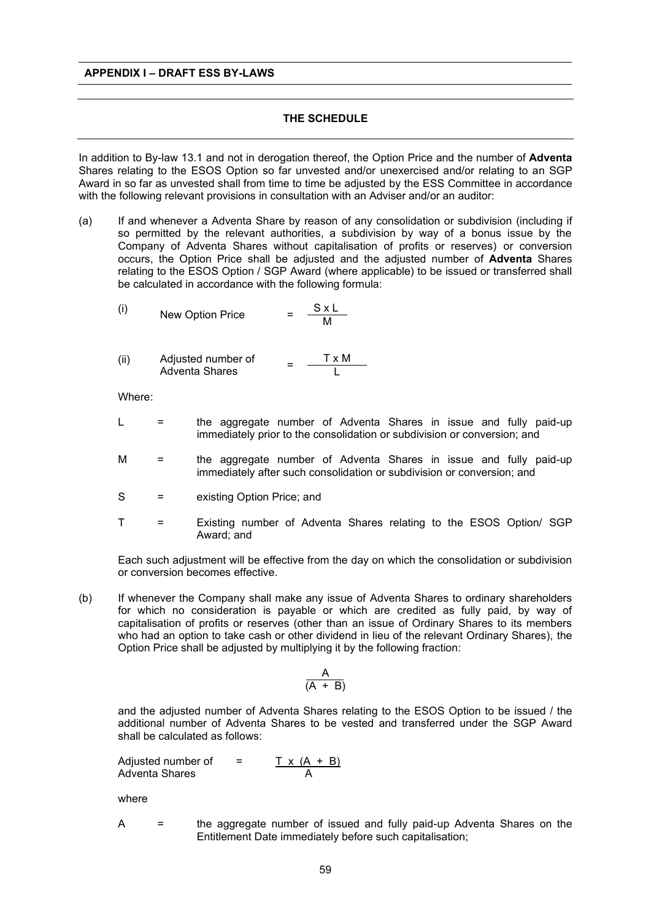# **THE SCHEDULE**

In addition to By-law 13.1 and not in derogation thereof, the Option Price and the number of **Adventa** Shares relating to the ESOS Option so far unvested and/or unexercised and/or relating to an SGP Award in so far as unvested shall from time to time be adjusted by the ESS Committee in accordance with the following relevant provisions in consultation with an Adviser and/or an auditor:

(a) If and whenever a Adventa Share by reason of any consolidation or subdivision (including if so permitted by the relevant authorities, a subdivision by way of a bonus issue by the Company of Adventa Shares without capitalisation of profits or reserves) or conversion occurs, the Option Price shall be adjusted and the adjusted number of **Adventa** Shares relating to the ESOS Option / SGP Award (where applicable) to be issued or transferred shall be calculated in accordance with the following formula:

(i) New Option Price = 
$$
\frac{S \times L}{M}
$$

(ii) Adjusted number of  
Adventa Shares = 
$$
\frac{T \times M}{L}
$$

Where:

- L = the aggregate number of Adventa Shares in issue and fully paid-up immediately prior to the consolidation or subdivision or conversion; and
- M = the aggregate number of Adventa Shares in issue and fully paid-up immediately after such consolidation or subdivision or conversion; and
- S = existing Option Price; and
- T = Existing number of Adventa Shares relating to the ESOS Option/ SGP Award; and

Each such adjustment will be effective from the day on which the consolidation or subdivision or conversion becomes effective.

(b) If whenever the Company shall make any issue of Adventa Shares to ordinary shareholders for which no consideration is payable or which are credited as fully paid, by way of capitalisation of profits or reserves (other than an issue of Ordinary Shares to its members who had an option to take cash or other dividend in lieu of the relevant Ordinary Shares), the Option Price shall be adjusted by multiplying it by the following fraction:

$$
\frac{A}{(A + B)}
$$

and the adjusted number of Adventa Shares relating to the ESOS Option to be issued / the additional number of Adventa Shares to be vested and transferred under the SGP Award shall be calculated as follows:

Adjusted number of

\n
$$
= \frac{T \times (A + B)}{A}
$$
\nAdvanced values of the number of numbers

where

A = the aggregate number of issued and fully paid-up Adventa Shares on the Entitlement Date immediately before such capitalisation;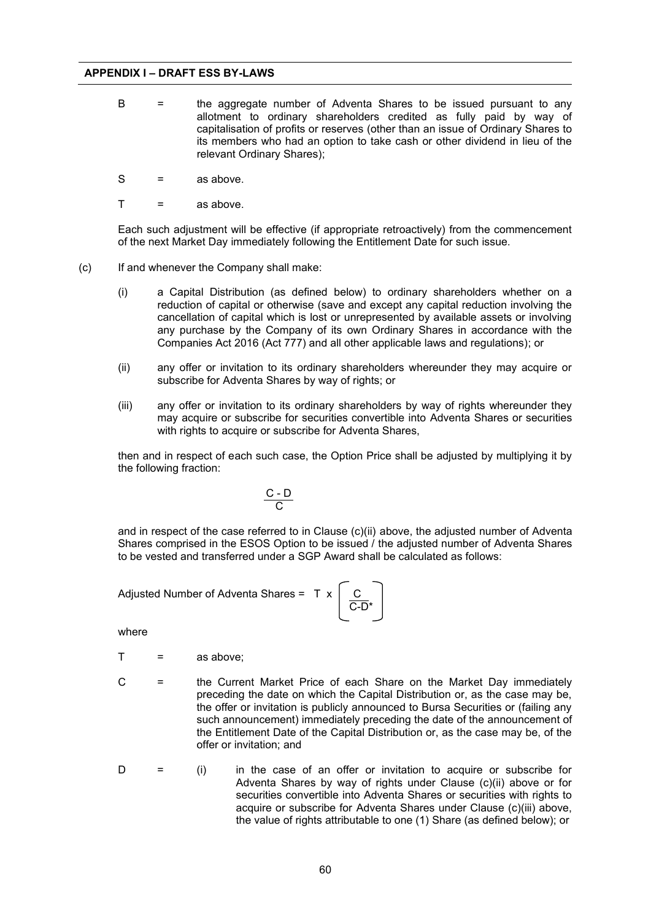- $B =$  the aggregate number of Adventa Shares to be issued pursuant to any allotment to ordinary shareholders credited as fully paid by way of capitalisation of profits or reserves (other than an issue of Ordinary Shares to its members who had an option to take cash or other dividend in lieu of the relevant Ordinary Shares);
- $S =$  as above.
- $T =$  as above.

Each such adjustment will be effective (if appropriate retroactively) from the commencement of the next Market Day immediately following the Entitlement Date for such issue.

- (c) If and whenever the Company shall make:
	- (i) a Capital Distribution (as defined below) to ordinary shareholders whether on a reduction of capital or otherwise (save and except any capital reduction involving the cancellation of capital which is lost or unrepresented by available assets or involving any purchase by the Company of its own Ordinary Shares in accordance with the Companies Act 2016 (Act 777) and all other applicable laws and regulations); or
	- (ii) any offer or invitation to its ordinary shareholders whereunder they may acquire or subscribe for Adventa Shares by way of rights; or
	- (iii) any offer or invitation to its ordinary shareholders by way of rights whereunder they may acquire or subscribe for securities convertible into Adventa Shares or securities with rights to acquire or subscribe for Adventa Shares,

then and in respect of each such case, the Option Price shall be adjusted by multiplying it by the following fraction:

$$
\frac{C - D}{C}
$$

and in respect of the case referred to in Clause (c)(ii) above, the adjusted number of Adventa Shares comprised in the ESOS Option to be issued / the adjusted number of Adventa Shares to be vested and transferred under a SGP Award shall be calculated as follows:

Adjusted Number of Adventa Shares = T

\n
$$
x \left[ \frac{C}{C-D^*} \right]
$$

where

- $T =$ as above:
- 
- C = the Current Market Price of each Share on the Market Day immediately preceding the date on which the Capital Distribution or, as the case may be, the offer or invitation is publicly announced to Bursa Securities or (failing any such announcement) immediately preceding the date of the announcement of the Entitlement Date of the Capital Distribution or, as the case may be, of the offer or invitation; and
	- $D =$  (i) in the case of an offer or invitation to acquire or subscribe for Adventa Shares by way of rights under Clause (c)(ii) above or for securities convertible into Adventa Shares or securities with rights to acquire or subscribe for Adventa Shares under Clause (c)(iii) above, the value of rights attributable to one (1) Share (as defined below); or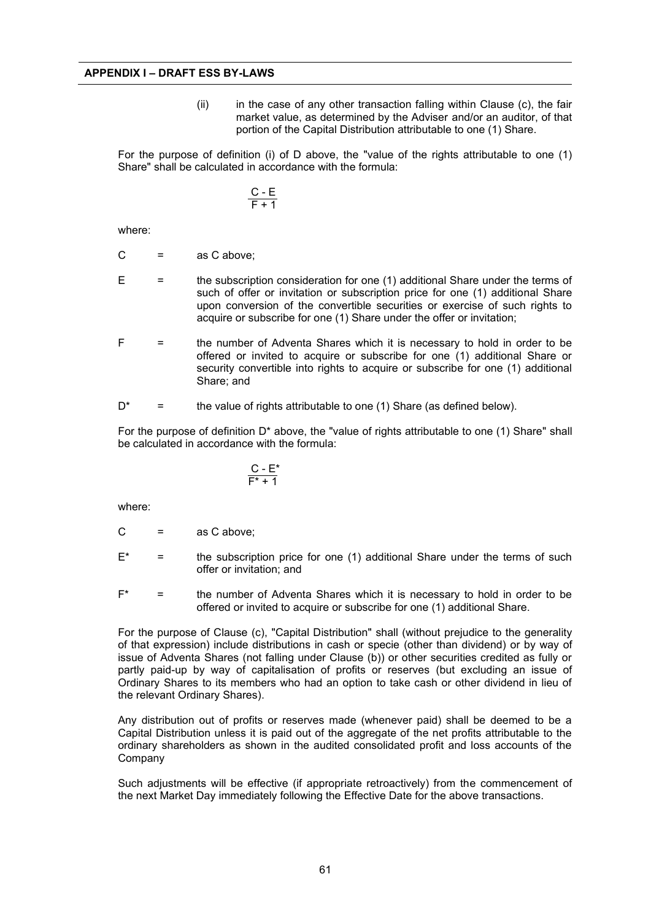$(iii)$  in the case of any other transaction falling within Clause (c), the fair market value, as determined by the Adviser and/or an auditor, of that portion of the Capital Distribution attributable to one (1) Share.

For the purpose of definition (i) of D above, the "value of the rights attributable to one (1) Share" shall be calculated in accordance with the formula:

$$
\frac{C - E}{F + 1}
$$

where:

- $C =$  as C above:
- $E =$  the subscription consideration for one (1) additional Share under the terms of such of offer or invitation or subscription price for one (1) additional Share upon conversion of the convertible securities or exercise of such rights to acquire or subscribe for one (1) Share under the offer or invitation;
- $F =$   $=$  the number of Adventa Shares which it is necessary to hold in order to be offered or invited to acquire or subscribe for one (1) additional Share or security convertible into rights to acquire or subscribe for one (1) additional Share; and
- $D^*$  = the value of rights attributable to one (1) Share (as defined below).

For the purpose of definition  $D^*$  above, the "value of rights attributable to one (1) Share" shall be calculated in accordance with the formula:

$$
\frac{C-E^*}{F^*+1}
$$

where:

- $C =$  as C above;
- $E^*$  = the subscription price for one (1) additional Share under the terms of such offer or invitation; and
- $F^*$  = the number of Adventa Shares which it is necessary to hold in order to be offered or invited to acquire or subscribe for one (1) additional Share.

For the purpose of Clause (c), "Capital Distribution" shall (without prejudice to the generality of that expression) include distributions in cash or specie (other than dividend) or by way of issue of Adventa Shares (not falling under Clause (b)) or other securities credited as fully or partly paid-up by way of capitalisation of profits or reserves (but excluding an issue of Ordinary Shares to its members who had an option to take cash or other dividend in lieu of the relevant Ordinary Shares).

Any distribution out of profits or reserves made (whenever paid) shall be deemed to be a Capital Distribution unless it is paid out of the aggregate of the net profits attributable to the ordinary shareholders as shown in the audited consolidated profit and loss accounts of the Company

Such adjustments will be effective (if appropriate retroactively) from the commencement of the next Market Day immediately following the Effective Date for the above transactions.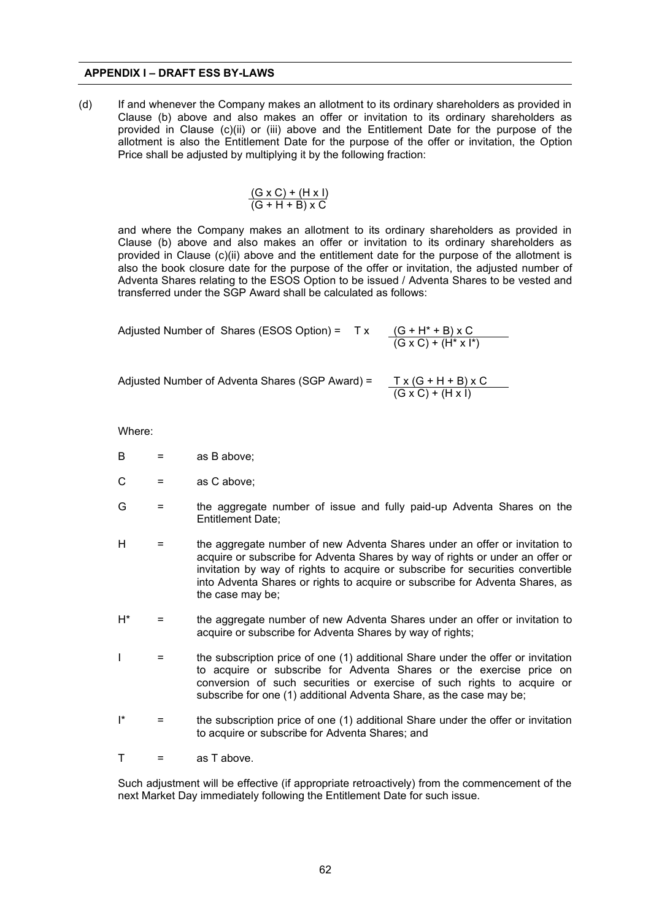(d) If and whenever the Company makes an allotment to its ordinary shareholders as provided in Clause (b) above and also makes an offer or invitation to its ordinary shareholders as provided in Clause (c)(ii) or (iii) above and the Entitlement Date for the purpose of the allotment is also the Entitlement Date for the purpose of the offer or invitation, the Option Price shall be adjusted by multiplying it by the following fraction:

$$
\frac{(G \times C) + (H \times I)}{(G + H + B) \times C}
$$

and where the Company makes an allotment to its ordinary shareholders as provided in Clause (b) above and also makes an offer or invitation to its ordinary shareholders as provided in Clause (c)(ii) above and the entitlement date for the purpose of the allotment is also the book closure date for the purpose of the offer or invitation, the adjusted number of Adventa Shares relating to the ESOS Option to be issued / Adventa Shares to be vested and transferred under the SGP Award shall be calculated as follows:

Adjusted Number of Shares (ESOS Option) =  $TX$ 

 $(G + H^* + B) \times C$ <br>(G x C) + (H<sup>\*</sup> x l<sup>\*</sup>)

Adjusted Number of Adventa Shares (SGP Award) =

$$
\frac{T x (G + H + B) x C}{(G x C) + (H x I)}
$$

Where:

- $B =$ as B above;
- $C =$  as C above;
- G = the aggregate number of issue and fully paid-up Adventa Shares on the Entitlement Date;
- H = the aggregate number of new Adventa Shares under an offer or invitation to acquire or subscribe for Adventa Shares by way of rights or under an offer or invitation by way of rights to acquire or subscribe for securities convertible into Adventa Shares or rights to acquire or subscribe for Adventa Shares, as the case may be;
- H\* = the aggregate number of new Adventa Shares under an offer or invitation to acquire or subscribe for Adventa Shares by way of rights;
- I = the subscription price of one (1) additional Share under the offer or invitation to acquire or subscribe for Adventa Shares or the exercise price on conversion of such securities or exercise of such rights to acquire or subscribe for one (1) additional Adventa Share, as the case may be;
- $\mathbb{I}^*$  = the subscription price of one (1) additional Share under the offer or invitation to acquire or subscribe for Adventa Shares; and
- $T =$ as T above.

Such adjustment will be effective (if appropriate retroactively) from the commencement of the next Market Day immediately following the Entitlement Date for such issue.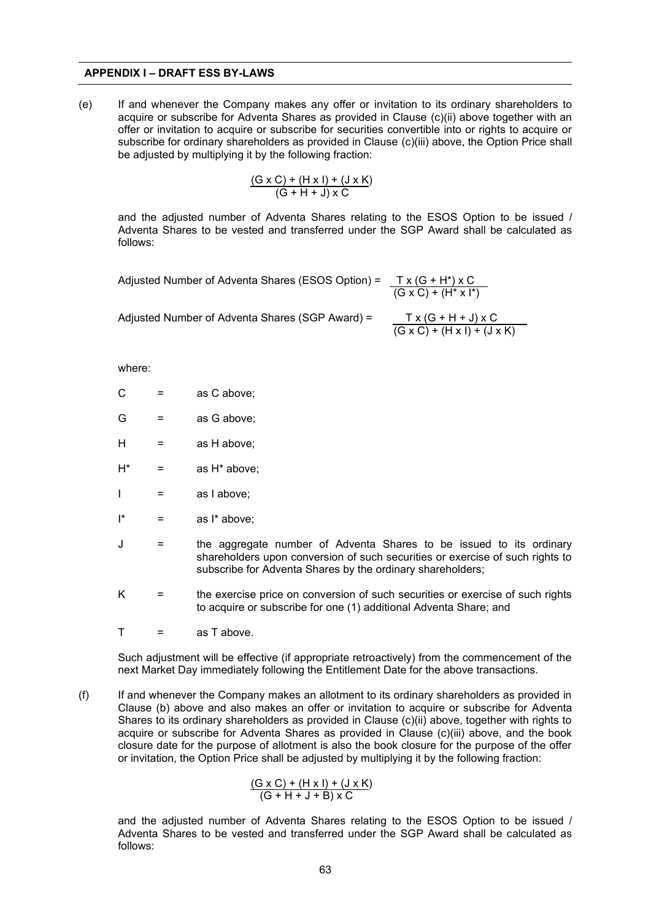#### **APPENDIX I – DRAFT ESS BY-LAWS**

(e) If and whenever the Company makes any offer or invitation to its ordinary shareholders to acquire or subscribe for Adventa Shares as provided in Clause (c)(ii) above together with an offer or invitation to acquire or subscribe for securities convertible into or rights to acquire or subscribe for ordinary shareholders as provided in Clause (c)(iii) above, the Option Price shall be adjusted by multiplying it by the following fraction:

$$
\frac{(G \times C) + (H \times I) + (J \times K)}{(G + H + J) \times C}
$$

and the adjusted number of Adventa Shares relating to the ESOS Option to be issued / Adventa Shares to be vested and transferred under the SGP Award shall be calculated as follows:

Adjusted Number of Adventa Shares (ESOS Option) = T x (G + H\*) x C  $(G \times C) + (H^* \times I^*)$ 

Adjusted Number of Adventa Shares (SGP Award) =

$$
\frac{T x (G + H + J) x C}{(G x C) + (H x I) + (J x K)}
$$

where:

- $C =$ as C above:
- $G =$ as G above;
- $H =$ as H above;
- $H^*$  = as  $H^*$  above;
- $I =$ as labove;
- $I^*$  = as  $I^*$  above:
- J = the aggregate number of Adventa Shares to be issued to its ordinary shareholders upon conversion of such securities or exercise of such rights to subscribe for Adventa Shares by the ordinary shareholders;
- $K =$  the exercise price on conversion of such securities or exercise of such rights to acquire or subscribe for one (1) additional Adventa Share; and
- $T =$ as T above.

Such adjustment will be effective (if appropriate retroactively) from the commencement of the next Market Day immediately following the Entitlement Date for the above transactions.

(f) If and whenever the Company makes an allotment to its ordinary shareholders as provided in Clause (b) above and also makes an offer or invitation to acquire or subscribe for Adventa Shares to its ordinary shareholders as provided in Clause (c)(ii) above, together with rights to acquire or subscribe for Adventa Shares as provided in Clause (c)(iii) above, and the book closure date for the purpose of allotment is also the book closure for the purpose of the offer or invitation, the Option Price shall be adjusted by multiplying it by the following fraction:

$$
\frac{(G \times C) + (H \times I) + (J \times K)}{(G + H + J + B) \times C}
$$

and the adjusted number of Adventa Shares relating to the ESOS Option to be issued / Adventa Shares to be vested and transferred under the SGP Award shall be calculated as follows: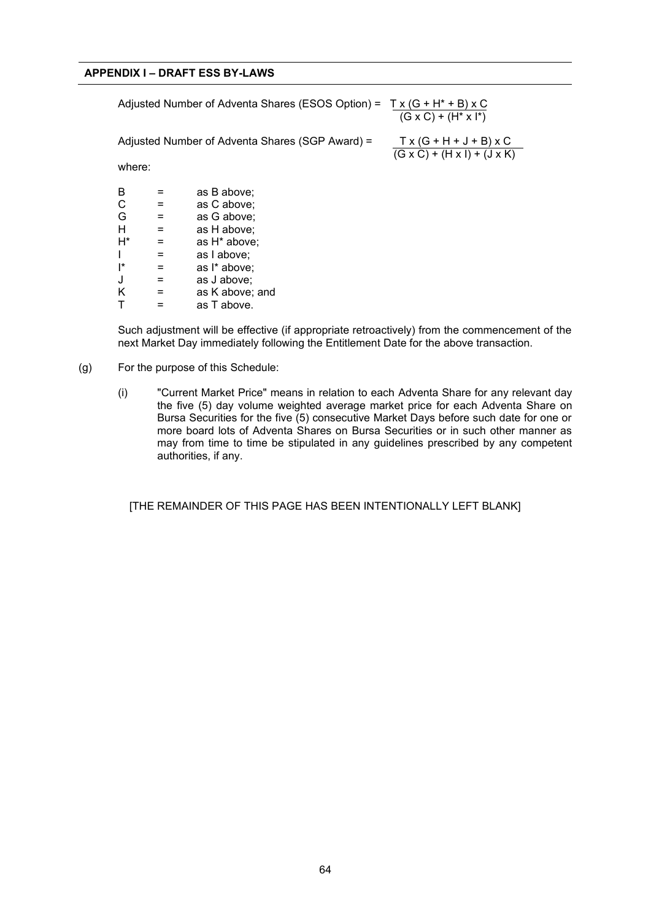# **APPENDIX I – DRAFT ESS BY-LAWS**

Adjusted Number of Adventa Shares (ESOS Option) =  $Tx(G + H^* + B)xC$  $(G \times C) + (H^* \times I^*)$ Adjusted Number of Adventa Shares (SGP Award) =  $TX(G + H + J + B) \times C$  $(G \times C) + (H \times I) + (J \times K)$ where:  $B =$  as B above;<br>  $C =$  as C above;  $\begin{array}{ccc} C & = & \text{as C above;} \\ G & = & \text{as G above:} \end{array}$  $G =$  as G above;<br>  $H =$  as H above;  $H =$  as H above;<br> $H^* =$  as H<sup>\*</sup> above  $=$  as  $H^*$  above;  $I =$ as  $I$  above:  $I^*$  = as  $I^*$  above;<br>  $J =$  as J above;  $J =$  as J above;<br> $K =$  as K above;

 $K =$ as K above; and<br>  $T =$ as T above. as T above.

Such adjustment will be effective (if appropriate retroactively) from the commencement of the next Market Day immediately following the Entitlement Date for the above transaction.

- (g) For the purpose of this Schedule:
	- (i) "Current Market Price" means in relation to each Adventa Share for any relevant day the five (5) day volume weighted average market price for each Adventa Share on Bursa Securities for the five (5) consecutive Market Days before such date for one or more board lots of Adventa Shares on Bursa Securities or in such other manner as may from time to time be stipulated in any guidelines prescribed by any competent authorities, if any.

[THE REMAINDER OF THIS PAGE HAS BEEN INTENTIONALLY LEFT BLANK]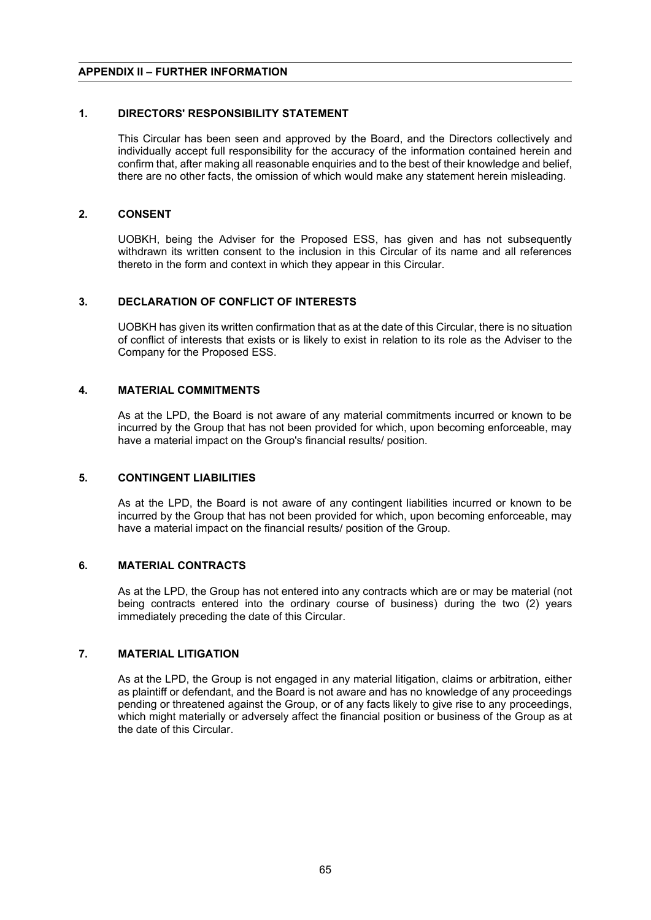# **APPENDIX II – FURTHER INFORMATION**

## **1. DIRECTORS' RESPONSIBILITY STATEMENT**

This Circular has been seen and approved by the Board, and the Directors collectively and individually accept full responsibility for the accuracy of the information contained herein and confirm that, after making all reasonable enquiries and to the best of their knowledge and belief, there are no other facts, the omission of which would make any statement herein misleading.

# **2. CONSENT**

UOBKH, being the Adviser for the Proposed ESS, has given and has not subsequently withdrawn its written consent to the inclusion in this Circular of its name and all references thereto in the form and context in which they appear in this Circular.

## **3. DECLARATION OF CONFLICT OF INTERESTS**

UOBKH has given its written confirmation that as at the date of this Circular, there is no situation of conflict of interests that exists or is likely to exist in relation to its role as the Adviser to the Company for the Proposed ESS.

## **4. MATERIAL COMMITMENTS**

As at the LPD, the Board is not aware of any material commitments incurred or known to be incurred by the Group that has not been provided for which, upon becoming enforceable, may have a material impact on the Group's financial results/ position.

#### **5. CONTINGENT LIABILITIES**

As at the LPD, the Board is not aware of any contingent liabilities incurred or known to be incurred by the Group that has not been provided for which, upon becoming enforceable, may have a material impact on the financial results/ position of the Group.

#### **6. MATERIAL CONTRACTS**

As at the LPD, the Group has not entered into any contracts which are or may be material (not being contracts entered into the ordinary course of business) during the two (2) years immediately preceding the date of this Circular.

#### **7. MATERIAL LITIGATION**

As at the LPD, the Group is not engaged in any material litigation, claims or arbitration, either as plaintiff or defendant, and the Board is not aware and has no knowledge of any proceedings pending or threatened against the Group, or of any facts likely to give rise to any proceedings, which might materially or adversely affect the financial position or business of the Group as at the date of this Circular.